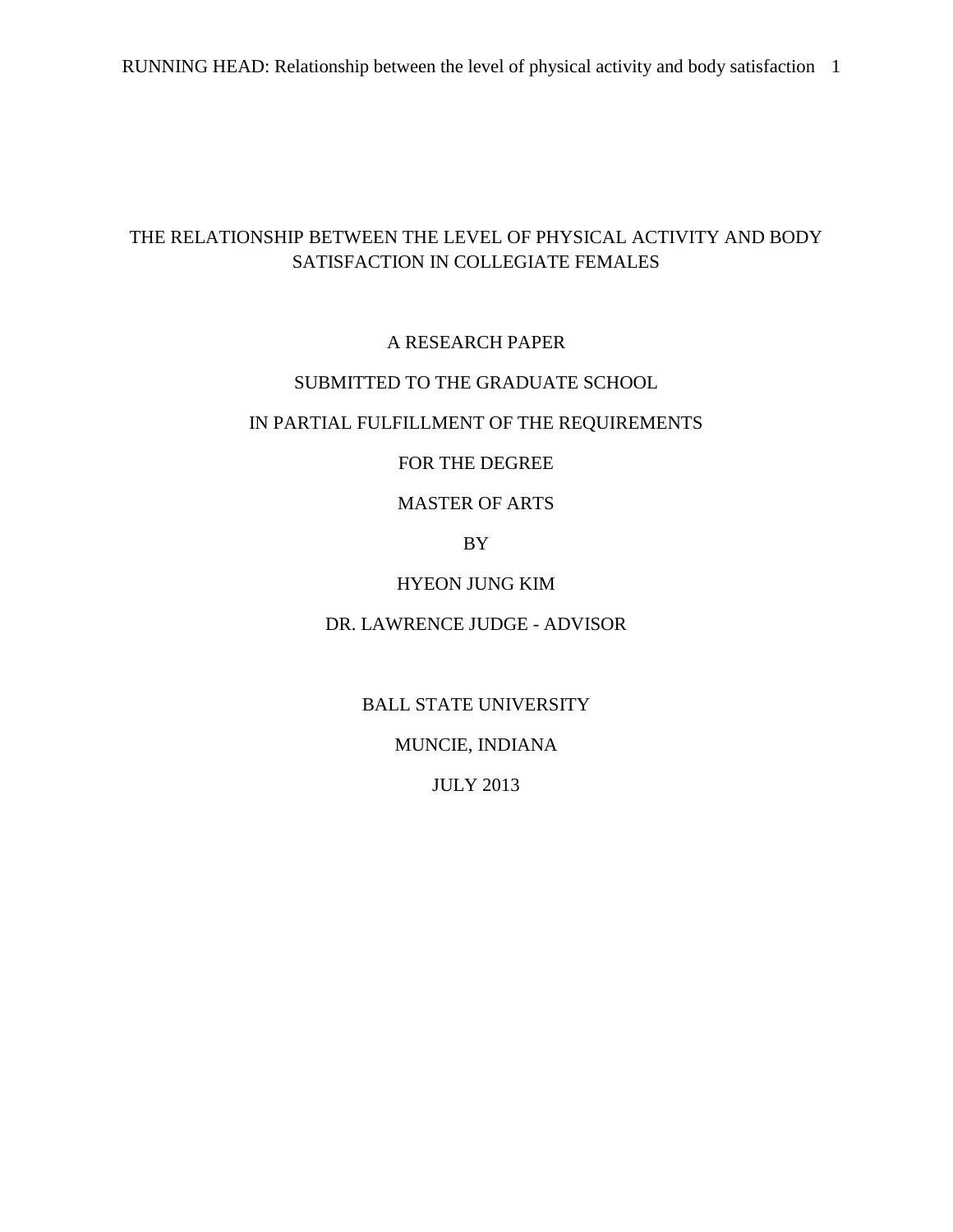# THE RELATIONSHIP BETWEEN THE LEVEL OF PHYSICAL ACTIVITY AND BODY SATISFACTION IN COLLEGIATE FEMALES

## A RESEARCH PAPER

## SUBMITTED TO THE GRADUATE SCHOOL

## IN PARTIAL FULFILLMENT OF THE REQUIREMENTS

## FOR THE DEGREE

## MASTER OF ARTS

## BY

## HYEON JUNG KIM

## DR. LAWRENCE JUDGE - ADVISOR

## BALL STATE UNIVERSITY

## MUNCIE, INDIANA

## JULY 2013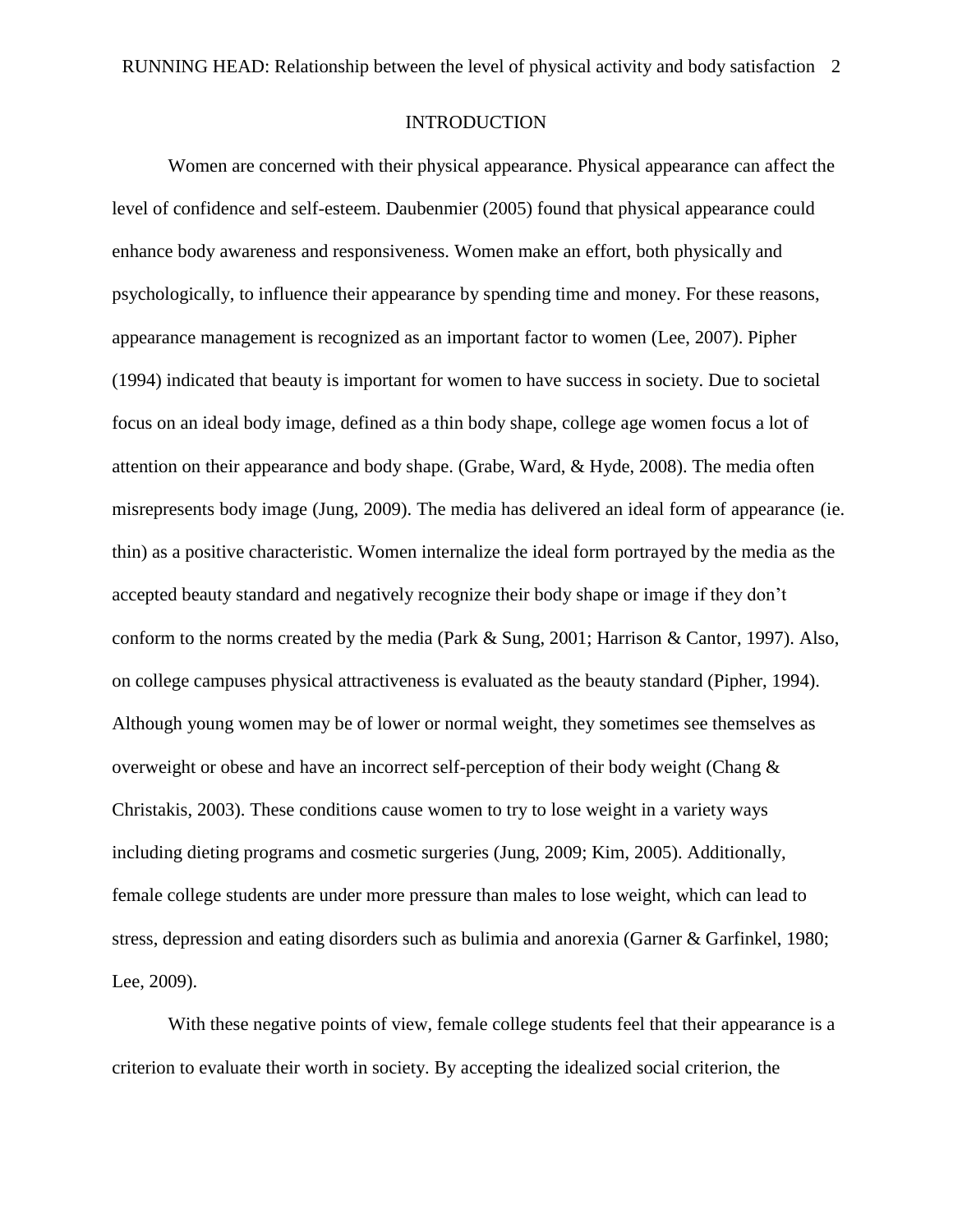#### INTRODUCTION

Women are concerned with their physical appearance. Physical appearance can affect the level of confidence and self-esteem. Daubenmier (2005) found that physical appearance could enhance body awareness and responsiveness. Women make an effort, both physically and psychologically, to influence their appearance by spending time and money. For these reasons, appearance management is recognized as an important factor to women (Lee, 2007). Pipher (1994) indicated that beauty is important for women to have success in society. Due to societal focus on an ideal body image, defined as a thin body shape, college age women focus a lot of attention on their appearance and body shape. (Grabe, Ward, & Hyde, 2008). The media often misrepresents body image (Jung, 2009). The media has delivered an ideal form of appearance (ie. thin) as a positive characteristic. Women internalize the ideal form portrayed by the media as the accepted beauty standard and negatively recognize their body shape or image if they don't conform to the norms created by the media (Park & Sung, 2001; Harrison & Cantor, 1997). Also, on college campuses physical attractiveness is evaluated as the beauty standard (Pipher, 1994). Although young women may be of lower or normal weight, they sometimes see themselves as overweight or obese and have an incorrect self-perception of their body weight (Chang & Christakis, 2003). These conditions cause women to try to lose weight in a variety ways including dieting programs and cosmetic surgeries (Jung, 2009; Kim, 2005). Additionally, female college students are under more pressure than males to lose weight, which can lead to stress, depression and eating disorders such as bulimia and anorexia (Garner & Garfinkel, 1980; Lee, 2009).

With these negative points of view, female college students feel that their appearance is a criterion to evaluate their worth in society. By accepting the idealized social criterion, the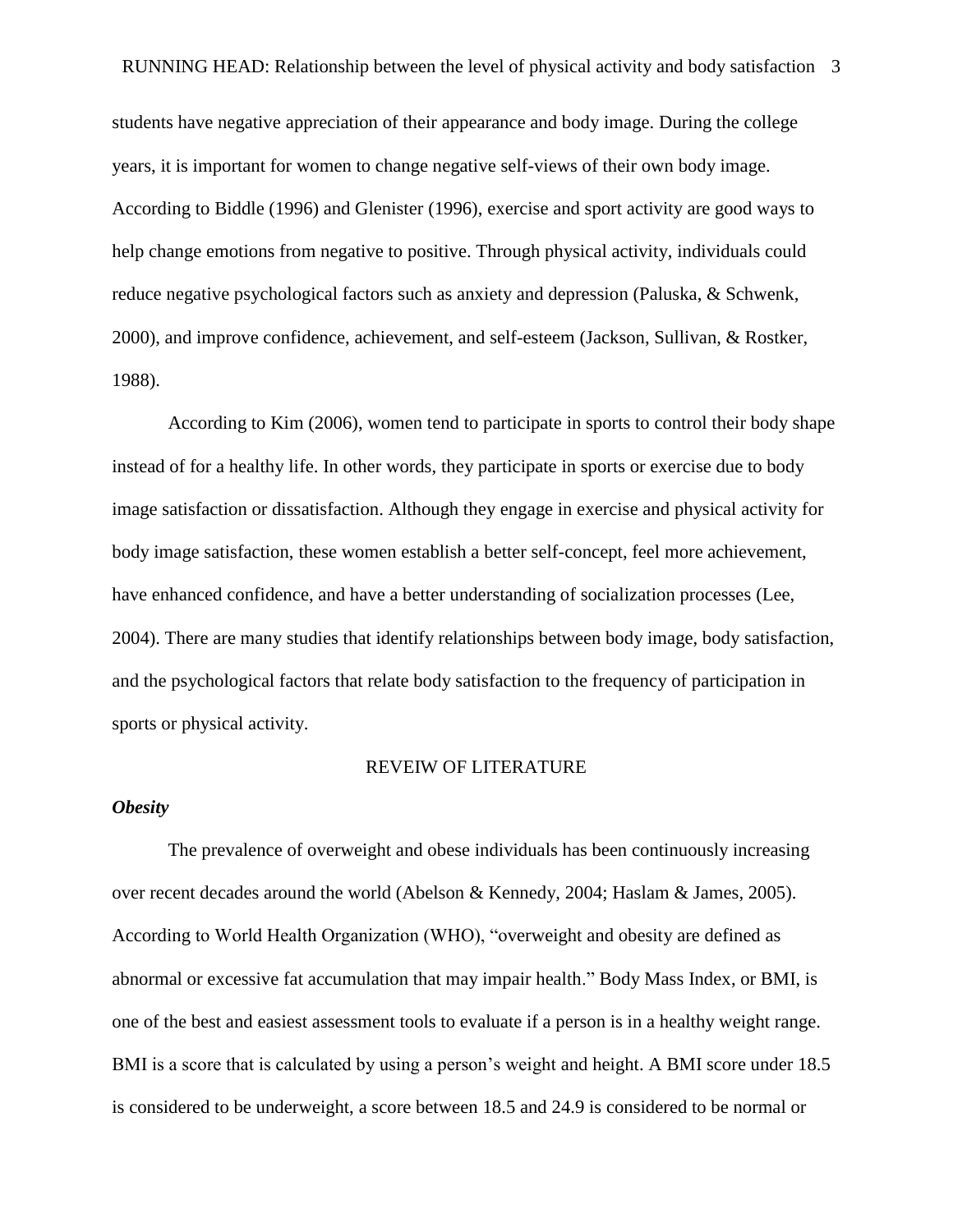students have negative appreciation of their appearance and body image. During the college years, it is important for women to change negative self-views of their own body image. According to Biddle (1996) and Glenister (1996), exercise and sport activity are good ways to help change emotions from negative to positive. Through physical activity, individuals could reduce negative psychological factors such as anxiety and depression (Paluska, & Schwenk, 2000), and improve confidence, achievement, and self-esteem (Jackson, Sullivan, & Rostker, 1988).

According to Kim (2006), women tend to participate in sports to control their body shape instead of for a healthy life. In other words, they participate in sports or exercise due to body image satisfaction or dissatisfaction. Although they engage in exercise and physical activity for body image satisfaction, these women establish a better self-concept, feel more achievement, have enhanced confidence, and have a better understanding of socialization processes (Lee, 2004). There are many studies that identify relationships between body image, body satisfaction, and the psychological factors that relate body satisfaction to the frequency of participation in sports or physical activity.

#### REVEIW OF LITERATURE

#### *Obesity*

The prevalence of overweight and obese individuals has been continuously increasing over recent decades around the world (Abelson & Kennedy, 2004; Haslam & James, 2005). According to World Health Organization (WHO), "overweight and obesity are defined as abnormal or excessive fat accumulation that may impair health." Body Mass Index, or BMI, is one of the best and easiest assessment tools to evaluate if a person is in a healthy weight range. BMI is a score that is calculated by using a person's weight and height. A BMI score under 18.5 is considered to be underweight, a score between 18.5 and 24.9 is considered to be normal or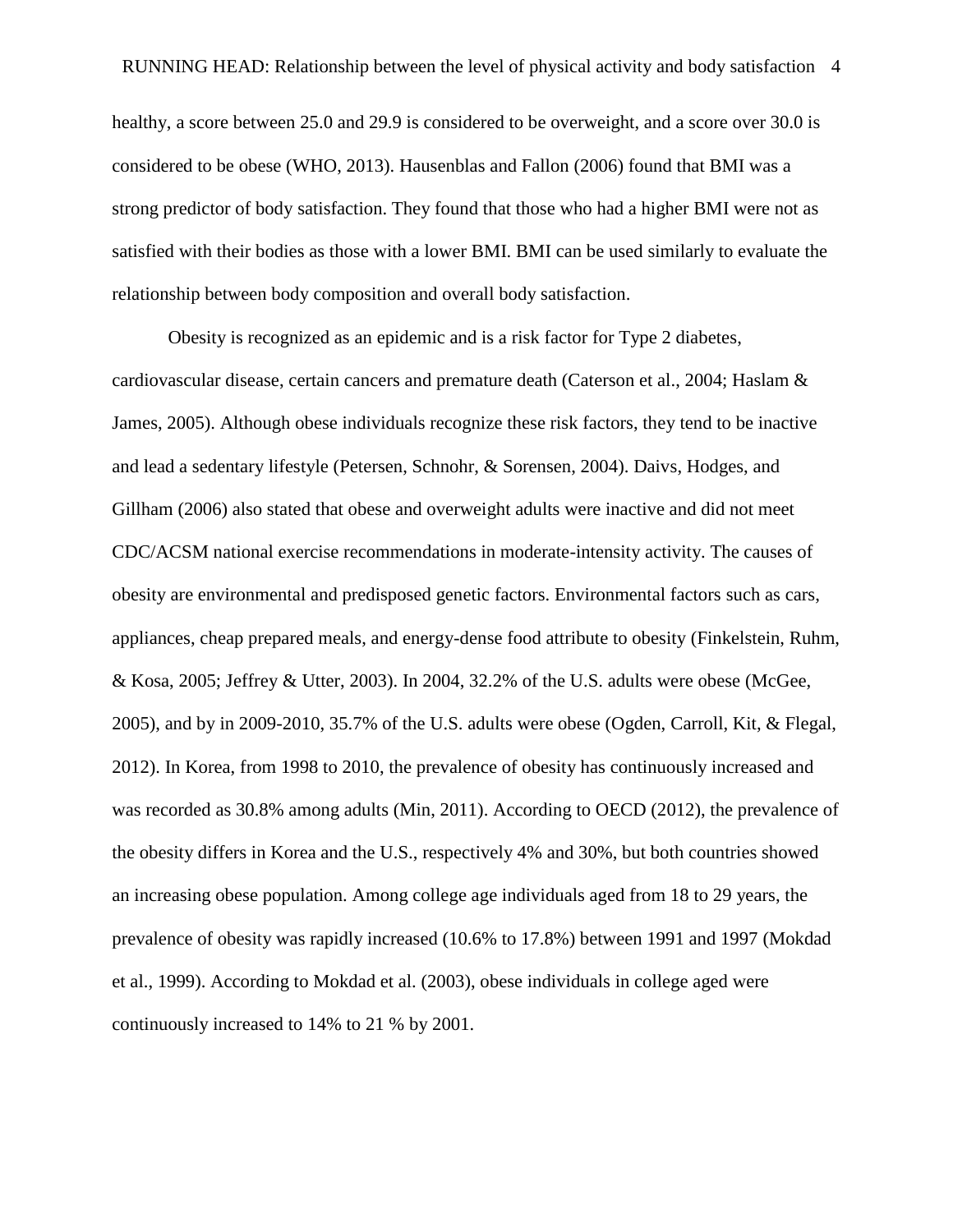healthy, a score between 25.0 and 29.9 is considered to be overweight, and a score over 30.0 is considered to be obese (WHO, 2013). Hausenblas and Fallon (2006) found that BMI was a strong predictor of body satisfaction. They found that those who had a higher BMI were not as satisfied with their bodies as those with a lower BMI. BMI can be used similarly to evaluate the relationship between body composition and overall body satisfaction.

Obesity is recognized as an epidemic and is a risk factor for Type 2 diabetes, cardiovascular disease, certain cancers and premature death (Caterson et al., 2004; Haslam & James, 2005). Although obese individuals recognize these risk factors, they tend to be inactive and lead a sedentary lifestyle (Petersen, Schnohr, & Sorensen, 2004). Daivs, Hodges, and Gillham (2006) also stated that obese and overweight adults were inactive and did not meet CDC/ACSM national exercise recommendations in moderate-intensity activity. The causes of obesity are environmental and predisposed genetic factors. Environmental factors such as cars, appliances, cheap prepared meals, and energy-dense food attribute to obesity (Finkelstein, Ruhm, & Kosa, 2005; Jeffrey & Utter, 2003). In 2004, 32.2% of the U.S. adults were obese (McGee, 2005), and by in 2009-2010, 35.7% of the U.S. adults were obese (Ogden, Carroll, Kit, & Flegal, 2012). In Korea, from 1998 to 2010, the prevalence of obesity has continuously increased and was recorded as 30.8% among adults (Min, 2011). According to OECD (2012), the prevalence of the obesity differs in Korea and the U.S., respectively 4% and 30%, but both countries showed an increasing obese population. Among college age individuals aged from 18 to 29 years, the prevalence of obesity was rapidly increased (10.6% to 17.8%) between 1991 and 1997 (Mokdad et al., 1999). According to Mokdad et al. (2003), obese individuals in college aged were continuously increased to 14% to 21 % by 2001.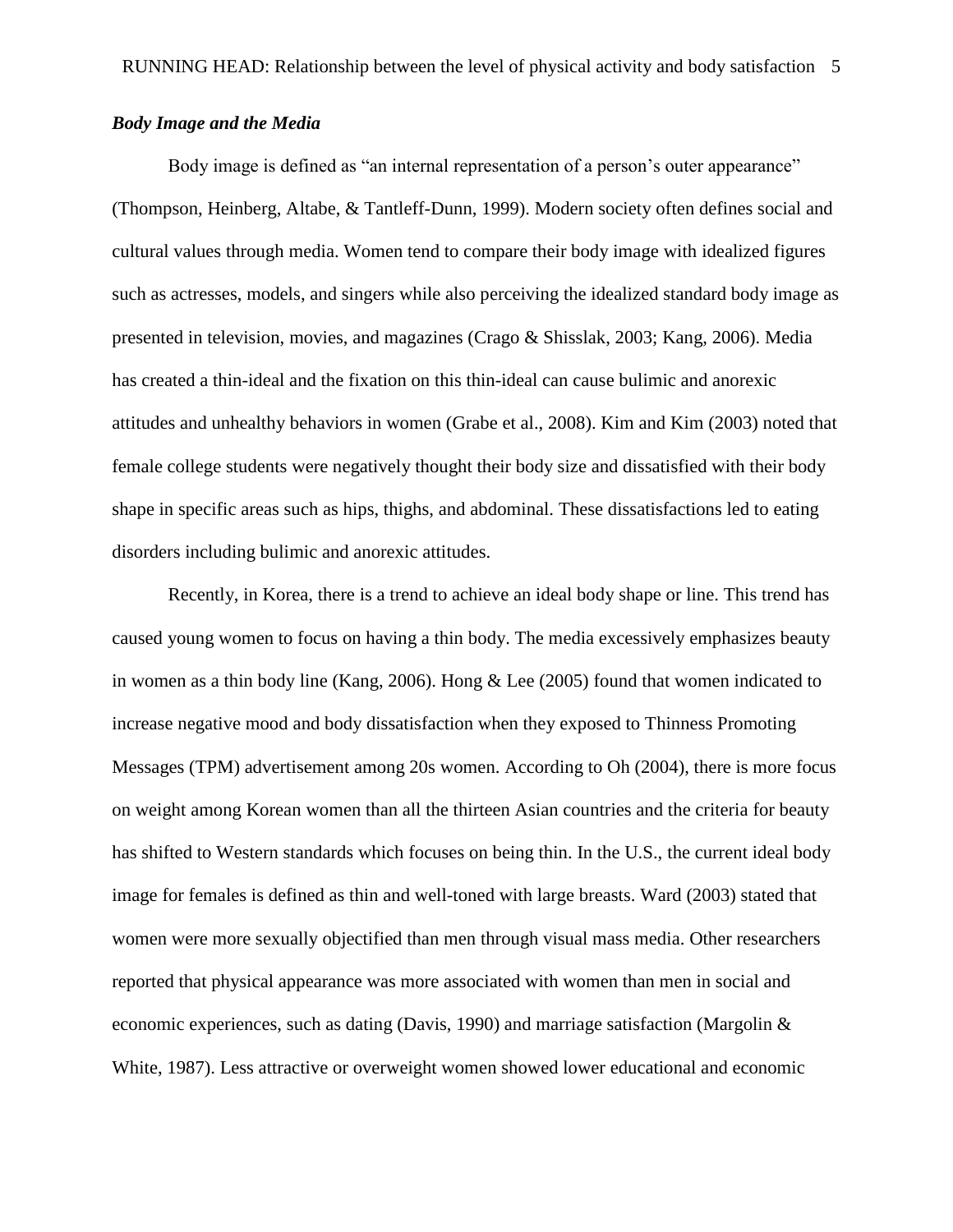## *Body Image and the Media*

Body image is defined as "an internal representation of a person's outer appearance" (Thompson, Heinberg, Altabe, & Tantleff-Dunn, 1999). Modern society often defines social and cultural values through media. Women tend to compare their body image with idealized figures such as actresses, models, and singers while also perceiving the idealized standard body image as presented in television, movies, and magazines (Crago & Shisslak, 2003; Kang, 2006). Media has created a thin-ideal and the fixation on this thin-ideal can cause bulimic and anorexic attitudes and unhealthy behaviors in women (Grabe et al., 2008). Kim and Kim (2003) noted that female college students were negatively thought their body size and dissatisfied with their body shape in specific areas such as hips, thighs, and abdominal. These dissatisfactions led to eating disorders including bulimic and anorexic attitudes.

Recently, in Korea, there is a trend to achieve an ideal body shape or line. This trend has caused young women to focus on having a thin body. The media excessively emphasizes beauty in women as a thin body line (Kang, 2006). Hong & Lee (2005) found that women indicated to increase negative mood and body dissatisfaction when they exposed to Thinness Promoting Messages (TPM) advertisement among 20s women. According to Oh (2004), there is more focus on weight among Korean women than all the thirteen Asian countries and the criteria for beauty has shifted to Western standards which focuses on being thin. In the U.S., the current ideal body image for females is defined as thin and well-toned with large breasts. Ward (2003) stated that women were more sexually objectified than men through visual mass media. Other researchers reported that physical appearance was more associated with women than men in social and economic experiences, such as dating (Davis, 1990) and marriage satisfaction (Margolin & White, 1987). Less attractive or overweight women showed lower educational and economic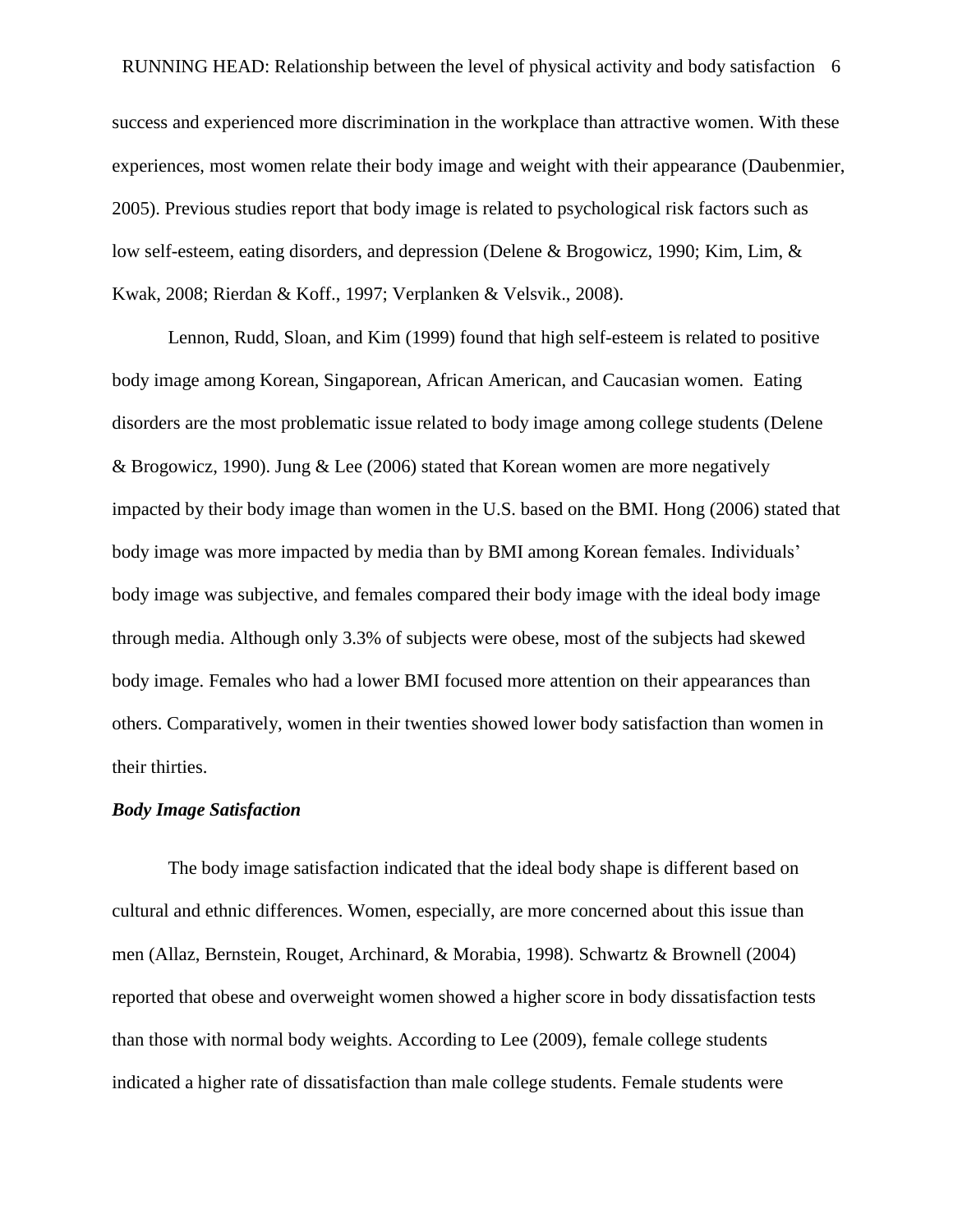RUNNING HEAD: Relationship between the level of physical activity and body satisfaction 6 success and experienced more discrimination in the workplace than attractive women. With these experiences, most women relate their body image and weight with their appearance (Daubenmier, 2005). Previous studies report that body image is related to psychological risk factors such as low self-esteem, eating disorders, and depression (Delene & Brogowicz, 1990; Kim, Lim, & Kwak, 2008; Rierdan & Koff., 1997; Verplanken & Velsvik., 2008).

Lennon, Rudd, Sloan, and Kim (1999) found that high self-esteem is related to positive body image among Korean, Singaporean, African American, and Caucasian women. Eating disorders are the most problematic issue related to body image among college students (Delene & Brogowicz, 1990). Jung & Lee (2006) stated that Korean women are more negatively impacted by their body image than women in the U.S. based on the BMI. Hong (2006) stated that body image was more impacted by media than by BMI among Korean females. Individuals' body image was subjective, and females compared their body image with the ideal body image through media. Although only 3.3% of subjects were obese, most of the subjects had skewed body image. Females who had a lower BMI focused more attention on their appearances than others. Comparatively, women in their twenties showed lower body satisfaction than women in their thirties.

#### *Body Image Satisfaction*

The body image satisfaction indicated that the ideal body shape is different based on cultural and ethnic differences. Women, especially, are more concerned about this issue than men (Allaz, Bernstein, Rouget, Archinard, & Morabia, 1998). Schwartz & Brownell (2004) reported that obese and overweight women showed a higher score in body dissatisfaction tests than those with normal body weights. According to Lee (2009), female college students indicated a higher rate of dissatisfaction than male college students. Female students were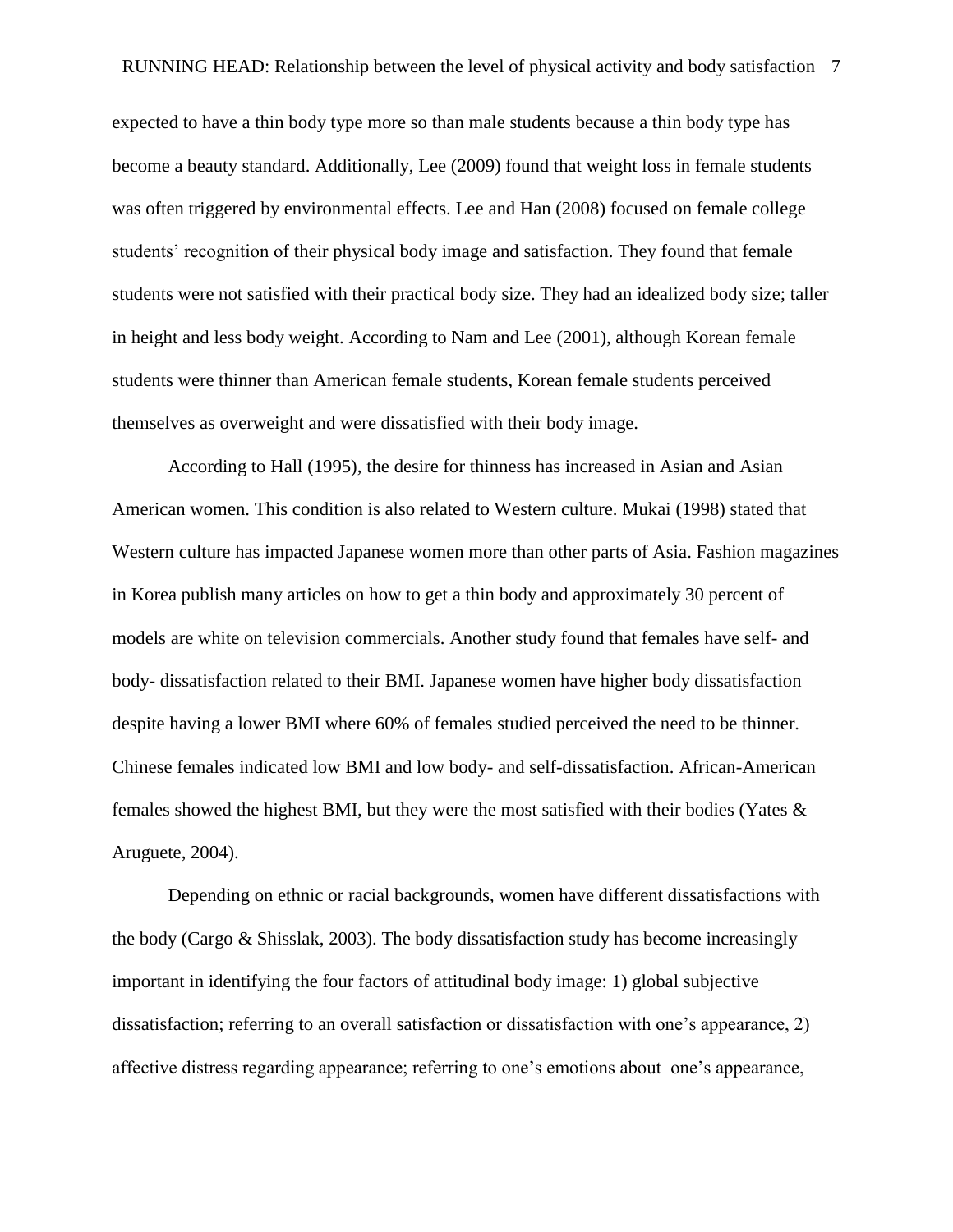expected to have a thin body type more so than male students because a thin body type has become a beauty standard. Additionally, Lee (2009) found that weight loss in female students was often triggered by environmental effects. Lee and Han (2008) focused on female college students' recognition of their physical body image and satisfaction. They found that female students were not satisfied with their practical body size. They had an idealized body size; taller in height and less body weight. According to Nam and Lee (2001), although Korean female students were thinner than American female students, Korean female students perceived themselves as overweight and were dissatisfied with their body image.

According to Hall (1995), the desire for thinness has increased in Asian and Asian American women. This condition is also related to Western culture. Mukai (1998) stated that Western culture has impacted Japanese women more than other parts of Asia. Fashion magazines in Korea publish many articles on how to get a thin body and approximately 30 percent of models are white on television commercials. Another study found that females have self- and body- dissatisfaction related to their BMI. Japanese women have higher body dissatisfaction despite having a lower BMI where 60% of females studied perceived the need to be thinner. Chinese females indicated low BMI and low body- and self-dissatisfaction. African-American females showed the highest BMI, but they were the most satisfied with their bodies (Yates & Aruguete, 2004).

Depending on ethnic or racial backgrounds, women have different dissatisfactions with the body (Cargo & Shisslak, 2003). The body dissatisfaction study has become increasingly important in identifying the four factors of attitudinal body image: 1) global subjective dissatisfaction; referring to an overall satisfaction or dissatisfaction with one's appearance, 2) affective distress regarding appearance; referring to one's emotions about one's appearance,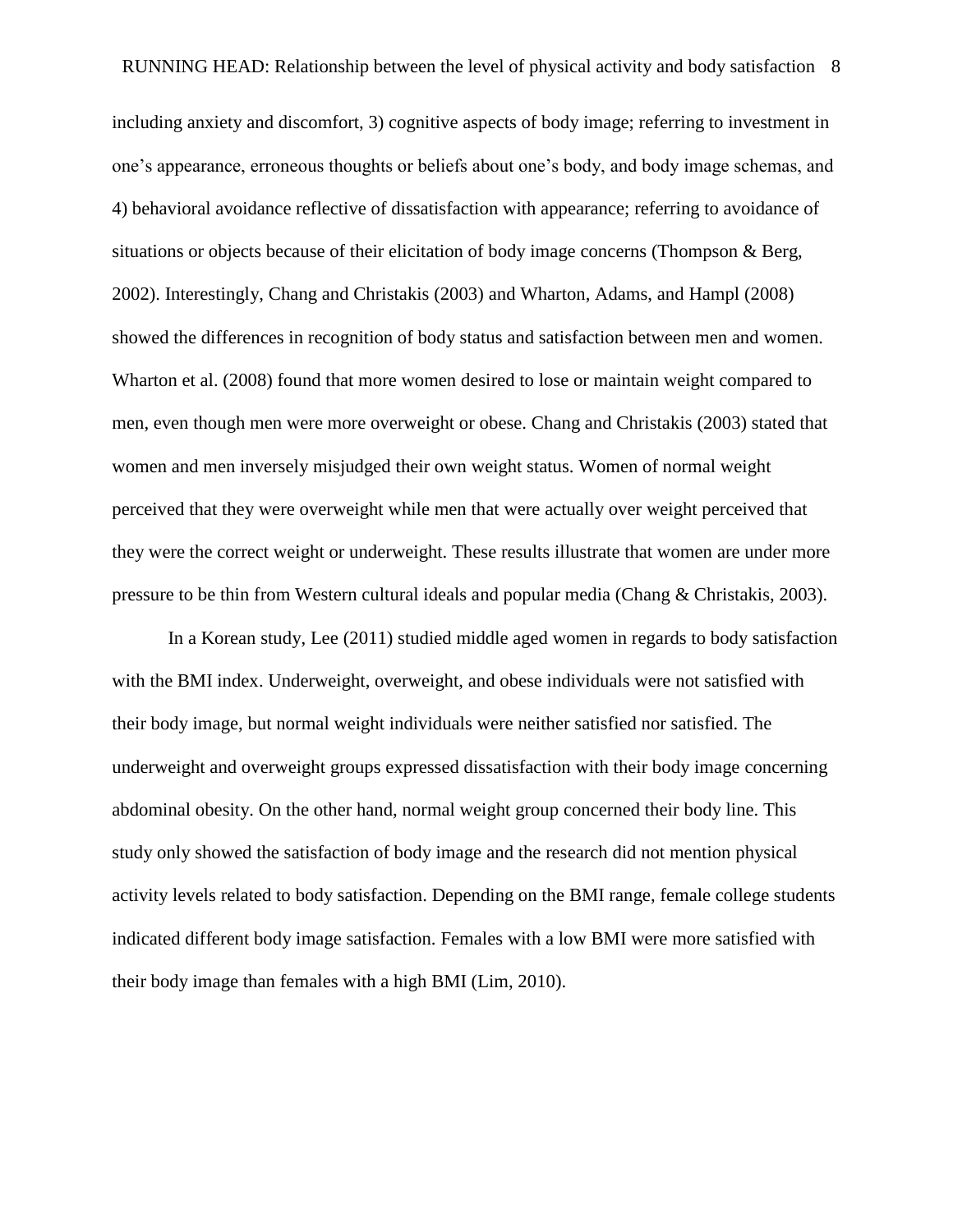including anxiety and discomfort, 3) cognitive aspects of body image; referring to investment in one's appearance, erroneous thoughts or beliefs about one's body, and body image schemas, and 4) behavioral avoidance reflective of dissatisfaction with appearance; referring to avoidance of situations or objects because of their elicitation of body image concerns (Thompson & Berg, 2002). Interestingly, Chang and Christakis (2003) and Wharton, Adams, and Hampl (2008) showed the differences in recognition of body status and satisfaction between men and women. Wharton et al. (2008) found that more women desired to lose or maintain weight compared to men, even though men were more overweight or obese. Chang and Christakis (2003) stated that women and men inversely misjudged their own weight status. Women of normal weight perceived that they were overweight while men that were actually over weight perceived that they were the correct weight or underweight. These results illustrate that women are under more pressure to be thin from Western cultural ideals and popular media (Chang & Christakis, 2003).

In a Korean study, Lee (2011) studied middle aged women in regards to body satisfaction with the BMI index. Underweight, overweight, and obese individuals were not satisfied with their body image, but normal weight individuals were neither satisfied nor satisfied. The underweight and overweight groups expressed dissatisfaction with their body image concerning abdominal obesity. On the other hand, normal weight group concerned their body line. This study only showed the satisfaction of body image and the research did not mention physical activity levels related to body satisfaction. Depending on the BMI range, female college students indicated different body image satisfaction. Females with a low BMI were more satisfied with their body image than females with a high BMI (Lim, 2010).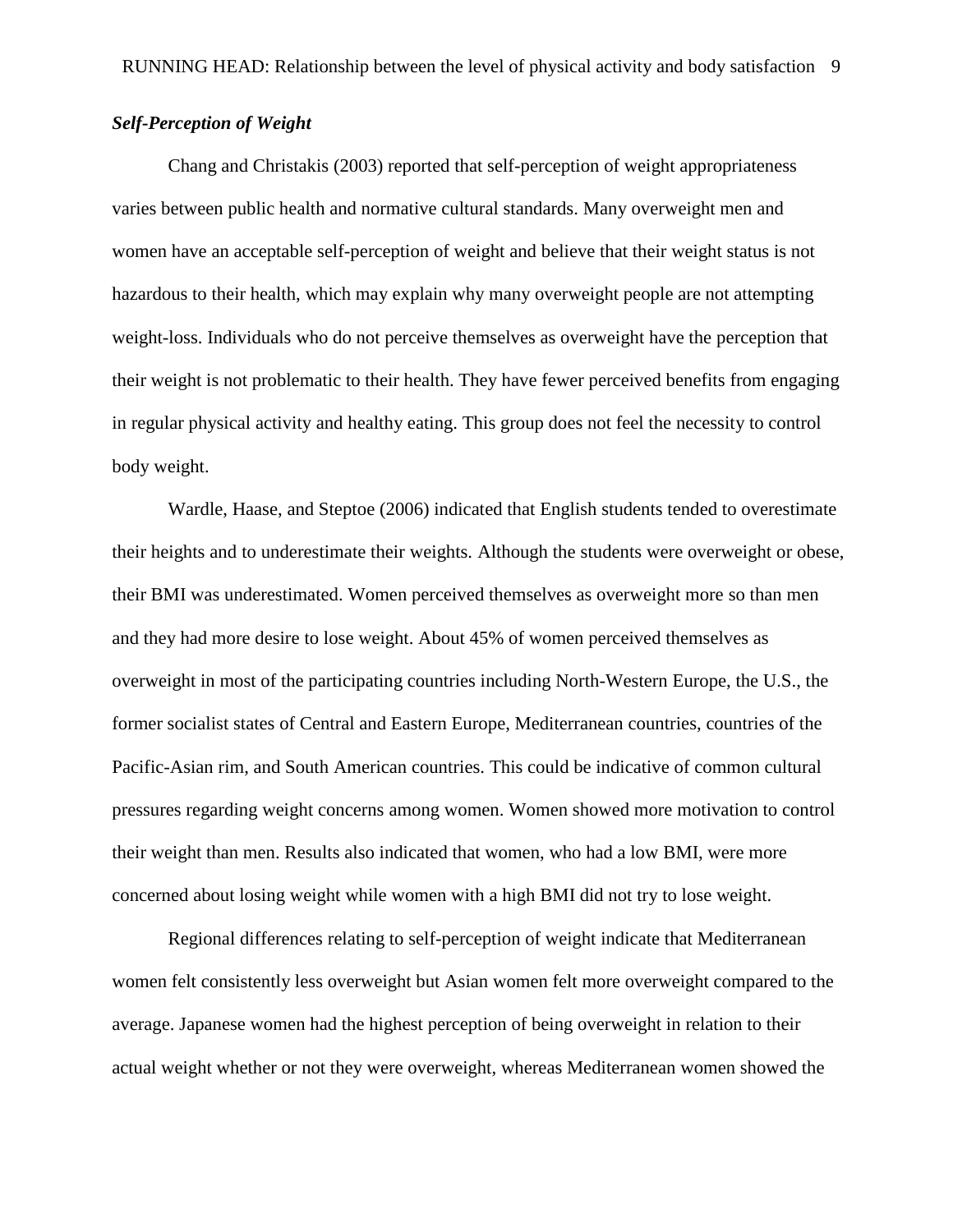## *Self-Perception of Weight*

Chang and Christakis (2003) reported that self-perception of weight appropriateness varies between public health and normative cultural standards. Many overweight men and women have an acceptable self-perception of weight and believe that their weight status is not hazardous to their health, which may explain why many overweight people are not attempting weight-loss. Individuals who do not perceive themselves as overweight have the perception that their weight is not problematic to their health. They have fewer perceived benefits from engaging in regular physical activity and healthy eating. This group does not feel the necessity to control body weight.

Wardle, Haase, and Steptoe (2006) indicated that English students tended to overestimate their heights and to underestimate their weights. Although the students were overweight or obese, their BMI was underestimated. Women perceived themselves as overweight more so than men and they had more desire to lose weight. About 45% of women perceived themselves as overweight in most of the participating countries including North-Western Europe, the U.S., the former socialist states of Central and Eastern Europe, Mediterranean countries, countries of the Pacific-Asian rim, and South American countries. This could be indicative of common cultural pressures regarding weight concerns among women. Women showed more motivation to control their weight than men. Results also indicated that women, who had a low BMI, were more concerned about losing weight while women with a high BMI did not try to lose weight.

Regional differences relating to self-perception of weight indicate that Mediterranean women felt consistently less overweight but Asian women felt more overweight compared to the average. Japanese women had the highest perception of being overweight in relation to their actual weight whether or not they were overweight, whereas Mediterranean women showed the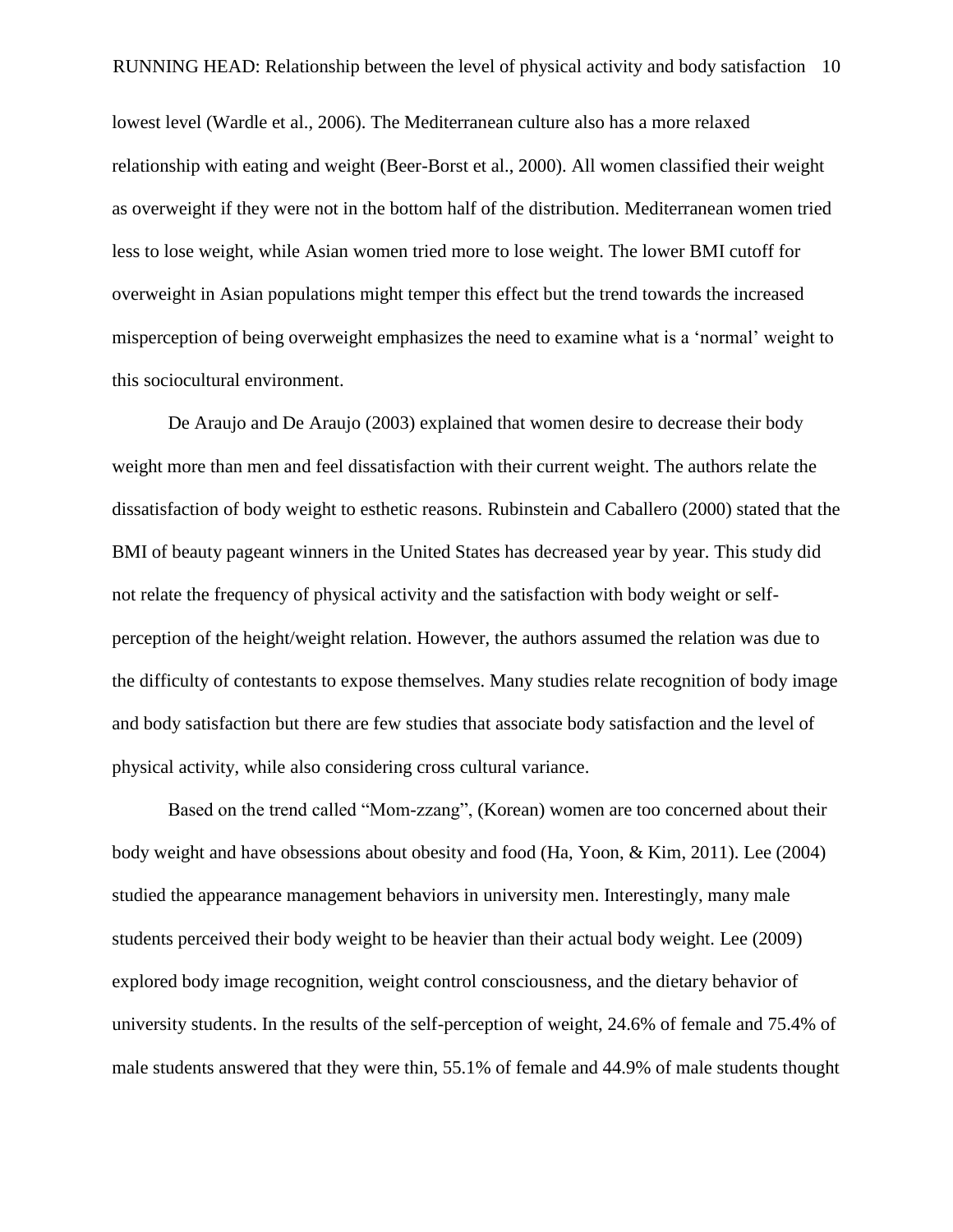lowest level (Wardle et al., 2006). The Mediterranean culture also has a more relaxed relationship with eating and weight (Beer-Borst et al., 2000). All women classified their weight as overweight if they were not in the bottom half of the distribution. Mediterranean women tried less to lose weight, while Asian women tried more to lose weight. The lower BMI cutoff for overweight in Asian populations might temper this effect but the trend towards the increased misperception of being overweight emphasizes the need to examine what is a 'normal' weight to this sociocultural environment.

De Araujo and De Araujo (2003) explained that women desire to decrease their body weight more than men and feel dissatisfaction with their current weight. The authors relate the dissatisfaction of body weight to esthetic reasons. Rubinstein and Caballero (2000) stated that the BMI of beauty pageant winners in the United States has decreased year by year. This study did not relate the frequency of physical activity and the satisfaction with body weight or selfperception of the height/weight relation. However, the authors assumed the relation was due to the difficulty of contestants to expose themselves. Many studies relate recognition of body image and body satisfaction but there are few studies that associate body satisfaction and the level of physical activity, while also considering cross cultural variance.

Based on the trend called "Mom-zzang", (Korean) women are too concerned about their body weight and have obsessions about obesity and food (Ha, Yoon, & Kim, 2011). Lee (2004) studied the appearance management behaviors in university men. Interestingly, many male students perceived their body weight to be heavier than their actual body weight. Lee (2009) explored body image recognition, weight control consciousness, and the dietary behavior of university students. In the results of the self-perception of weight, 24.6% of female and 75.4% of male students answered that they were thin, 55.1% of female and 44.9% of male students thought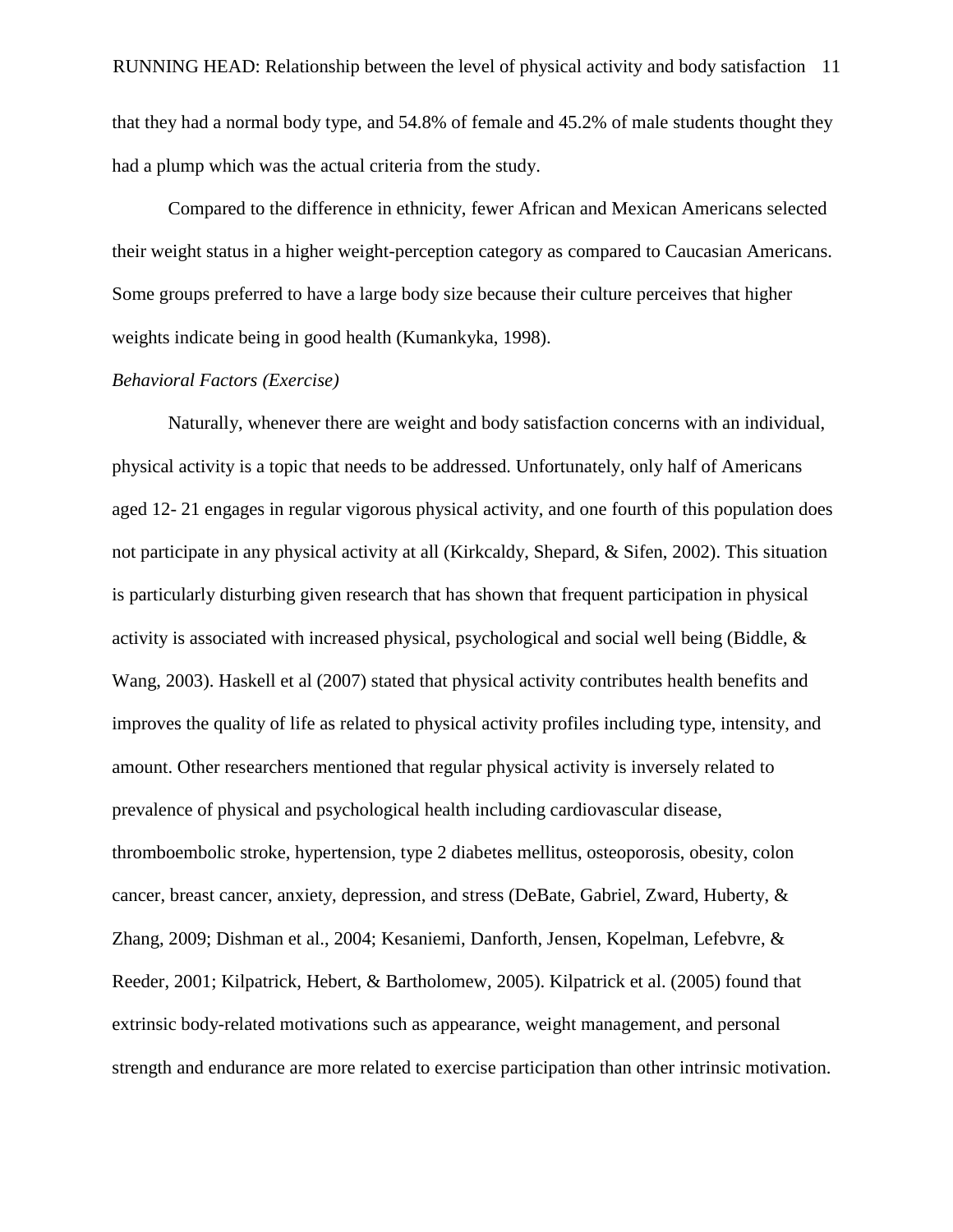RUNNING HEAD: Relationship between the level of physical activity and body satisfaction 11 that they had a normal body type, and 54.8% of female and 45.2% of male students thought they had a plump which was the actual criteria from the study.

Compared to the difference in ethnicity, fewer African and Mexican Americans selected their weight status in a higher weight-perception category as compared to Caucasian Americans. Some groups preferred to have a large body size because their culture perceives that higher weights indicate being in good health (Kumankyka, 1998).

#### *Behavioral Factors (Exercise)*

Naturally, whenever there are weight and body satisfaction concerns with an individual, physical activity is a topic that needs to be addressed. Unfortunately, only half of Americans aged 12- 21 engages in regular vigorous physical activity, and one fourth of this population does not participate in any physical activity at all (Kirkcaldy, Shepard, & Sifen, 2002). This situation is particularly disturbing given research that has shown that frequent participation in physical activity is associated with increased physical, psychological and social well being (Biddle,  $\&$ Wang, 2003). Haskell et al (2007) stated that physical activity contributes health benefits and improves the quality of life as related to physical activity profiles including type, intensity, and amount. Other researchers mentioned that regular physical activity is inversely related to prevalence of physical and psychological health including cardiovascular disease, thromboembolic stroke, hypertension, type 2 diabetes mellitus, osteoporosis, obesity, colon cancer, breast cancer, anxiety, depression, and stress (DeBate, Gabriel, Zward, Huberty, & Zhang, 2009; Dishman et al., 2004; Kesaniemi, Danforth, Jensen, Kopelman, Lefebvre, & Reeder, 2001; Kilpatrick, Hebert, & Bartholomew, 2005). Kilpatrick et al. (2005) found that extrinsic body-related motivations such as appearance, weight management, and personal strength and endurance are more related to exercise participation than other intrinsic motivation.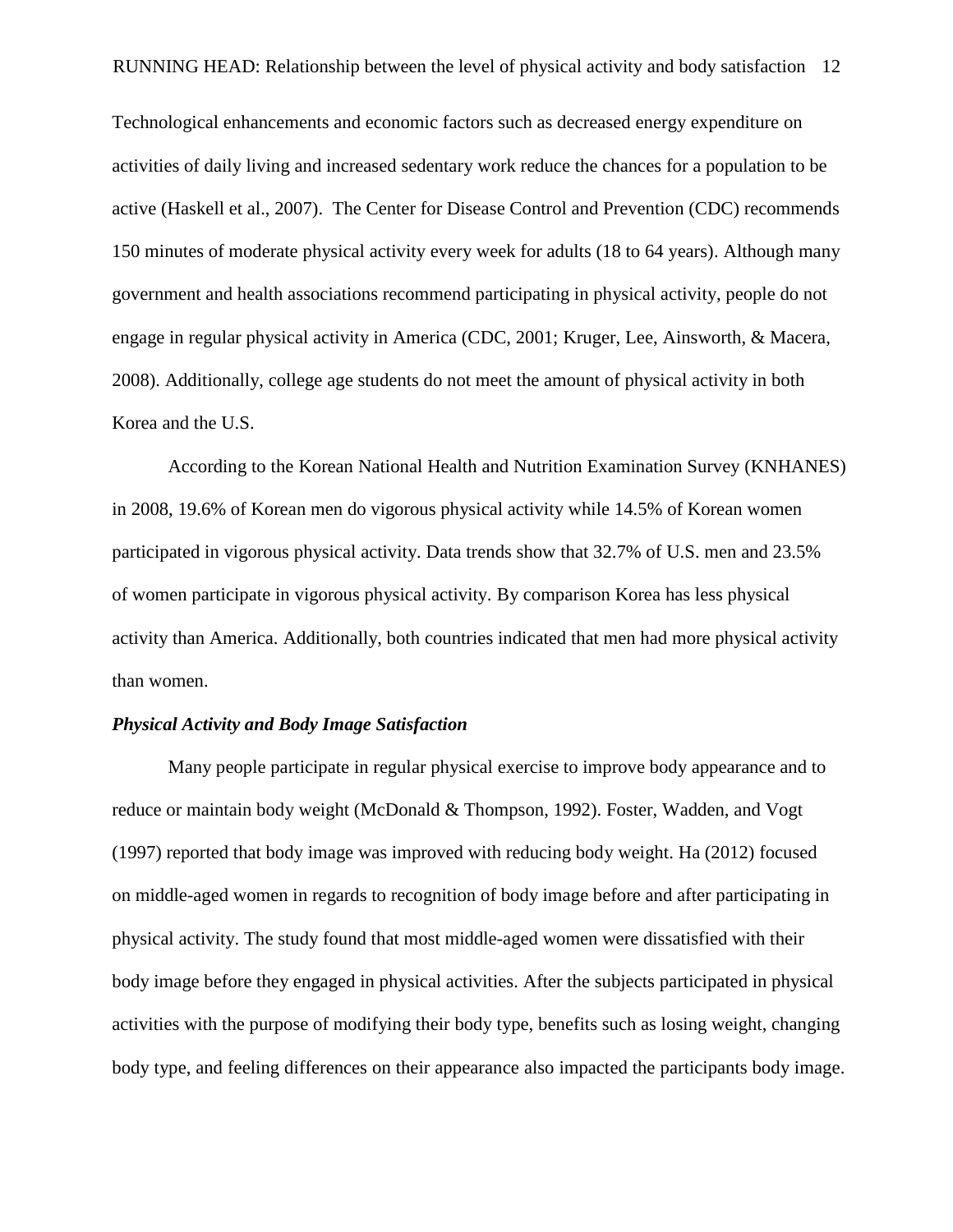Technological enhancements and economic factors such as decreased energy expenditure on activities of daily living and increased sedentary work reduce the chances for a population to be active (Haskell et al., 2007). The Center for Disease Control and Prevention (CDC) recommends 150 minutes of moderate physical activity every week for adults (18 to 64 years). Although many government and health associations recommend participating in physical activity, people do not engage in regular physical activity in America (CDC, 2001; Kruger, Lee, Ainsworth, & Macera, 2008). Additionally, college age students do not meet the amount of physical activity in both Korea and the U.S.

According to the Korean National Health and Nutrition Examination Survey (KNHANES) in 2008, 19.6% of Korean men do vigorous physical activity while 14.5% of Korean women participated in vigorous physical activity. Data trends show that 32.7% of U.S. men and 23.5% of women participate in vigorous physical activity. By comparison Korea has less physical activity than America. Additionally, both countries indicated that men had more physical activity than women.

#### *Physical Activity and Body Image Satisfaction*

Many people participate in regular physical exercise to improve body appearance and to reduce or maintain body weight (McDonald & Thompson, 1992). Foster, Wadden, and Vogt (1997) reported that body image was improved with reducing body weight. Ha (2012) focused on middle-aged women in regards to recognition of body image before and after participating in physical activity. The study found that most middle-aged women were dissatisfied with their body image before they engaged in physical activities. After the subjects participated in physical activities with the purpose of modifying their body type, benefits such as losing weight, changing body type, and feeling differences on their appearance also impacted the participants body image.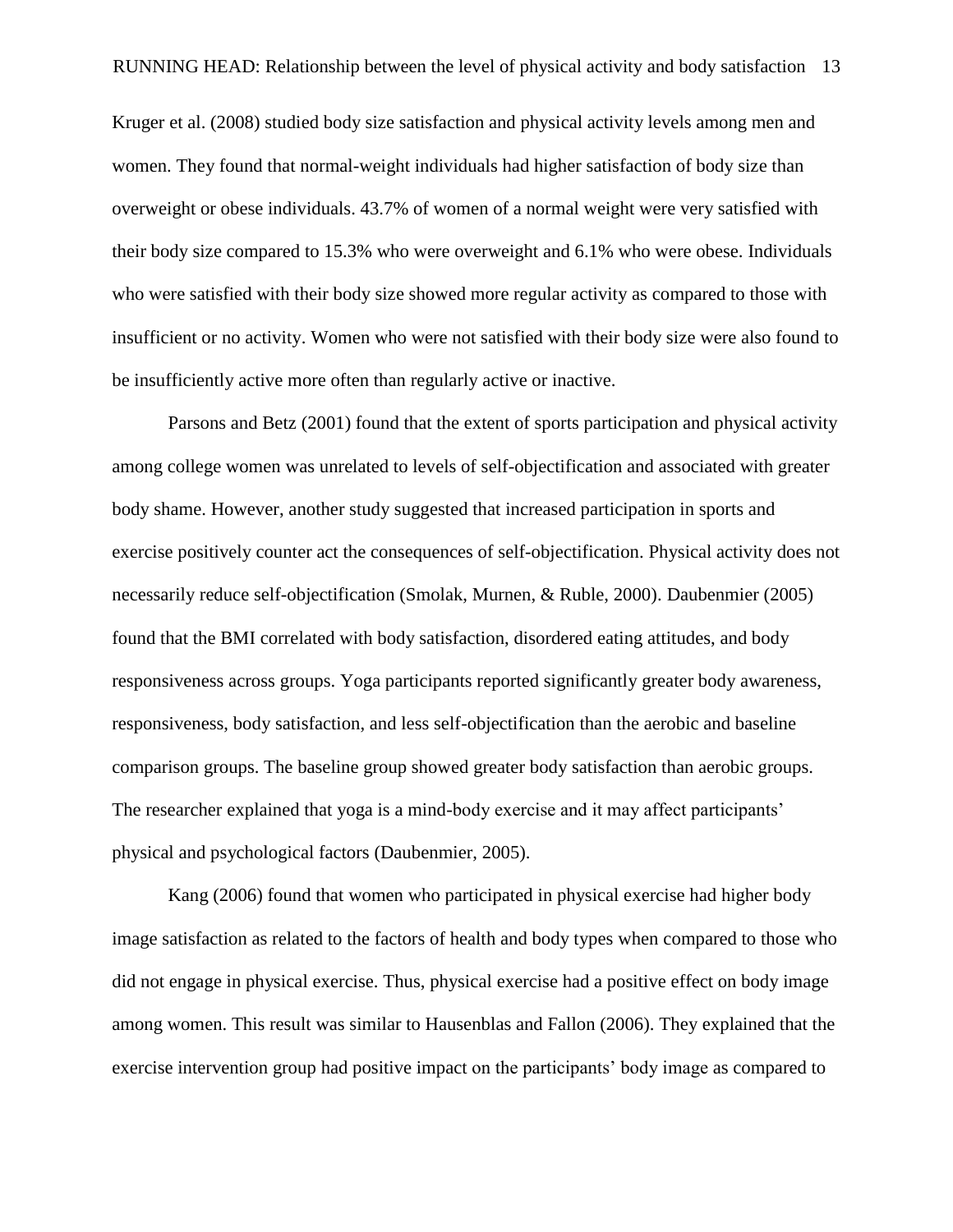Kruger et al. (2008) studied body size satisfaction and physical activity levels among men and women. They found that normal-weight individuals had higher satisfaction of body size than overweight or obese individuals. 43.7% of women of a normal weight were very satisfied with their body size compared to 15.3% who were overweight and 6.1% who were obese. Individuals who were satisfied with their body size showed more regular activity as compared to those with insufficient or no activity. Women who were not satisfied with their body size were also found to be insufficiently active more often than regularly active or inactive.

Parsons and Betz (2001) found that the extent of sports participation and physical activity among college women was unrelated to levels of self-objectification and associated with greater body shame. However, another study suggested that increased participation in sports and exercise positively counter act the consequences of self-objectification. Physical activity does not necessarily reduce self-objectification (Smolak, Murnen, & Ruble, 2000). Daubenmier (2005) found that the BMI correlated with body satisfaction, disordered eating attitudes, and body responsiveness across groups. Yoga participants reported significantly greater body awareness, responsiveness, body satisfaction, and less self-objectification than the aerobic and baseline comparison groups. The baseline group showed greater body satisfaction than aerobic groups. The researcher explained that yoga is a mind-body exercise and it may affect participants' physical and psychological factors (Daubenmier, 2005).

Kang (2006) found that women who participated in physical exercise had higher body image satisfaction as related to the factors of health and body types when compared to those who did not engage in physical exercise. Thus, physical exercise had a positive effect on body image among women. This result was similar to Hausenblas and Fallon (2006). They explained that the exercise intervention group had positive impact on the participants' body image as compared to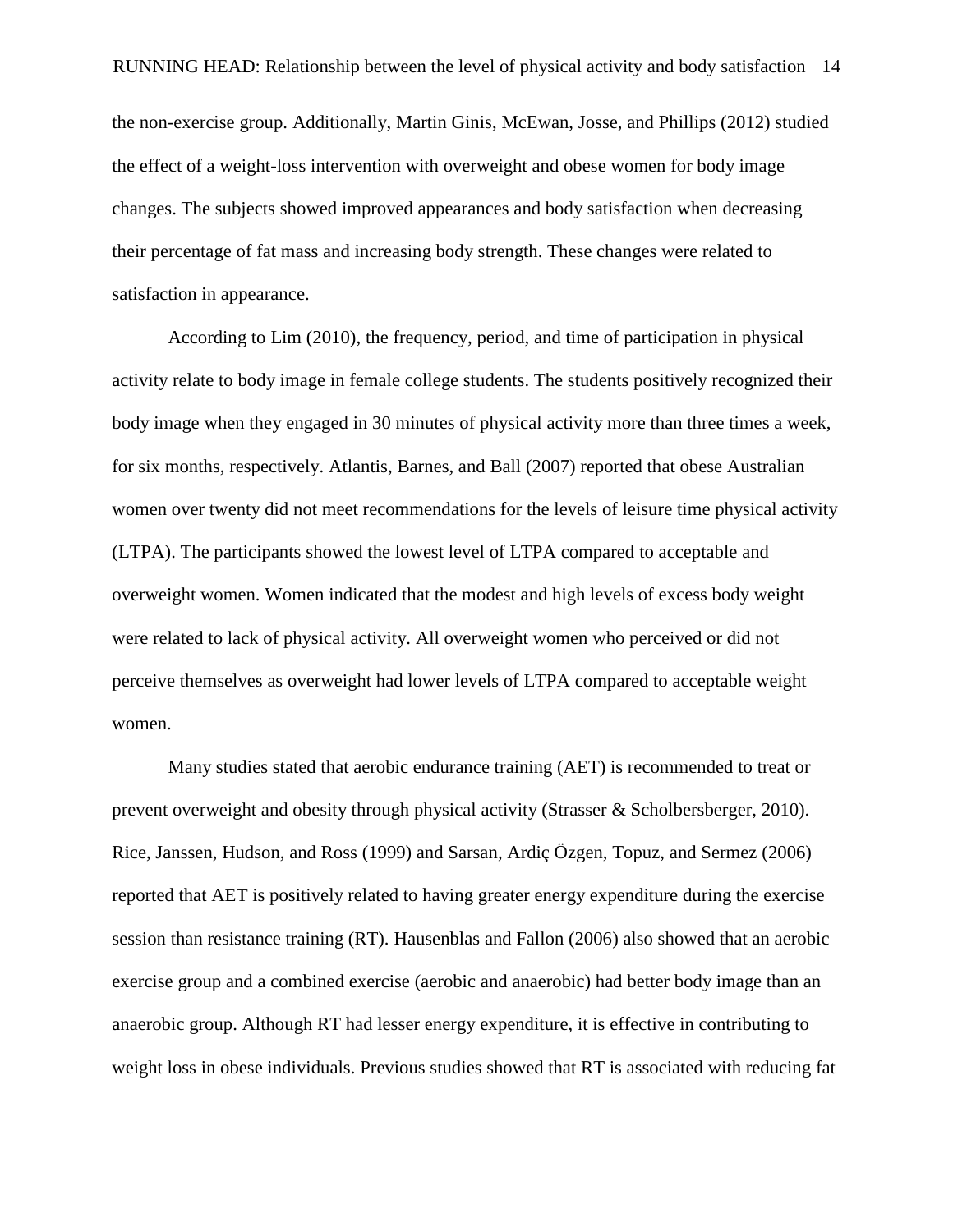the non-exercise group. Additionally, Martin Ginis, McEwan, Josse, and Phillips (2012) studied the effect of a weight-loss intervention with overweight and obese women for body image changes. The subjects showed improved appearances and body satisfaction when decreasing their percentage of fat mass and increasing body strength. These changes were related to satisfaction in appearance.

According to Lim (2010), the frequency, period, and time of participation in physical activity relate to body image in female college students. The students positively recognized their body image when they engaged in 30 minutes of physical activity more than three times a week, for six months, respectively. Atlantis, Barnes, and Ball (2007) reported that obese Australian women over twenty did not meet recommendations for the levels of leisure time physical activity (LTPA). The participants showed the lowest level of LTPA compared to acceptable and overweight women. Women indicated that the modest and high levels of excess body weight were related to lack of physical activity. All overweight women who perceived or did not perceive themselves as overweight had lower levels of LTPA compared to acceptable weight women.

Many studies stated that aerobic endurance training (AET) is recommended to treat or prevent overweight and obesity through physical activity (Strasser & Scholbersberger, 2010). Rice, Janssen, Hudson, and Ross (1999) and Sarsan, Ardiç Ö zgen, Topuz, and Sermez (2006) reported that AET is positively related to having greater energy expenditure during the exercise session than resistance training (RT). Hausenblas and Fallon (2006) also showed that an aerobic exercise group and a combined exercise (aerobic and anaerobic) had better body image than an anaerobic group. Although RT had lesser energy expenditure, it is effective in contributing to weight loss in obese individuals. Previous studies showed that RT is associated with reducing fat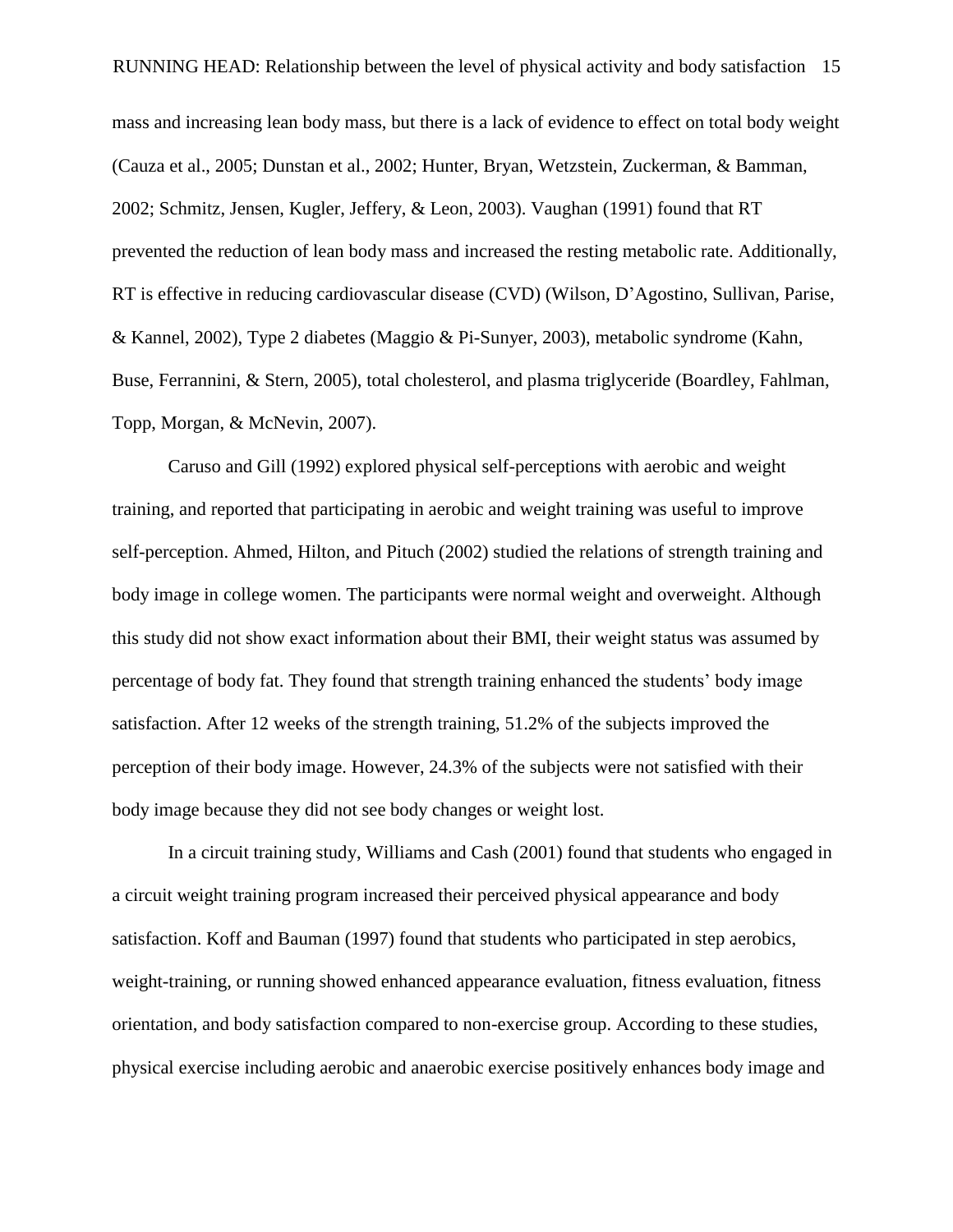RUNNING HEAD: Relationship between the level of physical activity and body satisfaction 15 mass and increasing lean body mass, but there is a lack of evidence to effect on total body weight (Cauza et al., 2005; Dunstan et al., 2002; Hunter, Bryan, Wetzstein, Zuckerman, & Bamman, 2002; Schmitz, Jensen, Kugler, Jeffery, & Leon, 2003). Vaughan (1991) found that RT prevented the reduction of lean body mass and increased the resting metabolic rate. Additionally, RT is effective in reducing cardiovascular disease (CVD) (Wilson, D'Agostino, Sullivan, Parise, & Kannel, 2002), Type 2 diabetes (Maggio & Pi-Sunyer, 2003), metabolic syndrome (Kahn, Buse, Ferrannini, & Stern, 2005), total cholesterol, and plasma triglyceride (Boardley, Fahlman, Topp, Morgan, & McNevin, 2007).

Caruso and Gill (1992) explored physical self-perceptions with aerobic and weight training, and reported that participating in aerobic and weight training was useful to improve self-perception. Ahmed, Hilton, and Pituch (2002) studied the relations of strength training and body image in college women. The participants were normal weight and overweight. Although this study did not show exact information about their BMI, their weight status was assumed by percentage of body fat. They found that strength training enhanced the students' body image satisfaction. After 12 weeks of the strength training, 51.2% of the subjects improved the perception of their body image. However, 24.3% of the subjects were not satisfied with their body image because they did not see body changes or weight lost.

In a circuit training study, Williams and Cash (2001) found that students who engaged in a circuit weight training program increased their perceived physical appearance and body satisfaction. Koff and Bauman (1997) found that students who participated in step aerobics, weight-training, or running showed enhanced appearance evaluation, fitness evaluation, fitness orientation, and body satisfaction compared to non-exercise group. According to these studies, physical exercise including aerobic and anaerobic exercise positively enhances body image and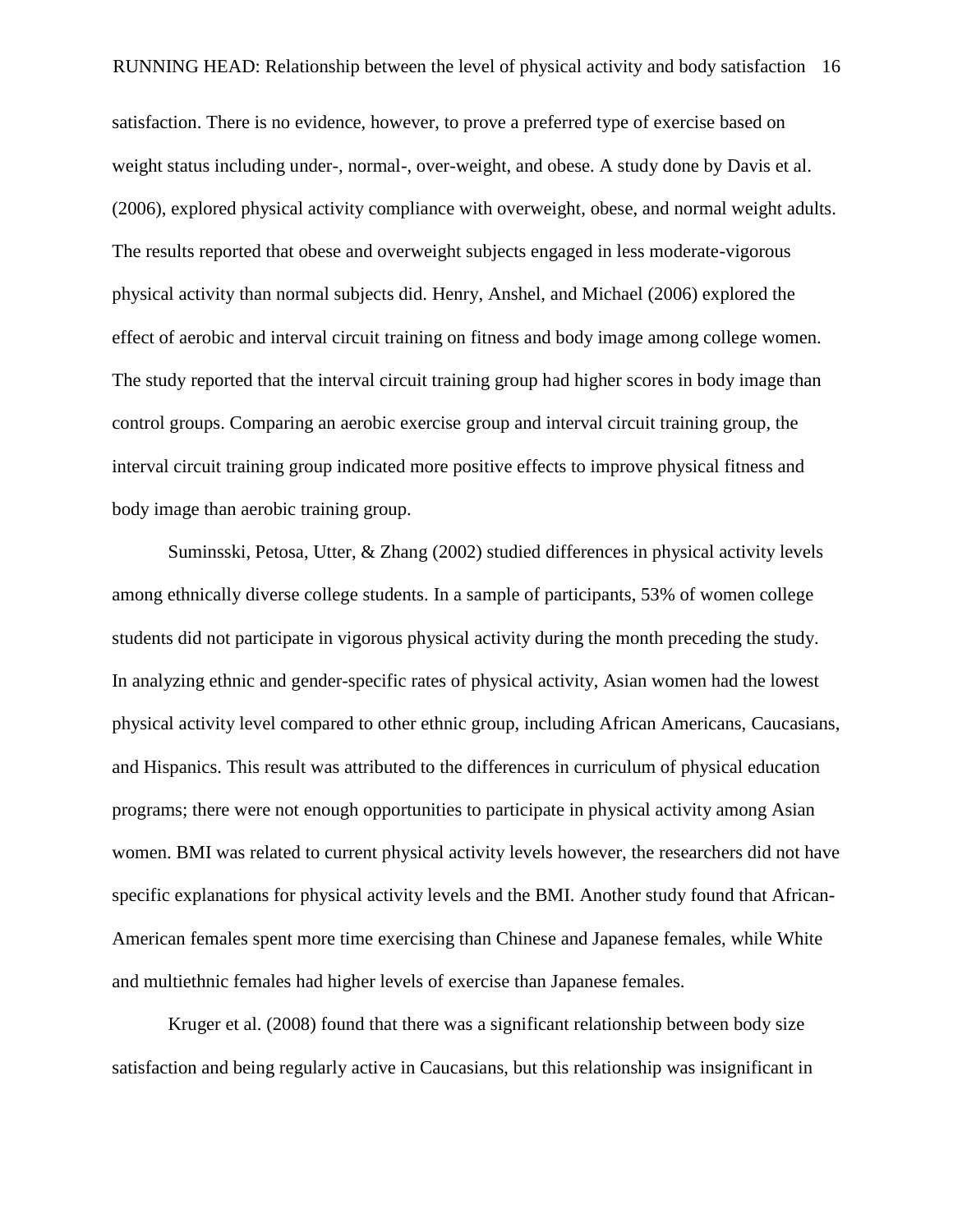satisfaction. There is no evidence, however, to prove a preferred type of exercise based on weight status including under-, normal-, over-weight, and obese. A study done by Davis et al. (2006), explored physical activity compliance with overweight, obese, and normal weight adults. The results reported that obese and overweight subjects engaged in less moderate-vigorous physical activity than normal subjects did. Henry, Anshel, and Michael (2006) explored the effect of aerobic and interval circuit training on fitness and body image among college women. The study reported that the interval circuit training group had higher scores in body image than control groups. Comparing an aerobic exercise group and interval circuit training group, the interval circuit training group indicated more positive effects to improve physical fitness and body image than aerobic training group.

Suminsski, Petosa, Utter, & Zhang (2002) studied differences in physical activity levels among ethnically diverse college students. In a sample of participants, 53% of women college students did not participate in vigorous physical activity during the month preceding the study. In analyzing ethnic and gender-specific rates of physical activity, Asian women had the lowest physical activity level compared to other ethnic group, including African Americans, Caucasians, and Hispanics. This result was attributed to the differences in curriculum of physical education programs; there were not enough opportunities to participate in physical activity among Asian women. BMI was related to current physical activity levels however, the researchers did not have specific explanations for physical activity levels and the BMI. Another study found that African-American females spent more time exercising than Chinese and Japanese females, while White and multiethnic females had higher levels of exercise than Japanese females.

Kruger et al. (2008) found that there was a significant relationship between body size satisfaction and being regularly active in Caucasians, but this relationship was insignificant in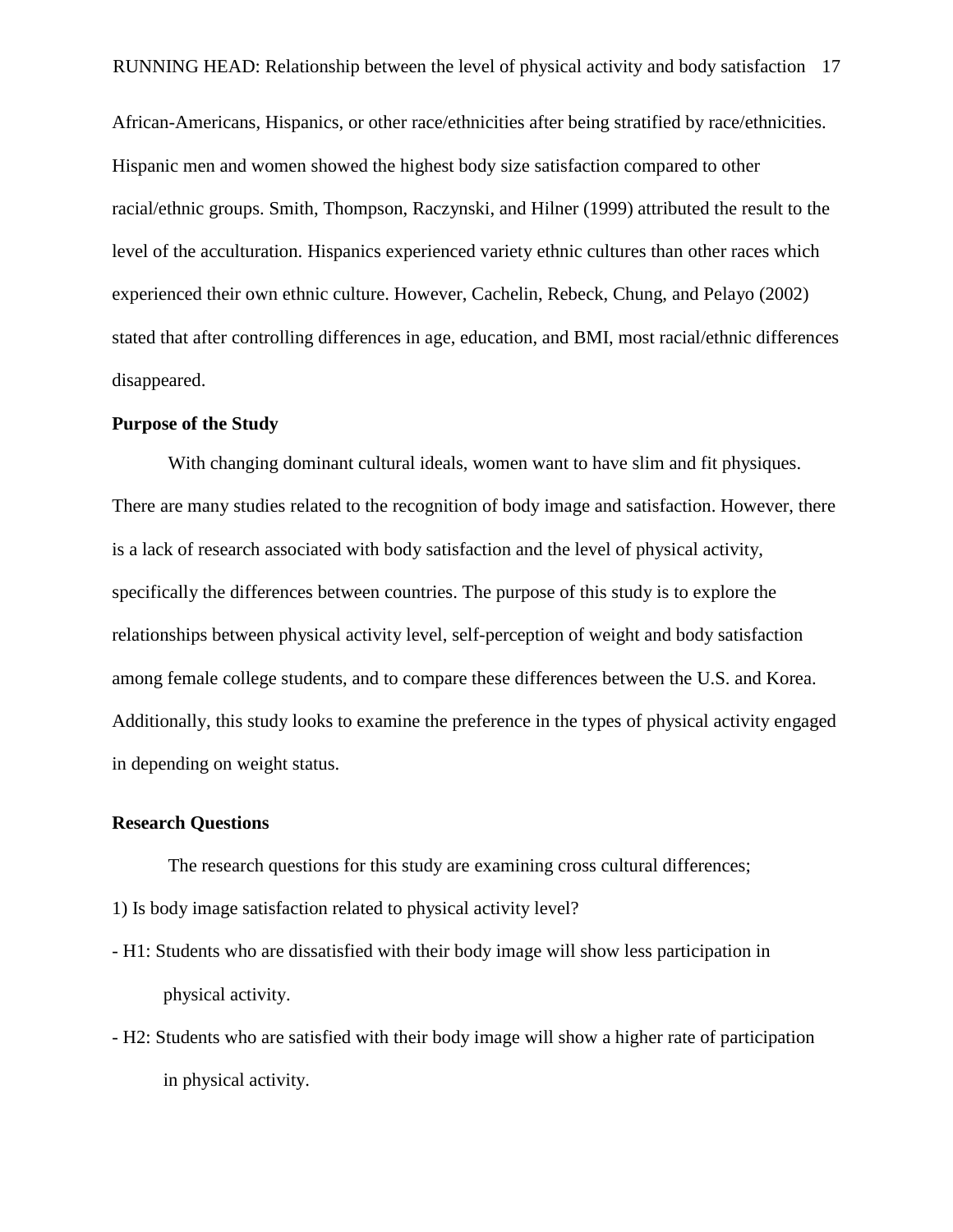African-Americans, Hispanics, or other race/ethnicities after being stratified by race/ethnicities. Hispanic men and women showed the highest body size satisfaction compared to other racial/ethnic groups. Smith, Thompson, Raczynski, and Hilner (1999) attributed the result to the level of the acculturation. Hispanics experienced variety ethnic cultures than other races which experienced their own ethnic culture. However, Cachelin, Rebeck, Chung, and Pelayo (2002) stated that after controlling differences in age, education, and BMI, most racial/ethnic differences disappeared.

#### **Purpose of the Study**

With changing dominant cultural ideals, women want to have slim and fit physiques. There are many studies related to the recognition of body image and satisfaction. However, there is a lack of research associated with body satisfaction and the level of physical activity, specifically the differences between countries. The purpose of this study is to explore the relationships between physical activity level, self-perception of weight and body satisfaction among female college students, and to compare these differences between the U.S. and Korea. Additionally, this study looks to examine the preference in the types of physical activity engaged in depending on weight status.

#### **Research Questions**

The research questions for this study are examining cross cultural differences;

- 1) Is body image satisfaction related to physical activity level?
- H1: Students who are dissatisfied with their body image will show less participation in physical activity.
- H2: Students who are satisfied with their body image will show a higher rate of participation in physical activity.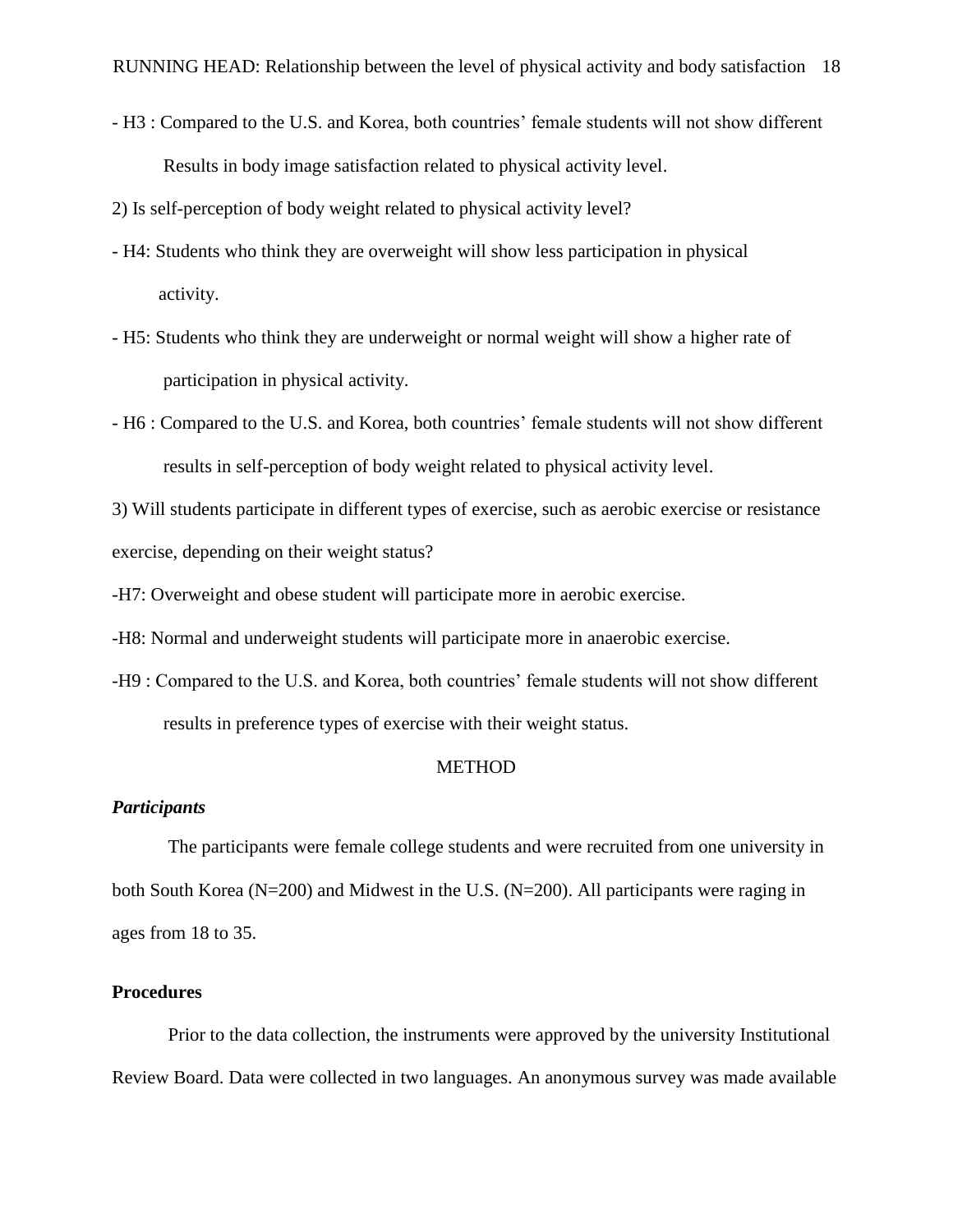- H3 : Compared to the U.S. and Korea, both countries' female students will not show different Results in body image satisfaction related to physical activity level.
- 2) Is self-perception of body weight related to physical activity level?
- H4: Students who think they are overweight will show less participation in physical activity.
- H5: Students who think they are underweight or normal weight will show a higher rate of participation in physical activity.
- H6 : Compared to the U.S. and Korea, both countries' female students will not show different results in self-perception of body weight related to physical activity level.

3) Will students participate in different types of exercise, such as aerobic exercise or resistance exercise, depending on their weight status?

-H7: Overweight and obese student will participate more in aerobic exercise.

-H8: Normal and underweight students will participate more in anaerobic exercise.

-H9 : Compared to the U.S. and Korea, both countries' female students will not show different results in preference types of exercise with their weight status.

#### METHOD

### *Participants*

The participants were female college students and were recruited from one university in both South Korea (N=200) and Midwest in the U.S. (N=200). All participants were raging in ages from 18 to 35.

#### **Procedures**

Prior to the data collection, the instruments were approved by the university Institutional Review Board. Data were collected in two languages. An anonymous survey was made available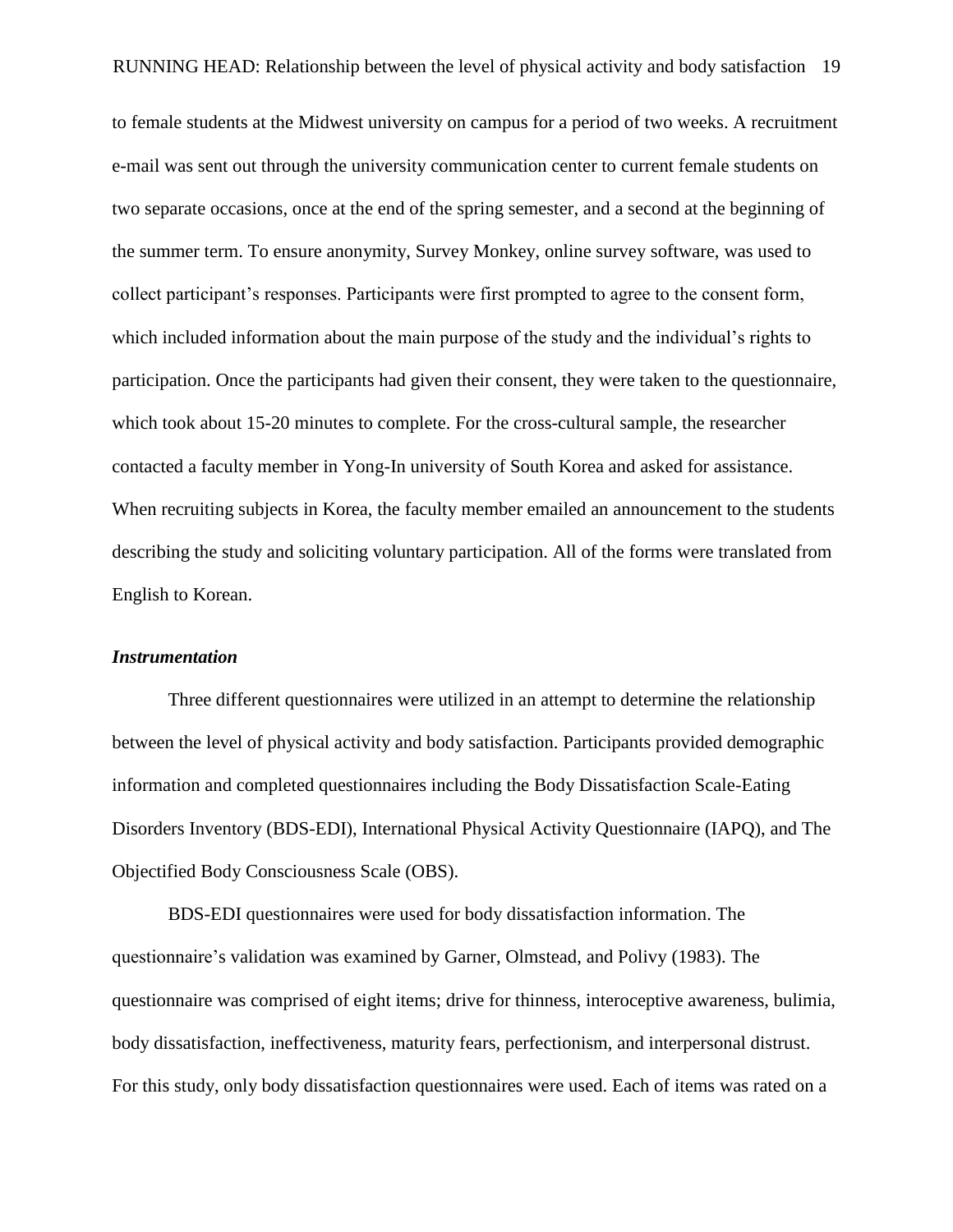to female students at the Midwest university on campus for a period of two weeks. A recruitment e-mail was sent out through the university communication center to current female students on two separate occasions, once at the end of the spring semester, and a second at the beginning of the summer term. To ensure anonymity, Survey Monkey, online survey software, was used to collect participant's responses. Participants were first prompted to agree to the consent form, which included information about the main purpose of the study and the individual's rights to participation. Once the participants had given their consent, they were taken to the questionnaire, which took about 15-20 minutes to complete. For the cross-cultural sample, the researcher contacted a faculty member in Yong-In university of South Korea and asked for assistance. When recruiting subjects in Korea, the faculty member emailed an announcement to the students describing the study and soliciting voluntary participation. All of the forms were translated from English to Korean.

#### *Instrumentation*

Three different questionnaires were utilized in an attempt to determine the relationship between the level of physical activity and body satisfaction. Participants provided demographic information and completed questionnaires including the Body Dissatisfaction Scale-Eating Disorders Inventory (BDS-EDI), International Physical Activity Questionnaire (IAPQ), and The Objectified Body Consciousness Scale (OBS).

BDS-EDI questionnaires were used for body dissatisfaction information. The questionnaire's validation was examined by Garner, Olmstead, and Polivy (1983). The questionnaire was comprised of eight items; drive for thinness, interoceptive awareness, bulimia, body dissatisfaction, ineffectiveness, maturity fears, perfectionism, and interpersonal distrust. For this study, only body dissatisfaction questionnaires were used. Each of items was rated on a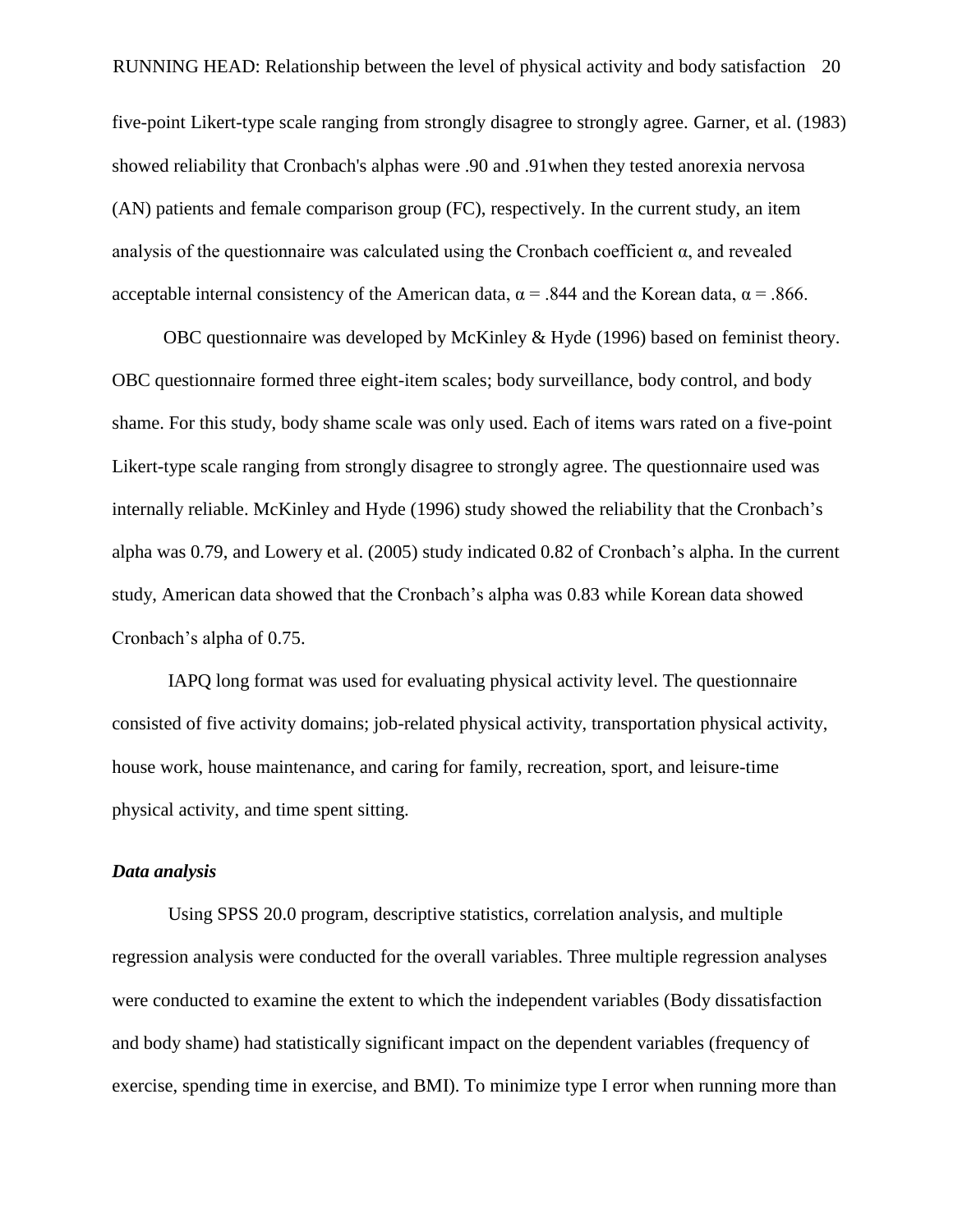RUNNING HEAD: Relationship between the level of physical activity and body satisfaction 20

five-point Likert-type scale ranging from strongly disagree to strongly agree. Garner, et al. (1983) showed reliability that Cronbach's alphas were .90 and .91when they tested anorexia nervosa (AN) patients and female comparison group (FC), respectively. In the current study, an item analysis of the questionnaire was calculated using the Cronbach coefficient  $\alpha$ , and revealed acceptable internal consistency of the American data,  $\alpha$  = .844 and the Korean data,  $\alpha$  = .866.

OBC questionnaire was developed by McKinley & Hyde (1996) based on feminist theory. OBC questionnaire formed three eight-item scales; body surveillance, body control, and body shame. For this study, body shame scale was only used. Each of items wars rated on a five-point Likert-type scale ranging from strongly disagree to strongly agree. The questionnaire used was internally reliable. McKinley and Hyde (1996) study showed the reliability that the Cronbach's alpha was 0.79, and Lowery et al. (2005) study indicated 0.82 of Cronbach's alpha. In the current study, American data showed that the Cronbach's alpha was 0.83 while Korean data showed Cronbach's alpha of 0.75.

IAPQ long format was used for evaluating physical activity level. The questionnaire consisted of five activity domains; job-related physical activity, transportation physical activity, house work, house maintenance, and caring for family, recreation, sport, and leisure-time physical activity, and time spent sitting.

### *Data analysis*

Using SPSS 20.0 program, descriptive statistics, correlation analysis, and multiple regression analysis were conducted for the overall variables. Three multiple regression analyses were conducted to examine the extent to which the independent variables (Body dissatisfaction and body shame) had statistically significant impact on the dependent variables (frequency of exercise, spending time in exercise, and BMI). To minimize type I error when running more than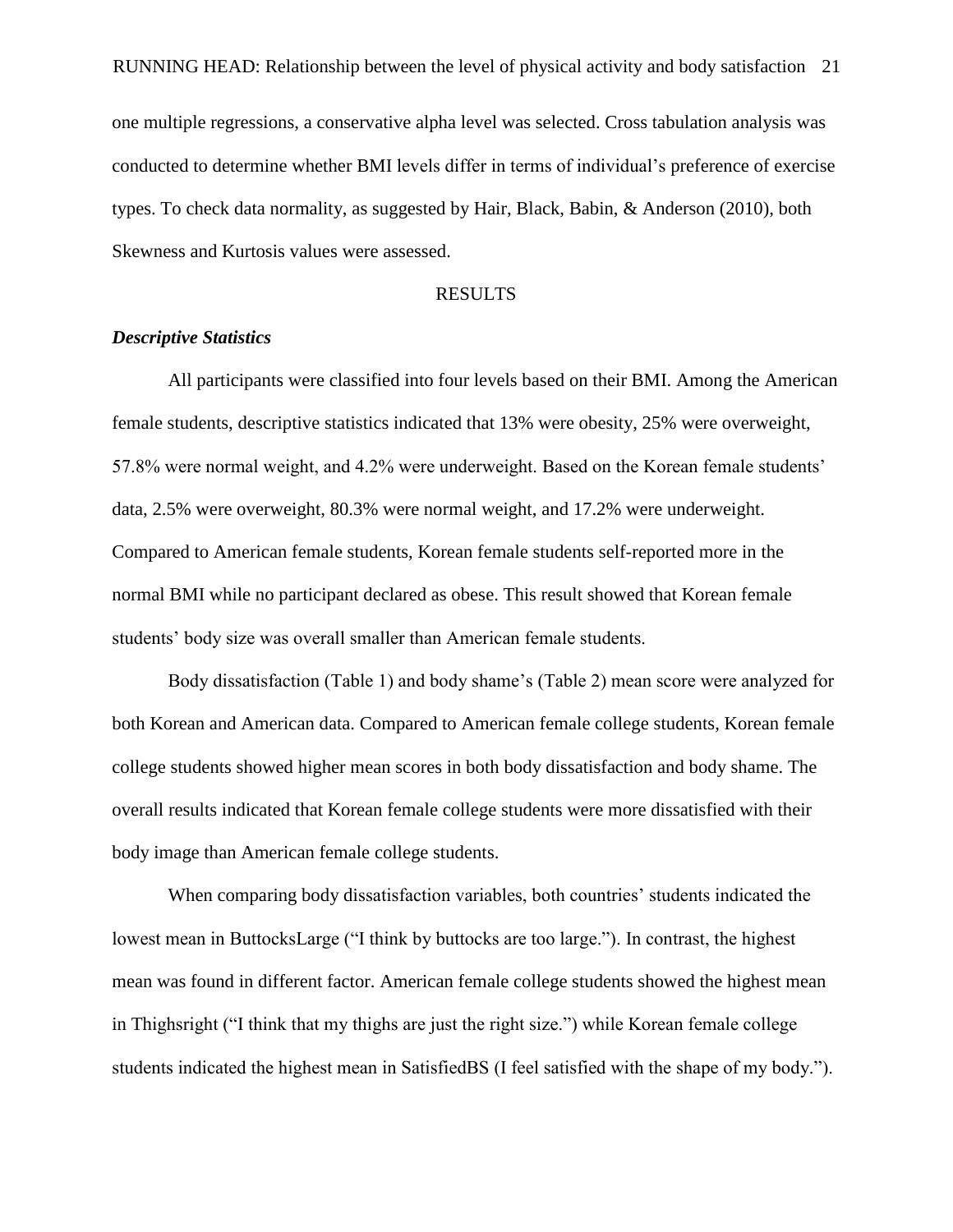RUNNING HEAD: Relationship between the level of physical activity and body satisfaction 21 one multiple regressions, a conservative alpha level was selected. Cross tabulation analysis was conducted to determine whether BMI levels differ in terms of individual's preference of exercise types. To check data normality, as suggested by Hair, Black, Babin, & Anderson (2010), both Skewness and Kurtosis values were assessed.

#### RESULTS

#### *Descriptive Statistics*

All participants were classified into four levels based on their BMI. Among the American female students, descriptive statistics indicated that 13% were obesity, 25% were overweight, 57.8% were normal weight, and 4.2% were underweight. Based on the Korean female students' data, 2.5% were overweight, 80.3% were normal weight, and 17.2% were underweight. Compared to American female students, Korean female students self-reported more in the normal BMI while no participant declared as obese. This result showed that Korean female students' body size was overall smaller than American female students.

Body dissatisfaction (Table 1) and body shame's (Table 2) mean score were analyzed for both Korean and American data. Compared to American female college students, Korean female college students showed higher mean scores in both body dissatisfaction and body shame. The overall results indicated that Korean female college students were more dissatisfied with their body image than American female college students.

When comparing body dissatisfaction variables, both countries' students indicated the lowest mean in ButtocksLarge ("I think by buttocks are too large."). In contrast, the highest mean was found in different factor. American female college students showed the highest mean in Thighsright ("I think that my thighs are just the right size.") while Korean female college students indicated the highest mean in SatisfiedBS (I feel satisfied with the shape of my body.").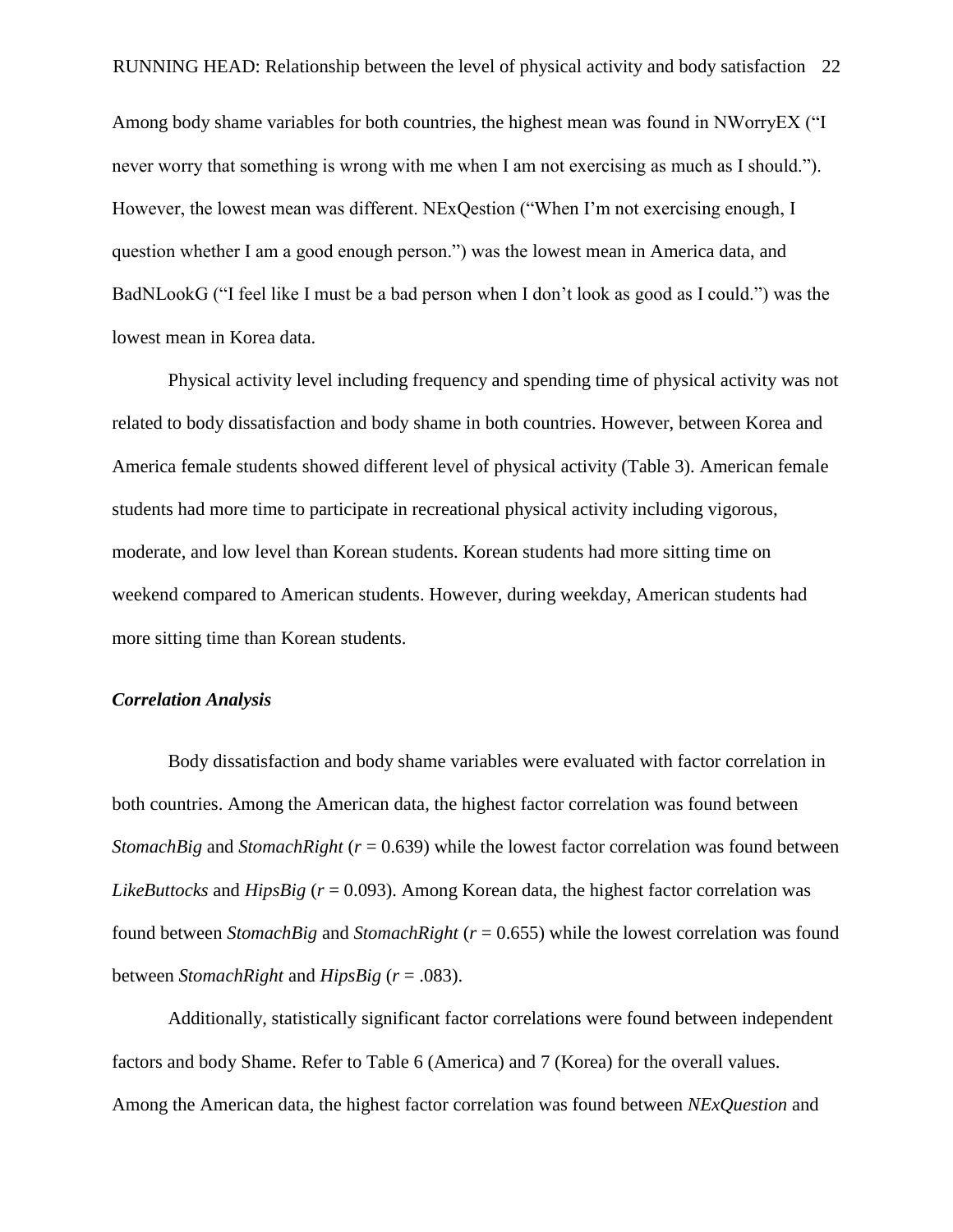Among body shame variables for both countries, the highest mean was found in NWorryEX ("I never worry that something is wrong with me when I am not exercising as much as I should."). However, the lowest mean was different. NExQestion ("When I'm not exercising enough, I question whether I am a good enough person.") was the lowest mean in America data, and BadNLookG ("I feel like I must be a bad person when I don't look as good as I could.") was the lowest mean in Korea data.

Physical activity level including frequency and spending time of physical activity was not related to body dissatisfaction and body shame in both countries. However, between Korea and America female students showed different level of physical activity (Table 3). American female students had more time to participate in recreational physical activity including vigorous, moderate, and low level than Korean students. Korean students had more sitting time on weekend compared to American students. However, during weekday, American students had more sitting time than Korean students.

#### *Correlation Analysis*

Body dissatisfaction and body shame variables were evaluated with factor correlation in both countries. Among the American data, the highest factor correlation was found between *StomachBig* and *StomachRight* ( $r = 0.639$ ) while the lowest factor correlation was found between *LikeButtocks* and *HipsBig* (*r* = 0.093). Among Korean data, the highest factor correlation was found between *StomachBig* and *StomachRight* (*r* = 0.655) while the lowest correlation was found between *StomachRight* and *HipsBig* (*r* = .083).

Additionally, statistically significant factor correlations were found between independent factors and body Shame. Refer to Table 6 (America) and 7 (Korea) for the overall values. Among the American data, the highest factor correlation was found between *NExQuestion* and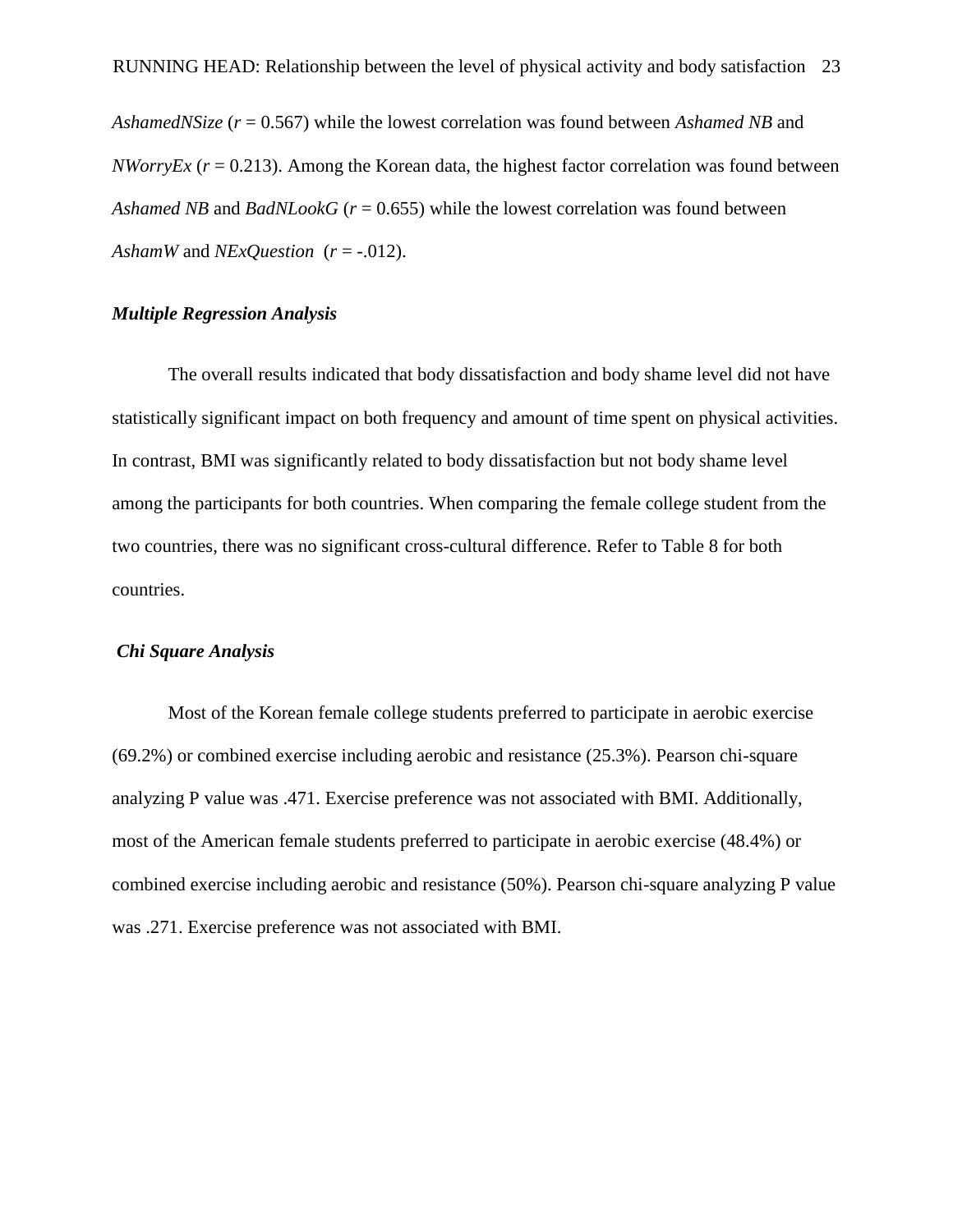*AshamedNSize* (*r* = 0.567) while the lowest correlation was found between *Ashamed NB* and *NWorryEx (* $r = 0.213$ *).* Among the Korean data, the highest factor correlation was found between *Ashamed NB* and *BadNLookG* (*r* = 0.655) while the lowest correlation was found between *AshamW* and *NExQuestion*  $(r = -0.012)$ .

#### *Multiple Regression Analysis*

The overall results indicated that body dissatisfaction and body shame level did not have statistically significant impact on both frequency and amount of time spent on physical activities. In contrast, BMI was significantly related to body dissatisfaction but not body shame level among the participants for both countries. When comparing the female college student from the two countries, there was no significant cross-cultural difference. Refer to Table 8 for both countries.

#### *Chi Square Analysis*

Most of the Korean female college students preferred to participate in aerobic exercise (69.2%) or combined exercise including aerobic and resistance (25.3%). Pearson chi-square analyzing P value was .471. Exercise preference was not associated with BMI. Additionally, most of the American female students preferred to participate in aerobic exercise (48.4%) or combined exercise including aerobic and resistance (50%). Pearson chi-square analyzing P value was .271. Exercise preference was not associated with BMI.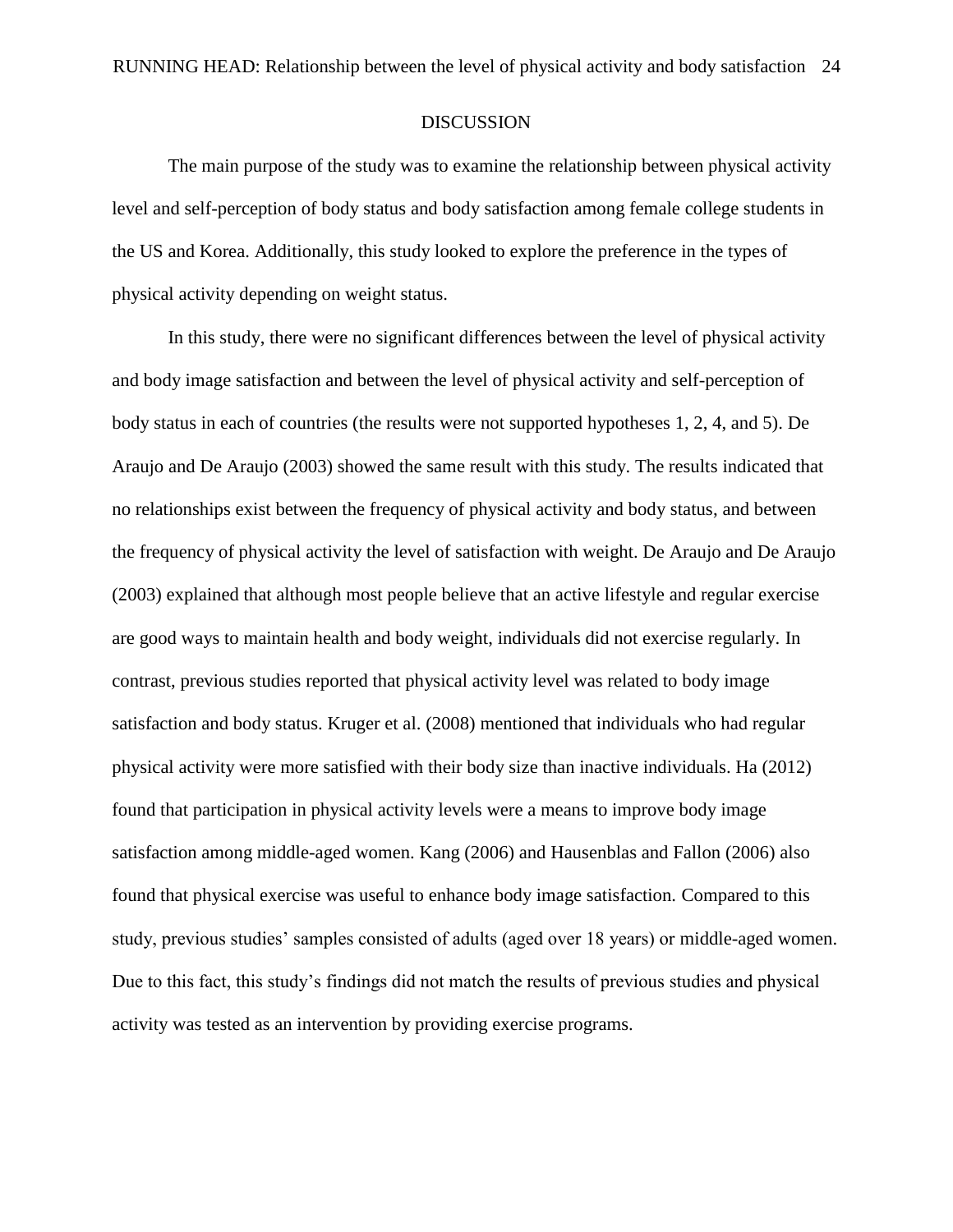#### DISCUSSION

The main purpose of the study was to examine the relationship between physical activity level and self-perception of body status and body satisfaction among female college students in the US and Korea. Additionally, this study looked to explore the preference in the types of physical activity depending on weight status.

In this study, there were no significant differences between the level of physical activity and body image satisfaction and between the level of physical activity and self-perception of body status in each of countries (the results were not supported hypotheses 1, 2, 4, and 5). De Araujo and De Araujo (2003) showed the same result with this study. The results indicated that no relationships exist between the frequency of physical activity and body status, and between the frequency of physical activity the level of satisfaction with weight. De Araujo and De Araujo (2003) explained that although most people believe that an active lifestyle and regular exercise are good ways to maintain health and body weight, individuals did not exercise regularly. In contrast, previous studies reported that physical activity level was related to body image satisfaction and body status. Kruger et al. (2008) mentioned that individuals who had regular physical activity were more satisfied with their body size than inactive individuals. Ha (2012) found that participation in physical activity levels were a means to improve body image satisfaction among middle-aged women. Kang (2006) and Hausenblas and Fallon (2006) also found that physical exercise was useful to enhance body image satisfaction. Compared to this study, previous studies' samples consisted of adults (aged over 18 years) or middle-aged women. Due to this fact, this study's findings did not match the results of previous studies and physical activity was tested as an intervention by providing exercise programs.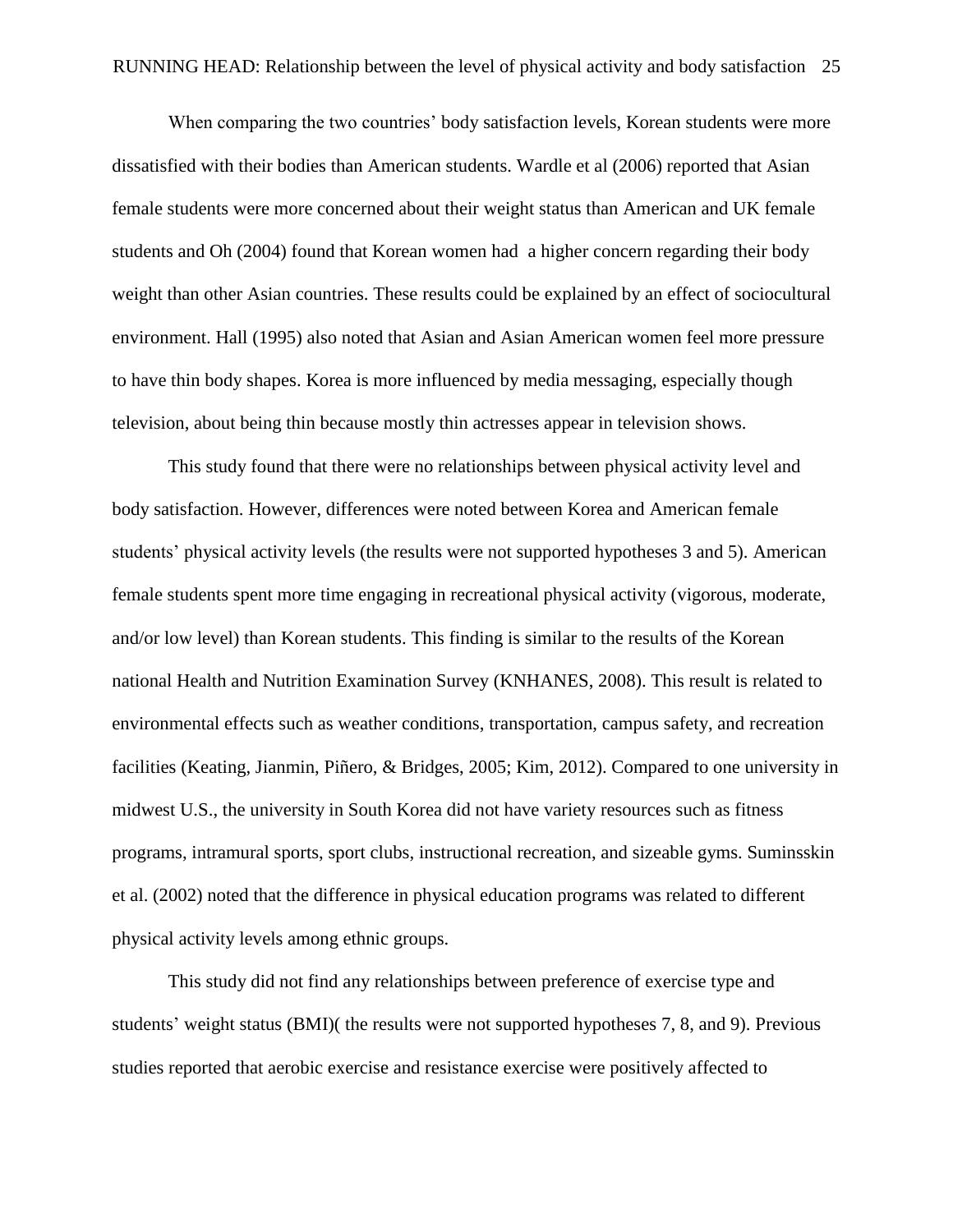When comparing the two countries' body satisfaction levels, Korean students were more dissatisfied with their bodies than American students. Wardle et al (2006) reported that Asian female students were more concerned about their weight status than American and UK female students and Oh (2004) found that Korean women had a higher concern regarding their body weight than other Asian countries. These results could be explained by an effect of sociocultural environment. Hall (1995) also noted that Asian and Asian American women feel more pressure to have thin body shapes. Korea is more influenced by media messaging, especially though television, about being thin because mostly thin actresses appear in television shows.

This study found that there were no relationships between physical activity level and body satisfaction. However, differences were noted between Korea and American female students' physical activity levels (the results were not supported hypotheses 3 and 5). American female students spent more time engaging in recreational physical activity (vigorous, moderate, and/or low level) than Korean students. This finding is similar to the results of the Korean national Health and Nutrition Examination Survey (KNHANES, 2008). This result is related to environmental effects such as weather conditions, transportation, campus safety, and recreation facilities (Keating, Jianmin, Piñero, & Bridges, 2005; Kim, 2012). Compared to one university in midwest U.S., the university in South Korea did not have variety resources such as fitness programs, intramural sports, sport clubs, instructional recreation, and sizeable gyms. Suminsskin et al. (2002) noted that the difference in physical education programs was related to different physical activity levels among ethnic groups.

This study did not find any relationships between preference of exercise type and students' weight status (BMI)( the results were not supported hypotheses 7, 8, and 9). Previous studies reported that aerobic exercise and resistance exercise were positively affected to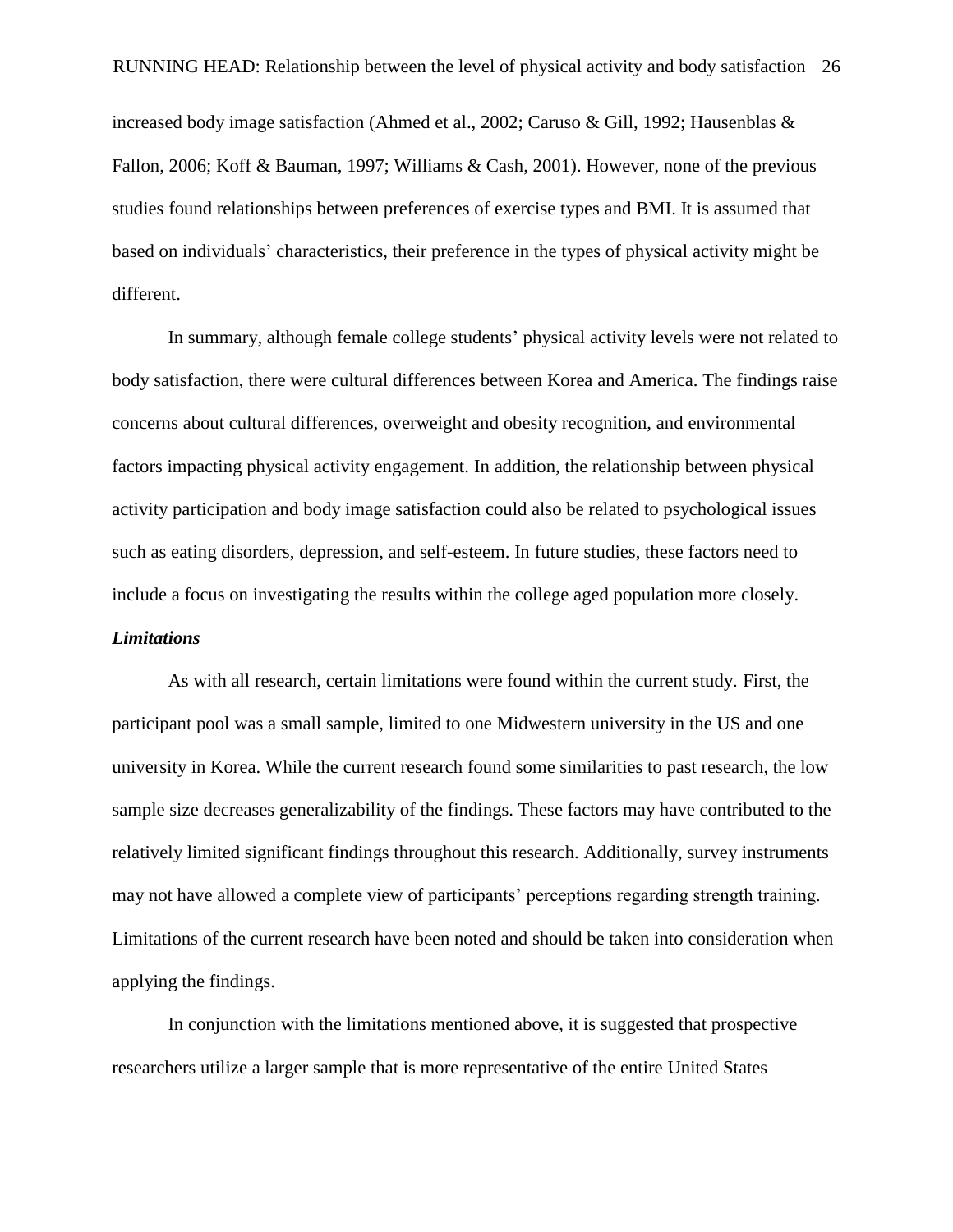RUNNING HEAD: Relationship between the level of physical activity and body satisfaction 26 increased body image satisfaction (Ahmed et al., 2002; Caruso & Gill, 1992; Hausenblas & Fallon, 2006; Koff & Bauman, 1997; Williams & Cash, 2001). However, none of the previous studies found relationships between preferences of exercise types and BMI. It is assumed that based on individuals' characteristics, their preference in the types of physical activity might be different.

In summary, although female college students' physical activity levels were not related to body satisfaction, there were cultural differences between Korea and America. The findings raise concerns about cultural differences, overweight and obesity recognition, and environmental factors impacting physical activity engagement. In addition, the relationship between physical activity participation and body image satisfaction could also be related to psychological issues such as eating disorders, depression, and self-esteem. In future studies, these factors need to include a focus on investigating the results within the college aged population more closely. *Limitations*

As with all research, certain limitations were found within the current study. First, the participant pool was a small sample, limited to one Midwestern university in the US and one university in Korea. While the current research found some similarities to past research, the low sample size decreases generalizability of the findings. These factors may have contributed to the relatively limited significant findings throughout this research. Additionally, survey instruments may not have allowed a complete view of participants' perceptions regarding strength training. Limitations of the current research have been noted and should be taken into consideration when applying the findings.

In conjunction with the limitations mentioned above, it is suggested that prospective researchers utilize a larger sample that is more representative of the entire United States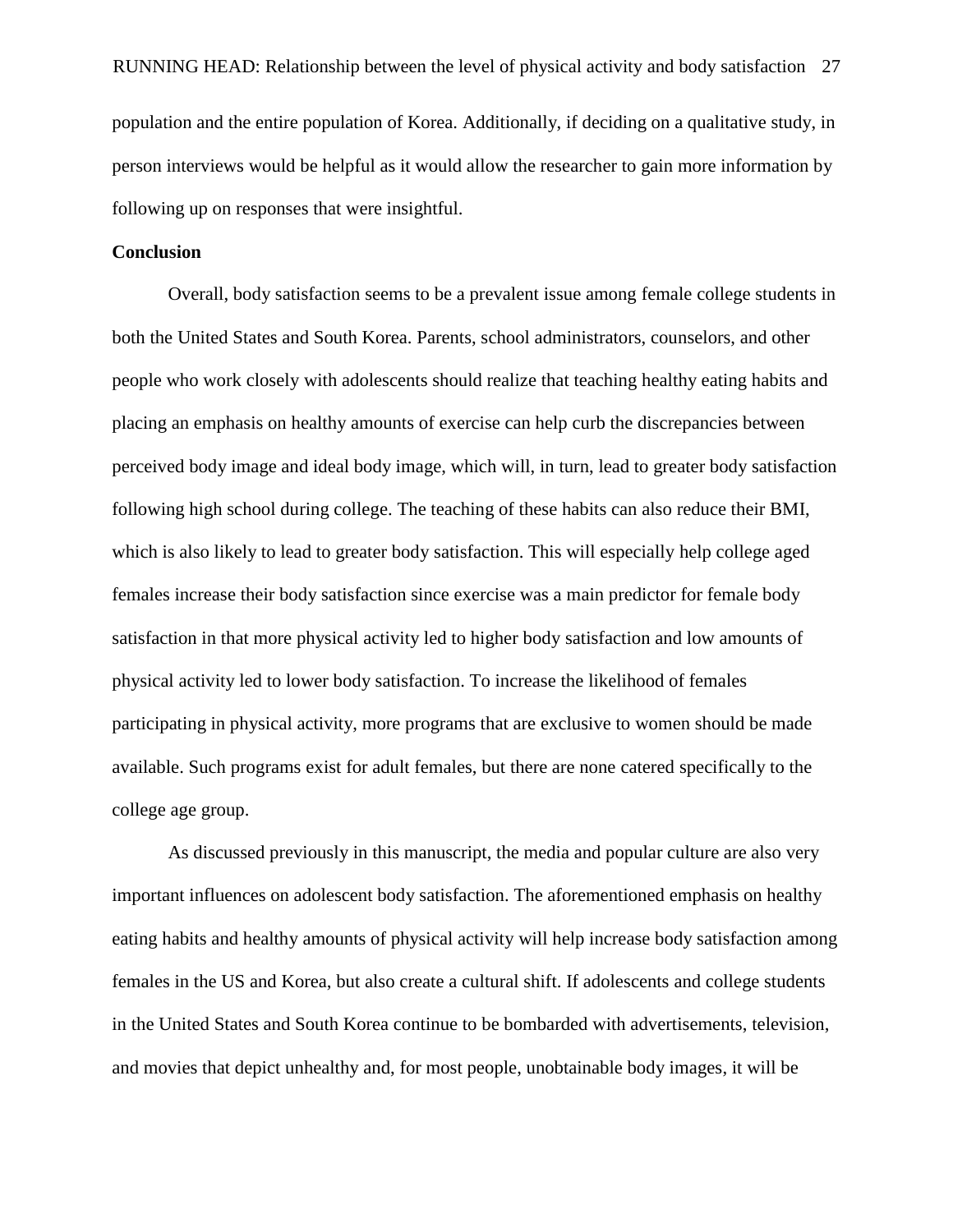#### **Conclusion**

Overall, body satisfaction seems to be a prevalent issue among female college students in both the United States and South Korea. Parents, school administrators, counselors, and other people who work closely with adolescents should realize that teaching healthy eating habits and placing an emphasis on healthy amounts of exercise can help curb the discrepancies between perceived body image and ideal body image, which will, in turn, lead to greater body satisfaction following high school during college. The teaching of these habits can also reduce their BMI, which is also likely to lead to greater body satisfaction. This will especially help college aged females increase their body satisfaction since exercise was a main predictor for female body satisfaction in that more physical activity led to higher body satisfaction and low amounts of physical activity led to lower body satisfaction. To increase the likelihood of females participating in physical activity, more programs that are exclusive to women should be made available. Such programs exist for adult females, but there are none catered specifically to the college age group.

As discussed previously in this manuscript, the media and popular culture are also very important influences on adolescent body satisfaction. The aforementioned emphasis on healthy eating habits and healthy amounts of physical activity will help increase body satisfaction among females in the US and Korea, but also create a cultural shift. If adolescents and college students in the United States and South Korea continue to be bombarded with advertisements, television, and movies that depict unhealthy and, for most people, unobtainable body images, it will be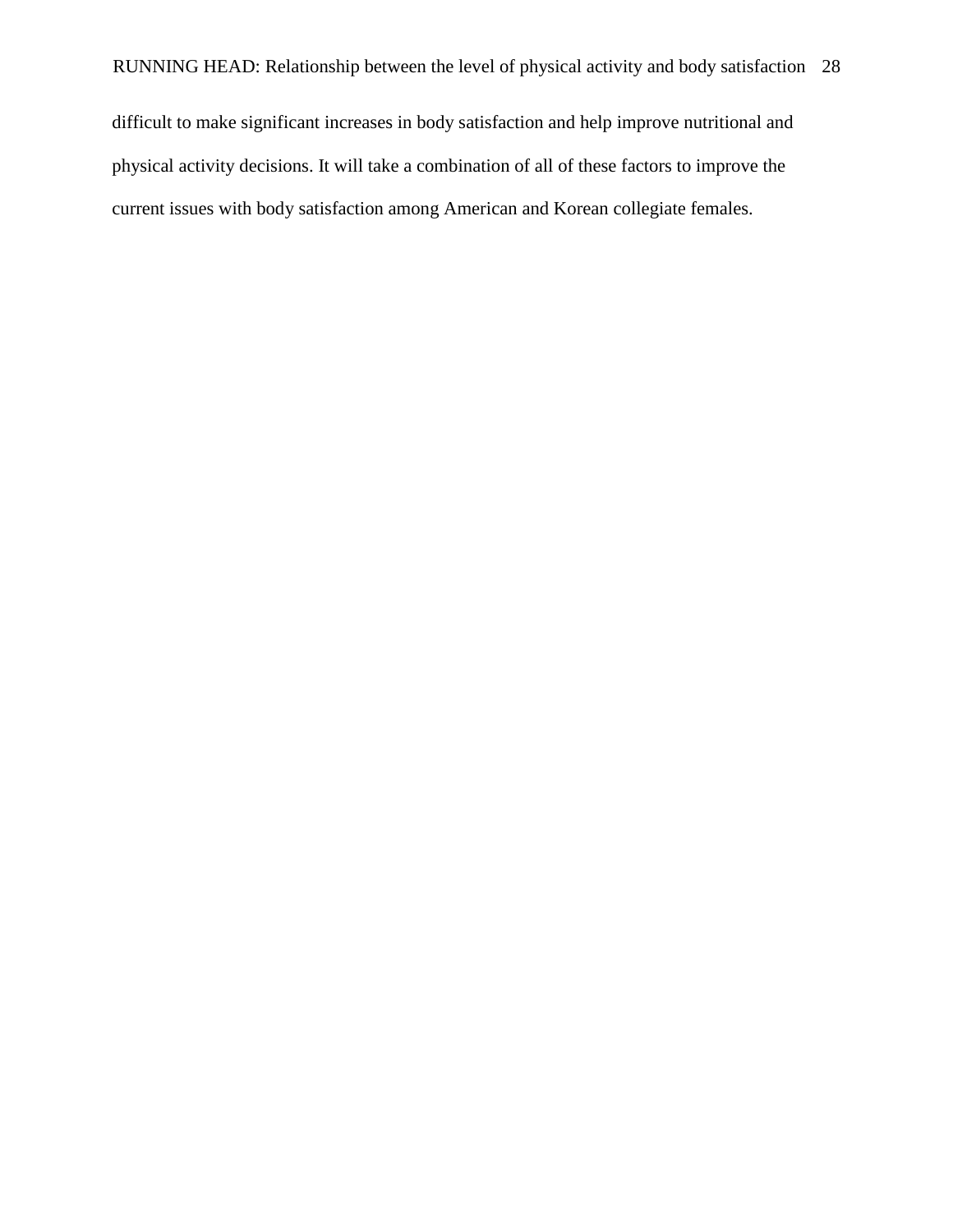difficult to make significant increases in body satisfaction and help improve nutritional and physical activity decisions. It will take a combination of all of these factors to improve the current issues with body satisfaction among American and Korean collegiate females.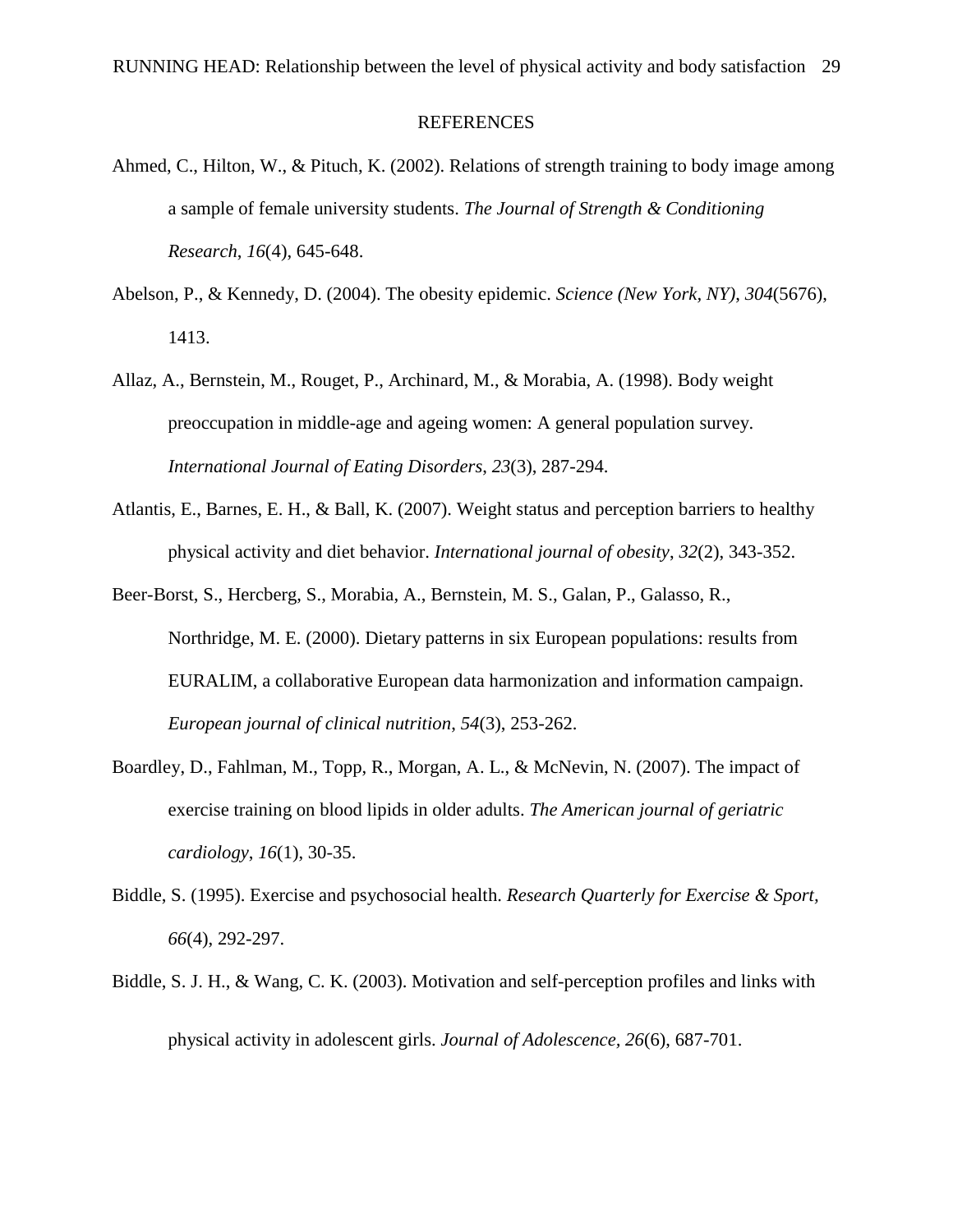#### **REFERENCES**

- Ahmed, C., Hilton, W., & Pituch, K. (2002). Relations of strength training to body image among a sample of female university students. *The Journal of Strength & Conditioning Research*, *16*(4), 645-648.
- Abelson, P., & Kennedy, D. (2004). The obesity epidemic. *Science (New York, NY)*, *304*(5676), 1413.
- Allaz, A., Bernstein, M., Rouget, P., Archinard, M., & Morabia, A. (1998). Body weight preoccupation in middle-age and ageing women: A general population survey. *International Journal of Eating Disorders*, *23*(3), 287-294.
- Atlantis, E., Barnes, E. H., & Ball, K. (2007). Weight status and perception barriers to healthy physical activity and diet behavior. *International journal of obesity*, *32*(2), 343-352.
- Beer-Borst, S., Hercberg, S., Morabia, A., Bernstein, M. S., Galan, P., Galasso, R., Northridge, M. E. (2000). Dietary patterns in six European populations: results from EURALIM, a collaborative European data harmonization and information campaign. *European journal of clinical nutrition*, *54*(3), 253-262.
- Boardley, D., Fahlman, M., Topp, R., Morgan, A. L., & McNevin, N. (2007). The impact of exercise training on blood lipids in older adults. *The American journal of geriatric cardiology*, *16*(1), 30-35.
- Biddle, S. (1995). Exercise and psychosocial health. *Research Quarterly for Exercise & Sport, 66*(4), 292-297.
- Biddle, S. J. H., & Wang, C. K. (2003). Motivation and self-perception profiles and links with physical activity in adolescent girls. *Journal of Adolescence, 26*(6), 687-701.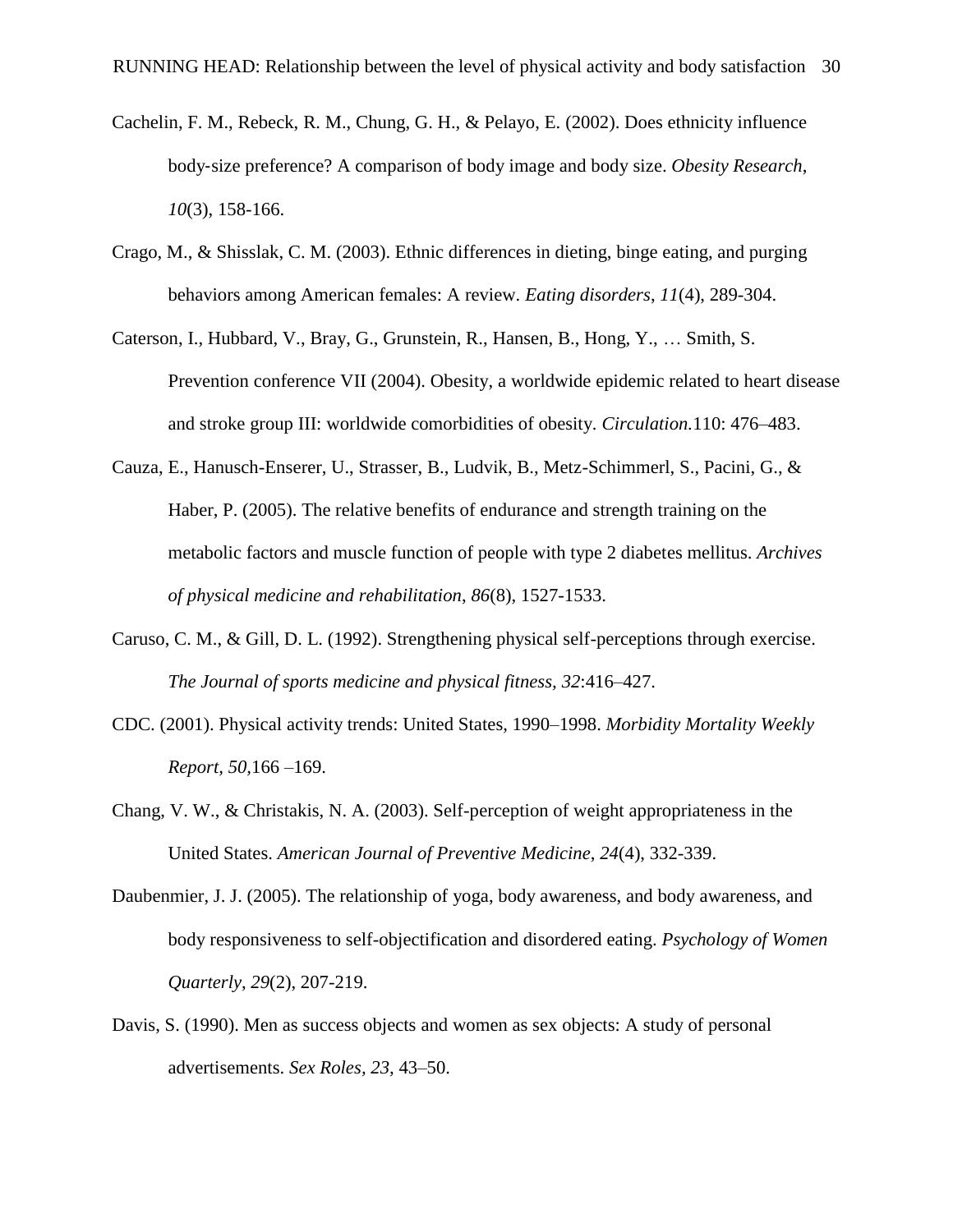- Cachelin, F. M., Rebeck, R. M., Chung, G. H., & Pelayo, E. (2002). Does ethnicity influence body‐size preference? A comparison of body image and body size. *Obesity Research*, *10*(3), 158-166.
- Crago, M., & Shisslak, C. M. (2003). Ethnic differences in dieting, binge eating, and purging behaviors among American females: A review. *Eating disorders*, *11*(4), 289-304.
- Caterson, I., Hubbard, V., Bray, G., Grunstein, R., Hansen, B., Hong, Y., … Smith, S. Prevention conference VII (2004). Obesity, a worldwide epidemic related to heart disease and stroke group III: worldwide comorbidities of obesity*. Circulation.*110: 476–483.
- Cauza, E., Hanusch-Enserer, U., Strasser, B., Ludvik, B., Metz-Schimmerl, S., Pacini, G., & Haber, P. (2005). The relative benefits of endurance and strength training on the metabolic factors and muscle function of people with type 2 diabetes mellitus. *Archives of physical medicine and rehabilitation*, *86*(8), 1527-1533.
- Caruso, C. M., & Gill, D. L. (1992). Strengthening physical self-perceptions through exercise. *The Journal of sports medicine and physical fitness, 32*:416–427.
- CDC. (2001). Physical activity trends: United States, 1990–1998. *Morbidity Mortality Weekly Report, 50,*166 –169.
- Chang, V. W., & Christakis, N. A. (2003). Self-perception of weight appropriateness in the United States. *American Journal of Preventive Medicine*, *24*(4), 332-339.
- Daubenmier, J. J. (2005). The relationship of yoga, body awareness, and body awareness, and body responsiveness to self-objectification and disordered eating. *Psychology of Women Quarterly*, *29*(2), 207-219.
- Davis, S. (1990). Men as success objects and women as sex objects: A study of personal advertisements. *Sex Roles, 23,* 43–50.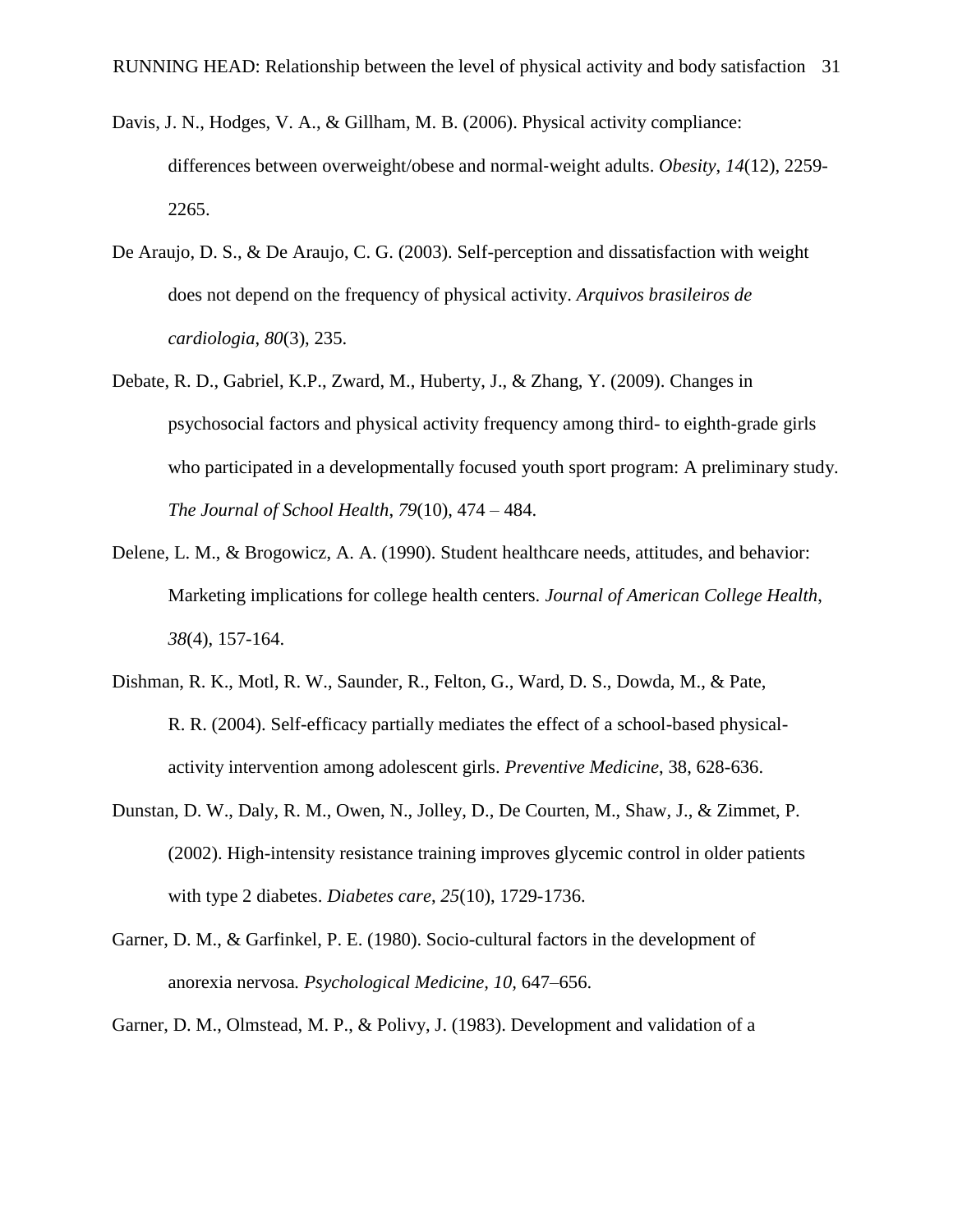- Davis, J. N., Hodges, V. A., & Gillham, M. B. (2006). Physical activity compliance: differences between overweight/obese and normal‐weight adults. *Obesity*, *14*(12), 2259- 2265.
- De Araujo, D. S., & De Araujo, C. G. (2003). Self-perception and dissatisfaction with weight does not depend on the frequency of physical activity. *Arquivos brasileiros de cardiologia*, *80*(3), 235.
- Debate, R. D., Gabriel, K.P., Zward, M., Huberty, J., & Zhang, Y. (2009). Changes in psychosocial factors and physical activity frequency among third- to eighth-grade girls who participated in a developmentally focused youth sport program: A preliminary study. *The Journal of School Health*, *79*(10), 474 – 484.
- Delene, L. M., & Brogowicz, A. A. (1990). Student healthcare needs, attitudes, and behavior: Marketing implications for college health centers. *Journal of American College Health*, *38*(4), 157-164.
- Dishman, R. K., Motl, R. W., Saunder, R., Felton, G., Ward, D. S., Dowda, M., & Pate, R. R. (2004). Self-efficacy partially mediates the effect of a school-based physicalactivity intervention among adolescent girls. *Preventive Medicine*, 38, 628-636.
- Dunstan, D. W., Daly, R. M., Owen, N., Jolley, D., De Courten, M., Shaw, J., & Zimmet, P. (2002). High-intensity resistance training improves glycemic control in older patients with type 2 diabetes. *Diabetes care*, *25*(10), 1729-1736.
- Garner, D. M., & Garfinkel, P. E. (1980). Socio-cultural factors in the development of anorexia nervosa*. Psychological Medicine, 10,* 647–656.
- Garner, D. M., Olmstead, M. P., & Polivy, J. (1983). Development and validation of a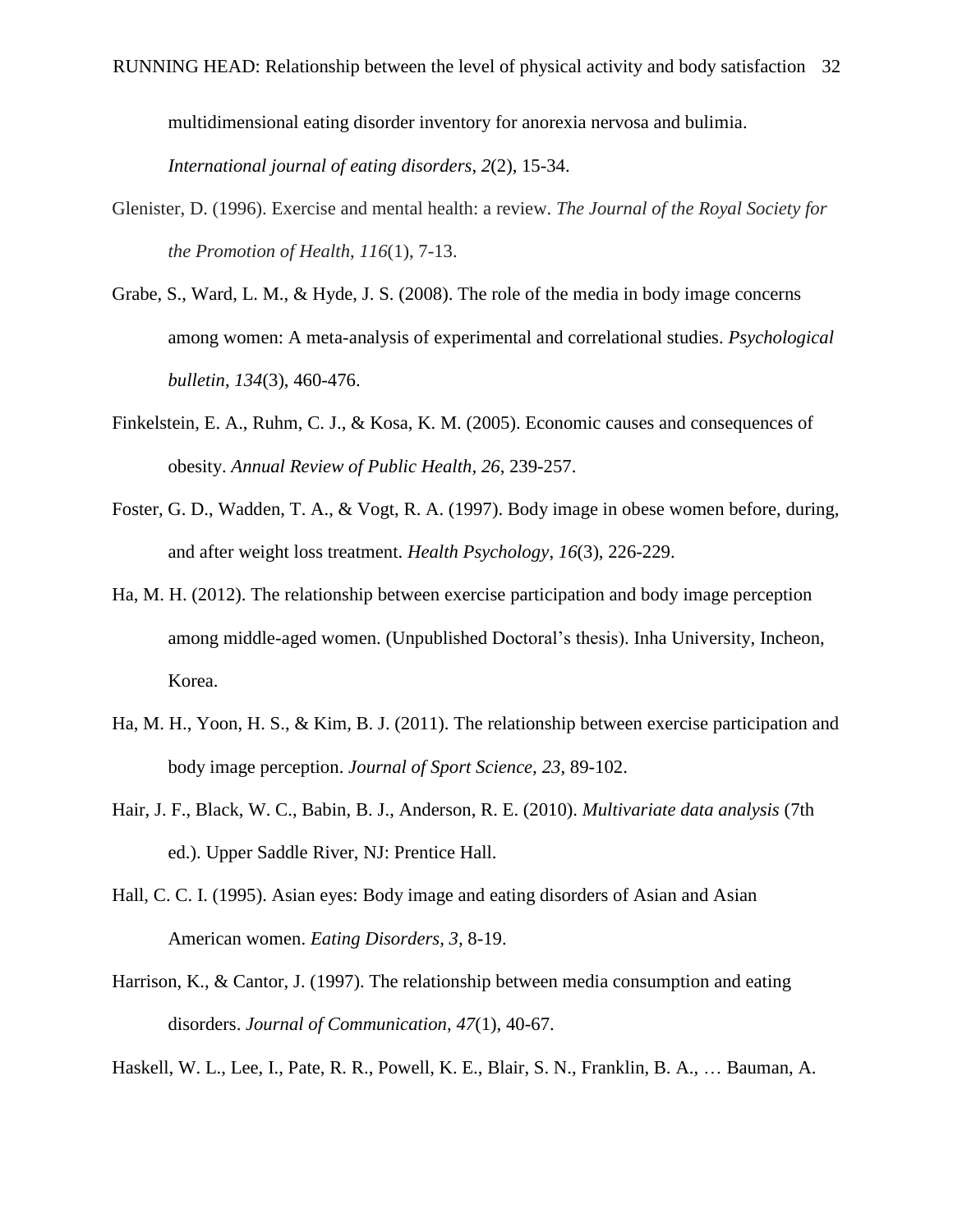multidimensional eating disorder inventory for anorexia nervosa and bulimia.

*International journal of eating disorders*, *2*(2), 15-34.

- Glenister, D. (1996). Exercise and mental health: a review. *The Journal of the Royal Society for the Promotion of Health*, *116*(1), 7-13.
- Grabe, S., Ward, L. M., & Hyde, J. S. (2008). The role of the media in body image concerns among women: A meta-analysis of experimental and correlational studies. *Psychological bulletin*, *134*(3), 460-476.
- Finkelstein, E. A., Ruhm, C. J., & Kosa, K. M. (2005). Economic causes and consequences of obesity. *Annual Review of Public Health, 26*, 239-257.
- Foster, G. D., Wadden, T. A., & Vogt, R. A. (1997). Body image in obese women before, during, and after weight loss treatment. *Health Psychology*, *16*(3), 226-229.
- Ha, M. H. (2012). The relationship between exercise participation and body image perception among middle-aged women. (Unpublished Doctoral's thesis). Inha University, Incheon, Korea.
- Ha, M. H., Yoon, H. S., & Kim, B. J. (2011). The relationship between exercise participation and body image perception. *Journal of Sport Science, 23*, 89-102.
- Hair, J. F., Black, W. C., Babin, B. J., Anderson, R. E. (2010). *Multivariate data analysis* (7th ed.). Upper Saddle River, NJ: Prentice Hall.
- Hall, C. C. I. (1995). Asian eyes: Body image and eating disorders of Asian and Asian American women. *Eating Disorders, 3,* 8-19.
- Harrison, K., & Cantor, J. (1997). The relationship between media consumption and eating disorders. *Journal of Communication*, *47*(1), 40-67.

Haskell, W. L., Lee, I., Pate, R. R., Powell, K. E., Blair, S. N., Franklin, B. A., … Bauman, A.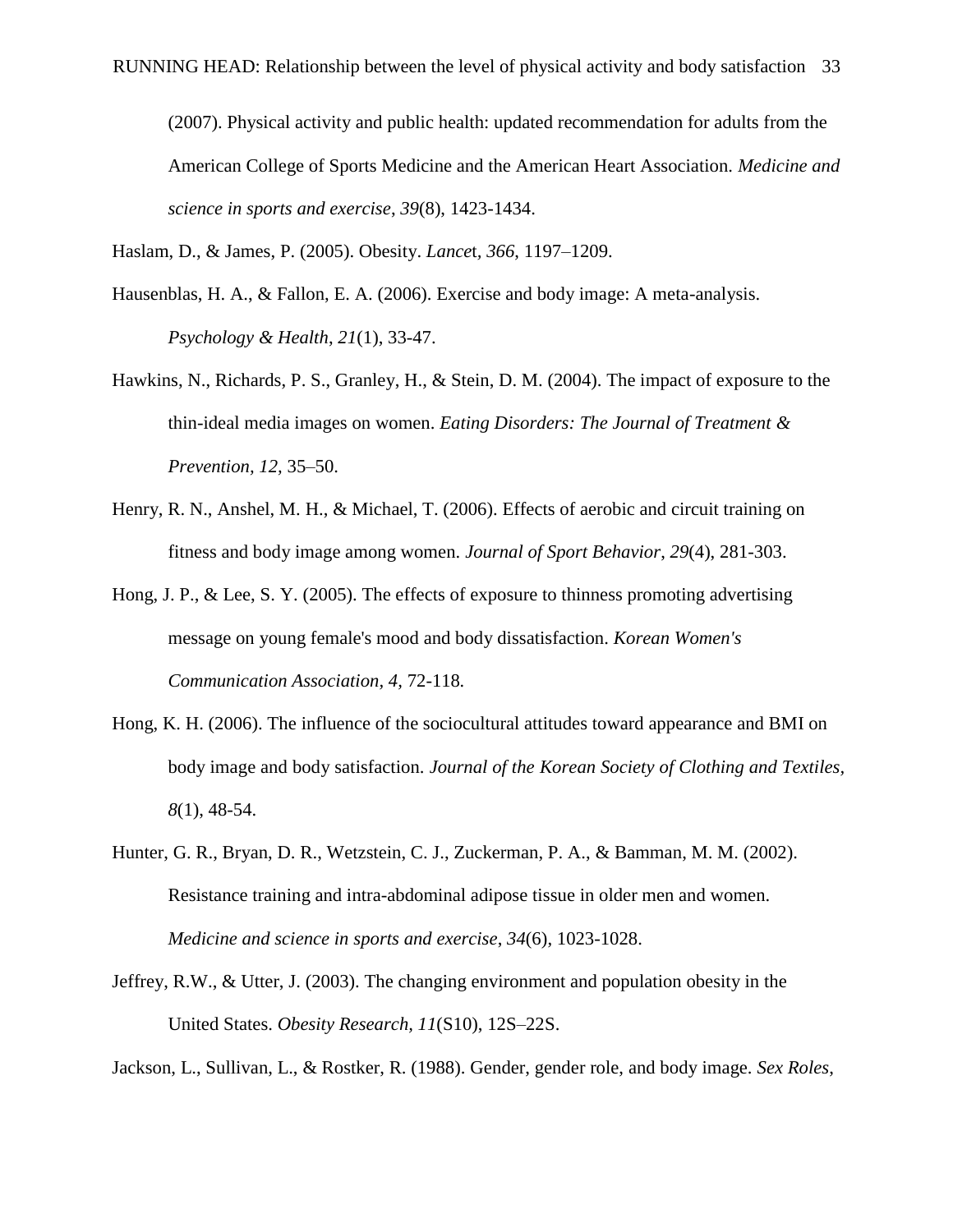(2007). Physical activity and public health: updated recommendation for adults from the American College of Sports Medicine and the American Heart Association. *Medicine and science in sports and exercise*, *39*(8), 1423-1434.

Haslam, D., & James, P. (2005). Obesity. *Lance*t*, 366*, 1197–1209.

- Hausenblas, H. A., & Fallon, E. A. (2006). Exercise and body image: A meta-analysis. *Psychology & Health*, *21*(1), 33-47.
- Hawkins, N., Richards, P. S., Granley, H., & Stein, D. M. (2004). The impact of exposure to the thin-ideal media images on women. *Eating Disorders: The Journal of Treatment & Prevention, 12,* 35–50.
- Henry, R. N., Anshel, M. H., & Michael, T. (2006). Effects of aerobic and circuit training on fitness and body image among women. *Journal of Sport Behavior*, *29*(4), 281-303.
- Hong, J. P., & Lee, S. Y. (2005). The effects of exposure to thinness promoting advertising message on young female's mood and body dissatisfaction. *Korean Women's Communication Association, 4,* 72-118*.*
- Hong, K. H. (2006). The influence of the sociocultural attitudes toward appearance and BMI on body image and body satisfaction. *Journal of the Korean Society of Clothing and Textiles, 8*(1), 48-54.
- Hunter, G. R., Bryan, D. R., Wetzstein, C. J., Zuckerman, P. A., & Bamman, M. M. (2002). Resistance training and intra-abdominal adipose tissue in older men and women. *Medicine and science in sports and exercise*, *34*(6), 1023-1028.
- Jeffrey, R.W., & Utter, J. (2003). The changing environment and population obesity in the United States. *Obesity Research, 11*(S10), 12S–22S.

Jackson, L., Sullivan, L., & Rostker, R. (1988). Gender, gender role, and body image. *Sex Roles*,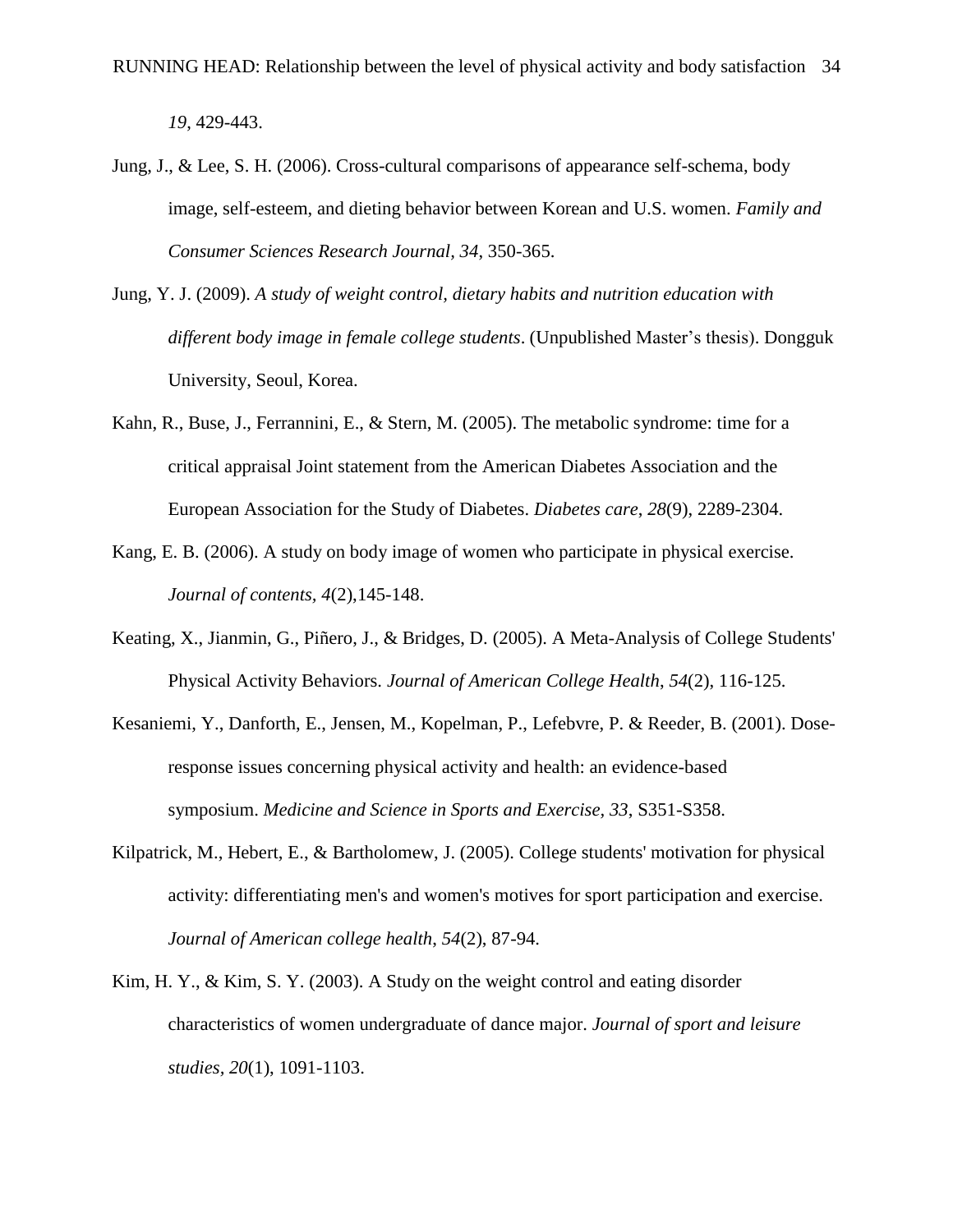*19*, 429-443.

- Jung, J., & Lee, S. H. (2006). Cross-cultural comparisons of appearance self-schema, body image, self-esteem, and dieting behavior between Korean and U.S. women. *Family and Consumer Sciences Research Journal, 34*, 350-365.
- Jung, Y. J. (2009). *A study of weight control, dietary habits and nutrition education with different body image in female college students*. (Unpublished Master's thesis). Dongguk University, Seoul, Korea.
- Kahn, R., Buse, J., Ferrannini, E., & Stern, M. (2005). The metabolic syndrome: time for a critical appraisal Joint statement from the American Diabetes Association and the European Association for the Study of Diabetes. *Diabetes care*, *28*(9), 2289-2304.
- Kang, E. B. (2006). A study on body image of women who participate in physical exercise. *Journal of contents, 4*(2),145-148.
- Keating, X., Jianmin, G., Piñero, J., & Bridges, D. (2005). A Meta-Analysis of College Students' Physical Activity Behaviors. *Journal of American College Health*, *54*(2), 116-125.
- Kesaniemi, Y., Danforth, E., Jensen, M., Kopelman, P., Lefebvre, P. & Reeder, B. (2001). Doseresponse issues concerning physical activity and health: an evidence-based symposium. *Medicine and Science in Sports and Exercise, 33*, S351-S358.
- Kilpatrick, M., Hebert, E., & Bartholomew, J. (2005). College students' motivation for physical activity: differentiating men's and women's motives for sport participation and exercise. *Journal of American college health*, *54*(2), 87-94.
- Kim, H. Y., & Kim, S. Y. (2003). A Study on the weight control and eating disorder characteristics of women undergraduate of dance major. *Journal of sport and leisure studies, 20*(1), 1091-1103.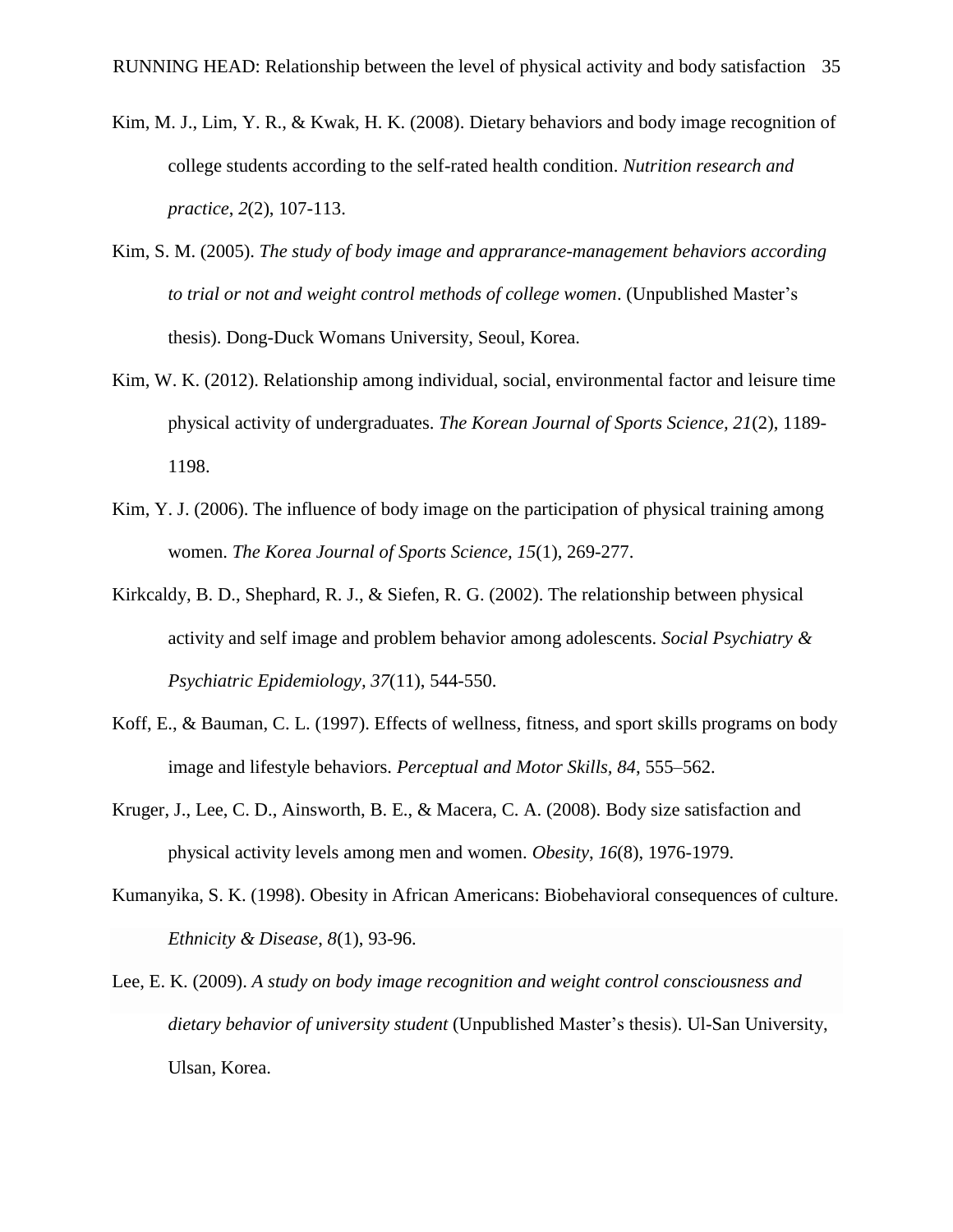- Kim, M. J., Lim, Y. R., & Kwak, H. K. (2008). Dietary behaviors and body image recognition of college students according to the self-rated health condition. *Nutrition research and practice*, *2*(2), 107-113.
- Kim, S. M. (2005). *The study of body image and apprarance-management behaviors according to trial or not and weight control methods of college women*. (Unpublished Master's thesis). Dong-Duck Womans University, Seoul, Korea.
- Kim, W. K. (2012). Relationship among individual, social, environmental factor and leisure time physical activity of undergraduates. *The Korean Journal of Sports Science, 21*(2), 1189- 1198.
- Kim, Y. J. (2006). The influence of body image on the participation of physical training among women. *The Korea Journal of Sports Science, 15*(1), 269-277.
- Kirkcaldy, B. D., Shephard, R. J., & Siefen, R. G. (2002). The relationship between physical activity and self image and problem behavior among adolescents. *Social Psychiatry & Psychiatric Epidemiology, 37*(11), 544-550.
- Koff, E., & Bauman, C. L. (1997). Effects of wellness, fitness, and sport skills programs on body image and lifestyle behaviors. *Perceptual and Motor Skills, 84*, 555–562.
- Kruger, J., Lee, C. D., Ainsworth, B. E., & Macera, C. A. (2008). Body size satisfaction and physical activity levels among men and women. *Obesity*, *16*(8), 1976-1979.
- Kumanyika, S. K. (1998). Obesity in African Americans: Biobehavioral consequences of culture. *Ethnicity & Disease*, *8*(1), 93-96.
- Lee, E. K. (2009). *A study on body image recognition and weight control consciousness and dietary behavior of university student* (Unpublished Master's thesis). Ul-San University, Ulsan, Korea.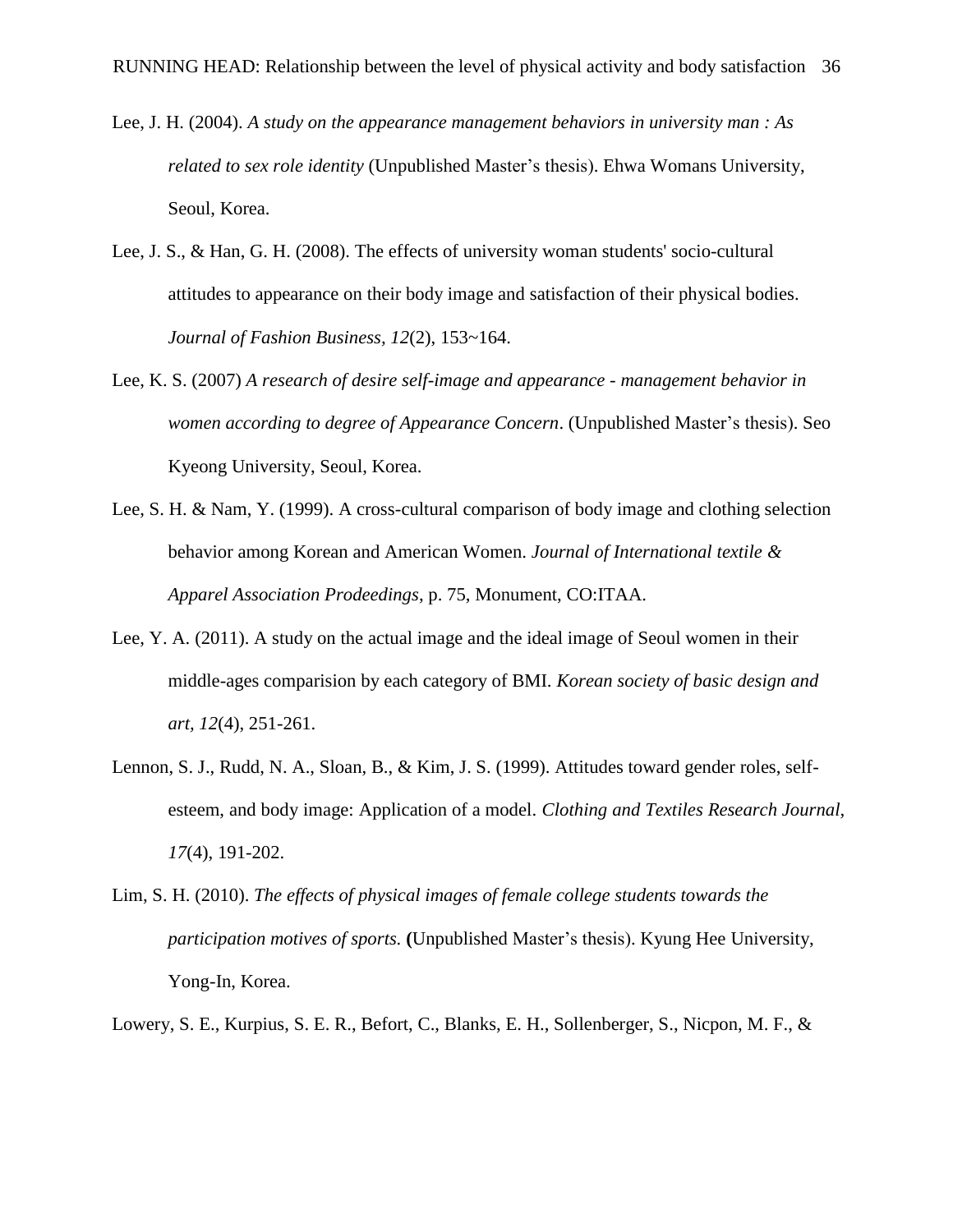- Lee, J. H. (2004). *A study on the appearance management behaviors in university man : As related to sex role identity* (Unpublished Master's thesis). Ehwa Womans University, Seoul, Korea.
- Lee, J. S., & Han, G. H. (2008). The effects of university woman students' socio-cultural attitudes to appearance on their body image and satisfaction of their physical bodies. *Journal of Fashion Business, 12*(2), 153~164.
- Lee, K. S. (2007) *A research of desire self-image and appearance - management behavior in women according to degree of Appearance Concern*. (Unpublished Master's thesis). Seo Kyeong University, Seoul, Korea.
- Lee, S. H. & Nam, Y. (1999). A cross-cultural comparison of body image and clothing selection behavior among Korean and American Women. *Journal of International textile & Apparel Association Prodeedings*, p. 75, Monument, CO:ITAA.
- Lee, Y. A. (2011). A study on the actual image and the ideal image of Seoul women in their middle-ages comparision by each category of BMI. *Korean society of basic design and art, 12*(4), 251-261.
- Lennon, S. J., Rudd, N. A., Sloan, B., & Kim, J. S. (1999). Attitudes toward gender roles, selfesteem, and body image: Application of a model. *Clothing and Textiles Research Journal, 17*(4), 191-202.
- Lim, S. H. (2010). *The effects of physical images of female college students towards the participation motives of sports.* **(**Unpublished Master's thesis). Kyung Hee University, Yong-In, Korea.
- Lowery, S. E., Kurpius, S. E. R., Befort, C., Blanks, E. H., Sollenberger, S., Nicpon, M. F., &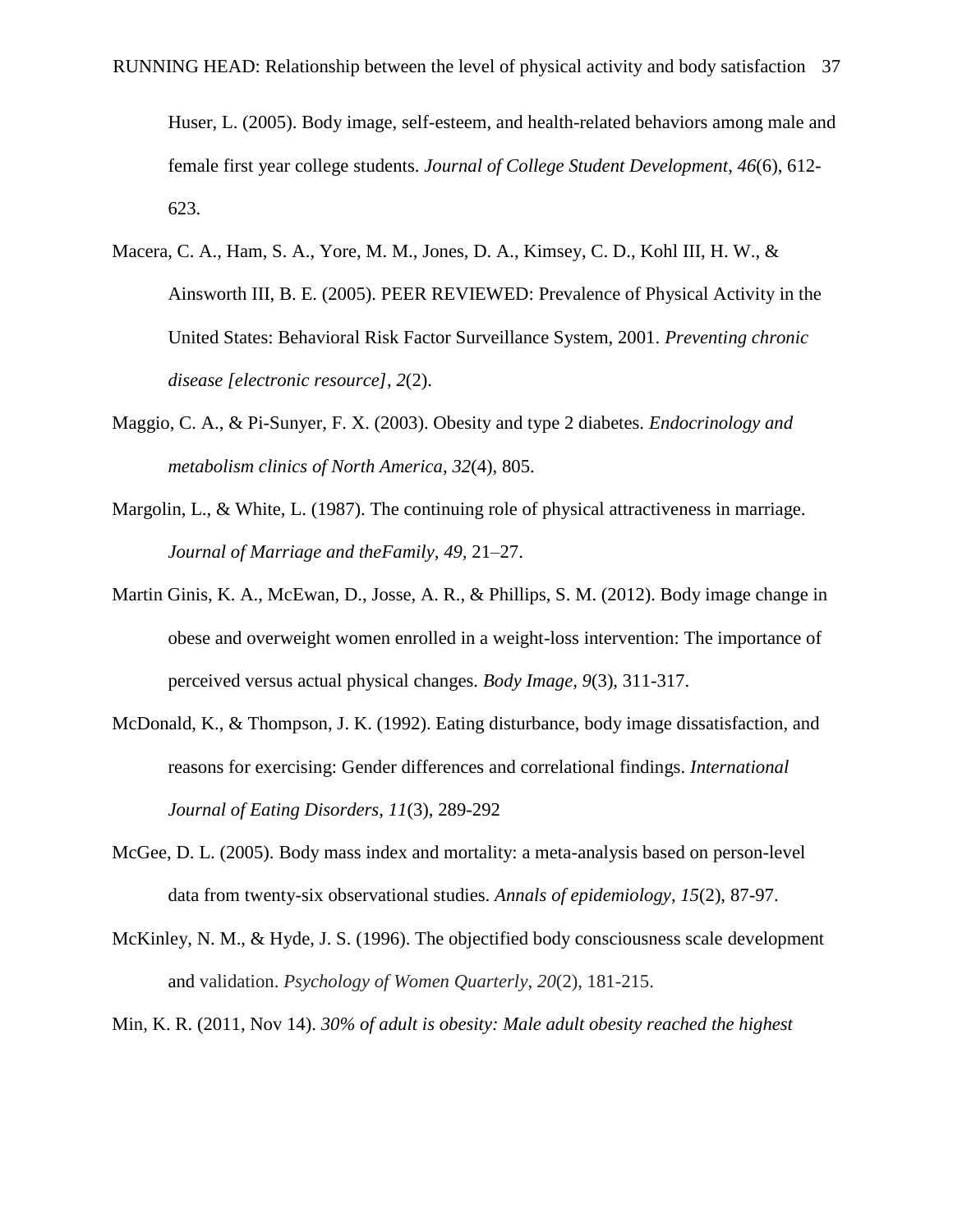Huser, L. (2005). Body image, self-esteem, and health-related behaviors among male and female first year college students. *Journal of College Student Development*, *46*(6), 612- 623.

- Macera, C. A., Ham, S. A., Yore, M. M., Jones, D. A., Kimsey, C. D., Kohl III, H. W., & Ainsworth III, B. E. (2005). PEER REVIEWED: Prevalence of Physical Activity in the United States: Behavioral Risk Factor Surveillance System, 2001. *Preventing chronic disease [electronic resource]*, *2*(2).
- Maggio, C. A., & Pi-Sunyer, F. X. (2003). Obesity and type 2 diabetes. *Endocrinology and metabolism clinics of North America*, *32*(4), 805.
- Margolin, L., & White, L. (1987). The continuing role of physical attractiveness in marriage. *Journal of Marriage and theFamily, 49,* 21–27.
- Martin Ginis, K. A., McEwan, D., Josse, A. R., & Phillips, S. M. (2012). Body image change in obese and overweight women enrolled in a weight-loss intervention: The importance of perceived versus actual physical changes. *Body Image, 9*(3), 311-317.
- McDonald, K., & Thompson, J. K. (1992). Eating disturbance, body image dissatisfaction, and reasons for exercising: Gender differences and correlational findings. *International Journal of Eating Disorders*, *11*(3), 289-292
- McGee, D. L. (2005). Body mass index and mortality: a meta-analysis based on person-level data from twenty-six observational studies. *Annals of epidemiology*, *15*(2), 87-97.
- McKinley, N. M., & Hyde, J. S. (1996). The objectified body consciousness scale development and validation. *Psychology of Women Quarterly*, *20*(2), 181-215.
- Min, K. R. (2011, Nov 14). *30% of adult is obesity: Male adult obesity reached the highest*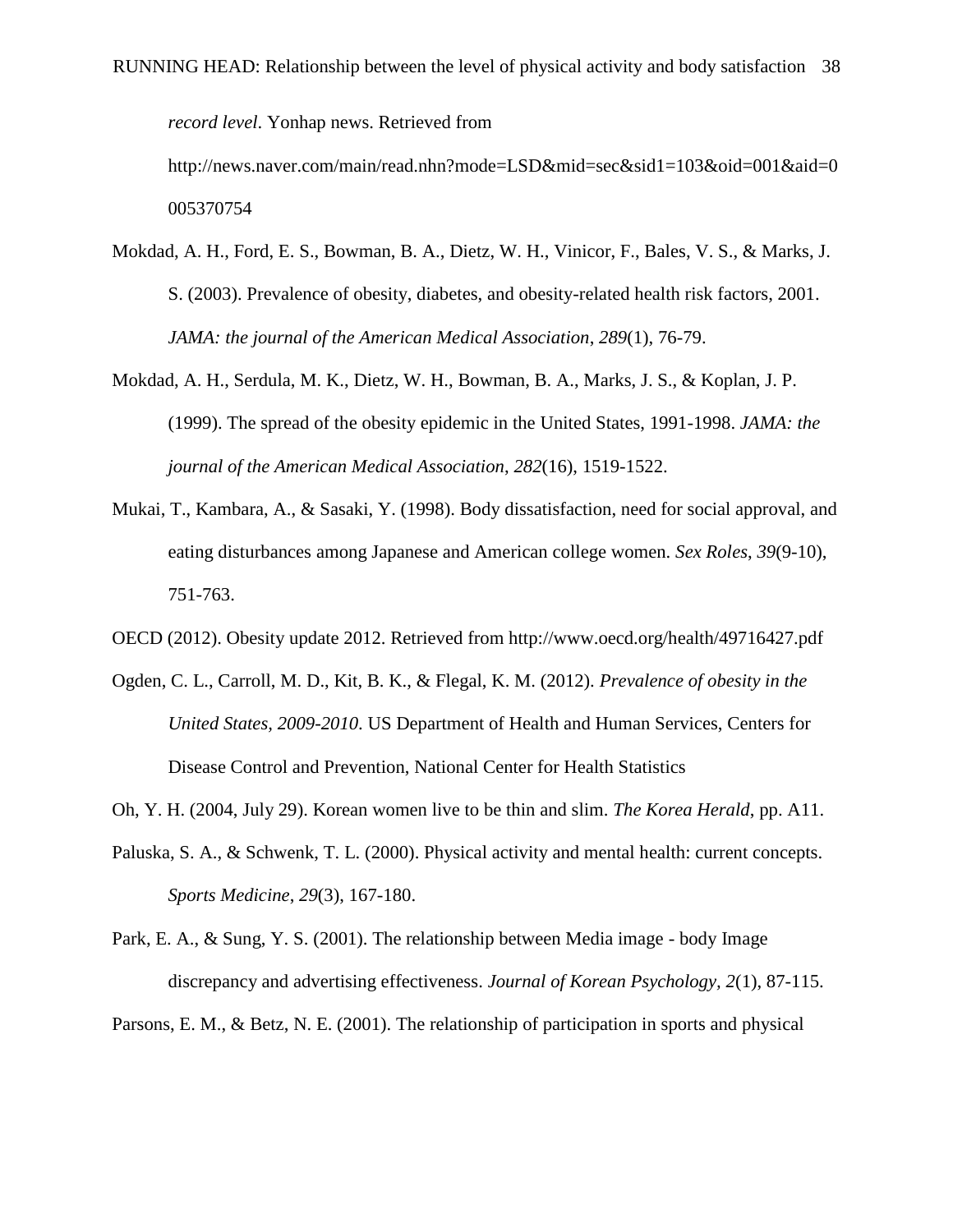*record level*. Yonhap news. Retrieved from

http://news.naver.com/main/read.nhn?mode=LSD&mid=sec&sid1=103&oid=001&aid=0 005370754

- Mokdad, A. H., Ford, E. S., Bowman, B. A., Dietz, W. H., Vinicor, F., Bales, V. S., & Marks, J. S. (2003). Prevalence of obesity, diabetes, and obesity-related health risk factors, 2001. *JAMA: the journal of the American Medical Association*, *289*(1), 76-79.
- Mokdad, A. H., Serdula, M. K., Dietz, W. H., Bowman, B. A., Marks, J. S., & Koplan, J. P. (1999). The spread of the obesity epidemic in the United States, 1991-1998. *JAMA: the journal of the American Medical Association*, *282*(16), 1519-1522.
- Mukai, T., Kambara, A., & Sasaki, Y. (1998). Body dissatisfaction, need for social approval, and eating disturbances among Japanese and American college women. *Sex Roles*, *39*(9-10), 751-763.
- OECD (2012). Obesity update 2012. Retrieved from http://www.oecd.org/health/49716427.pdf
- Ogden, C. L., Carroll, M. D., Kit, B. K., & Flegal, K. M. (2012). *Prevalence of obesity in the United States, 2009-2010*. US Department of Health and Human Services, Centers for Disease Control and Prevention, National Center for Health Statistics
- Oh, Y. H. (2004, July 29). Korean women live to be thin and slim. *The Korea Herald*, pp. A11.
- Paluska, S. A., & Schwenk, T. L. (2000). Physical activity and mental health: current concepts. *Sports Medicine*, *29*(3), 167-180.
- Park, E. A., & Sung, Y. S. (2001). The relationship between Media image body Image discrepancy and advertising effectiveness. *Journal of Korean Psychology, 2*(1), 87-115.

Parsons, E. M., & Betz, N. E. (2001). The relationship of participation in sports and physical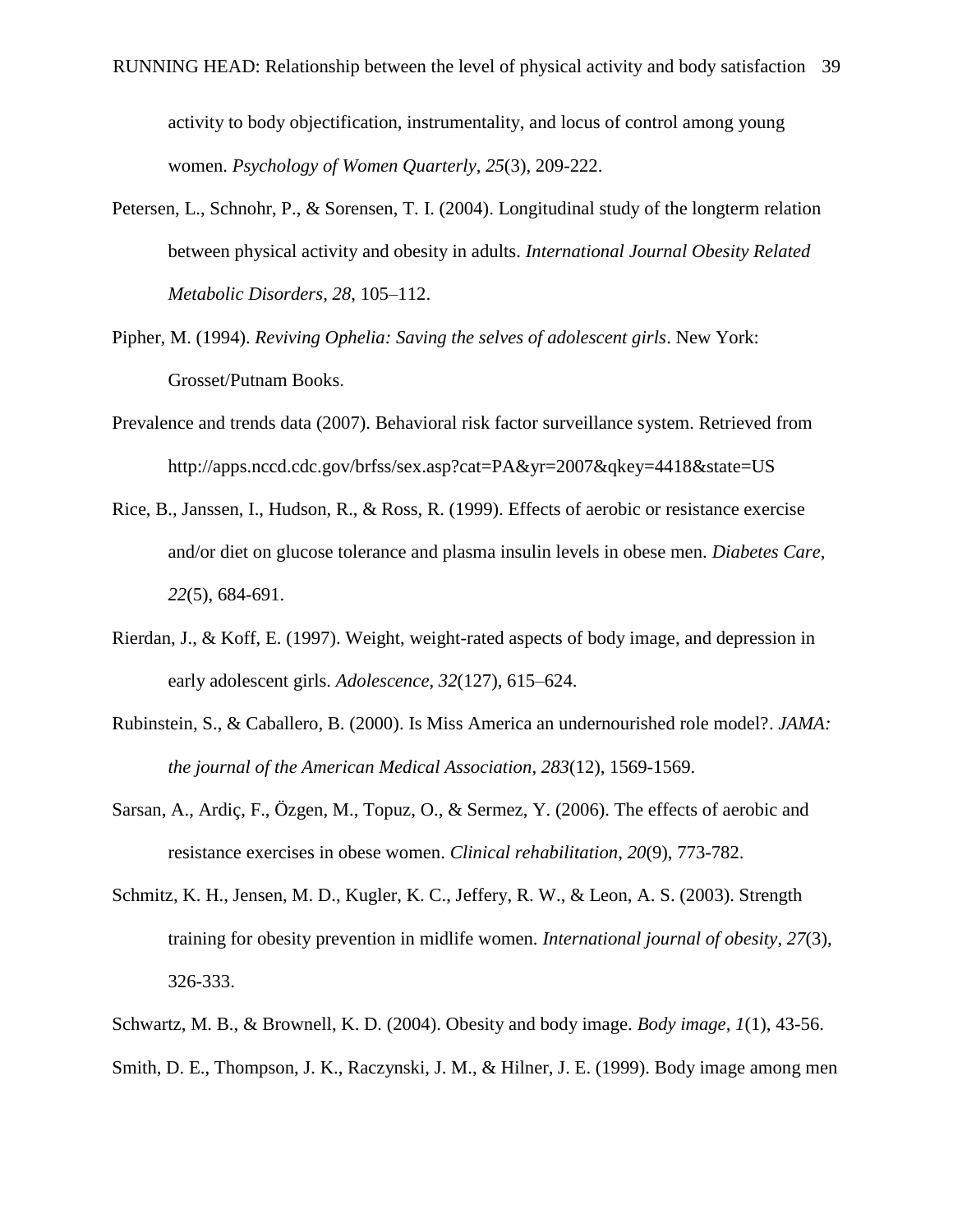activity to body objectification, instrumentality, and locus of control among young women. *Psychology of Women Quarterly*, *25*(3), 209-222.

- Petersen, L., Schnohr, P., & Sorensen, T. I. (2004). Longitudinal study of the longterm relation between physical activity and obesity in adults. *International Journal Obesity Related Metabolic Disorders, 28*, 105–112.
- Pipher, M. (1994). *Reviving Ophelia: Saving the selves of adolescent girls*. New York: Grosset/Putnam Books.
- Prevalence and trends data (2007). Behavioral risk factor surveillance system. Retrieved from http://apps.nccd.cdc.gov/brfss/sex.asp?cat=PA&yr=2007&qkey=4418&state=US
- Rice, B., Janssen, I., Hudson, R., & Ross, R. (1999). Effects of aerobic or resistance exercise and/or diet on glucose tolerance and plasma insulin levels in obese men. *Diabetes Care*, *22*(5), 684-691.
- Rierdan, J., & Koff, E. (1997). Weight, weight-rated aspects of body image, and depression in early adolescent girls. *Adolescence, 32*(127), 615–624.
- Rubinstein, S., & Caballero, B. (2000). Is Miss America an undernourished role model?. *JAMA: the journal of the American Medical Association, 283*(12), 1569-1569.
- Sarsan, A., Ardiç, F., Ö zgen, M., Topuz, O., & Sermez, Y. (2006). The effects of aerobic and resistance exercises in obese women. *Clinical rehabilitation*, *20*(9), 773-782.
- Schmitz, K. H., Jensen, M. D., Kugler, K. C., Jeffery, R. W., & Leon, A. S. (2003). Strength training for obesity prevention in midlife women. *International journal of obesity*, *27*(3), 326-333.
- Schwartz, M. B., & Brownell, K. D. (2004). Obesity and body image. *Body image*, *1*(1), 43-56.
- Smith, D. E., Thompson, J. K., Raczynski, J. M., & Hilner, J. E. (1999). Body image among men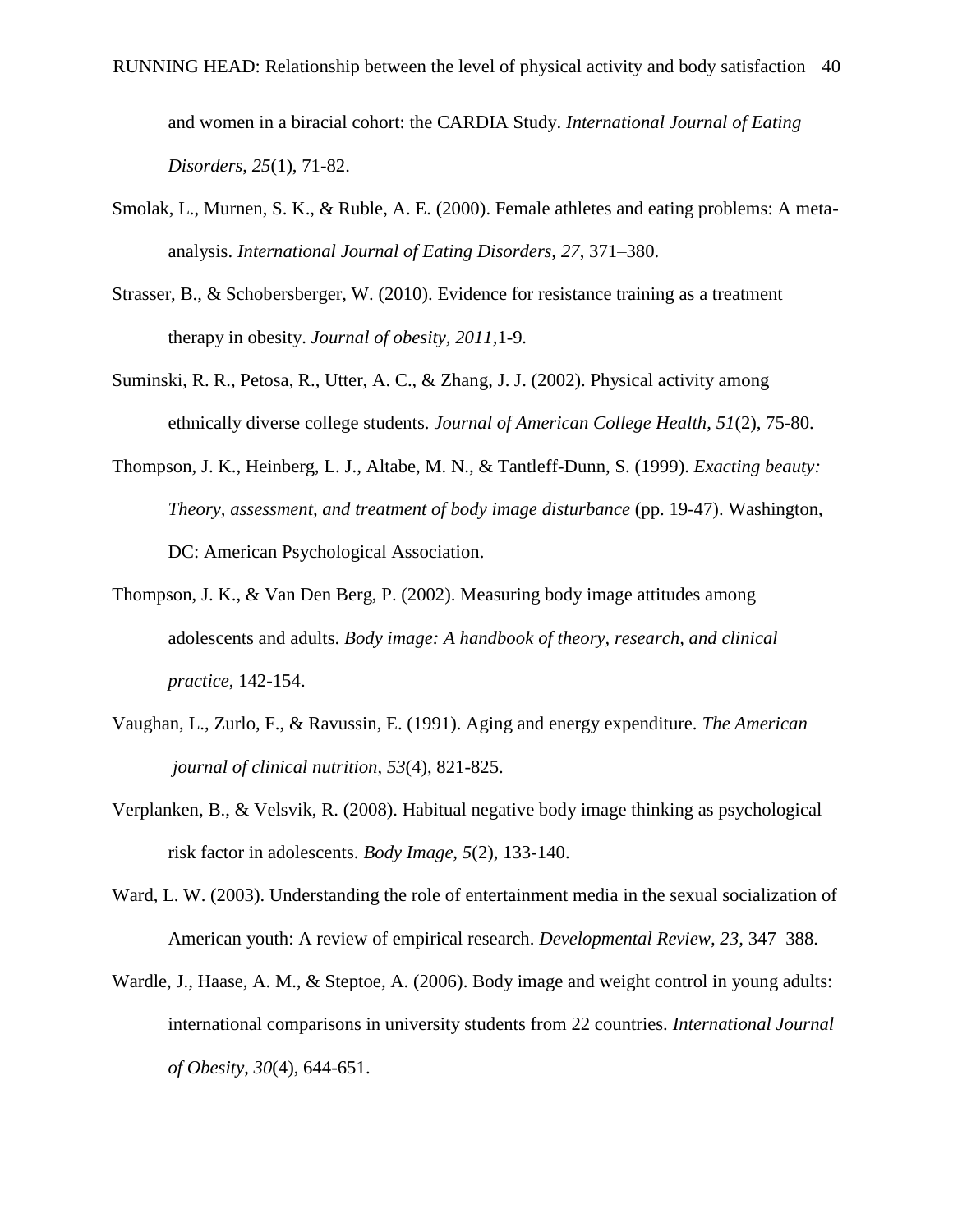and women in a biracial cohort: the CARDIA Study. *International Journal of Eating Disorders*, *25*(1), 71-82.

- Smolak, L., Murnen, S. K., & Ruble, A. E. (2000). Female athletes and eating problems: A metaanalysis. *International Journal of Eating Disorders, 27*, 371–380.
- Strasser, B., & Schobersberger, W. (2010). Evidence for resistance training as a treatment therapy in obesity. *Journal of obesity, 2011,*1-9*.*
- Suminski, R. R., Petosa, R., Utter, A. C., & Zhang, J. J. (2002). Physical activity among ethnically diverse college students. *Journal of American College Health*, *51*(2), 75-80.
- Thompson, J. K., Heinberg, L. J., Altabe, M. N., & Tantleff-Dunn, S. (1999). *Exacting beauty: Theory, assessment, and treatment of body image disturbance* (pp. 19-47). Washington, DC: American Psychological Association.
- Thompson, J. K., & Van Den Berg, P. (2002). Measuring body image attitudes among adolescents and adults. *Body image: A handbook of theory, research, and clinical practice*, 142-154.
- Vaughan, L., Zurlo, F., & Ravussin, E. (1991). Aging and energy expenditure. *The American journal of clinical nutrition*, *53*(4), 821-825.
- Verplanken, B., & Velsvik, R. (2008). Habitual negative body image thinking as psychological risk factor in adolescents. *Body Image*, *5*(2), 133-140.
- Ward, L. W. (2003). Understanding the role of entertainment media in the sexual socialization of American youth: A review of empirical research. *Developmental Review, 23,* 347–388.
- Wardle, J., Haase, A. M., & Steptoe, A. (2006). Body image and weight control in young adults: international comparisons in university students from 22 countries. *International Journal of Obesity*, *30*(4), 644-651.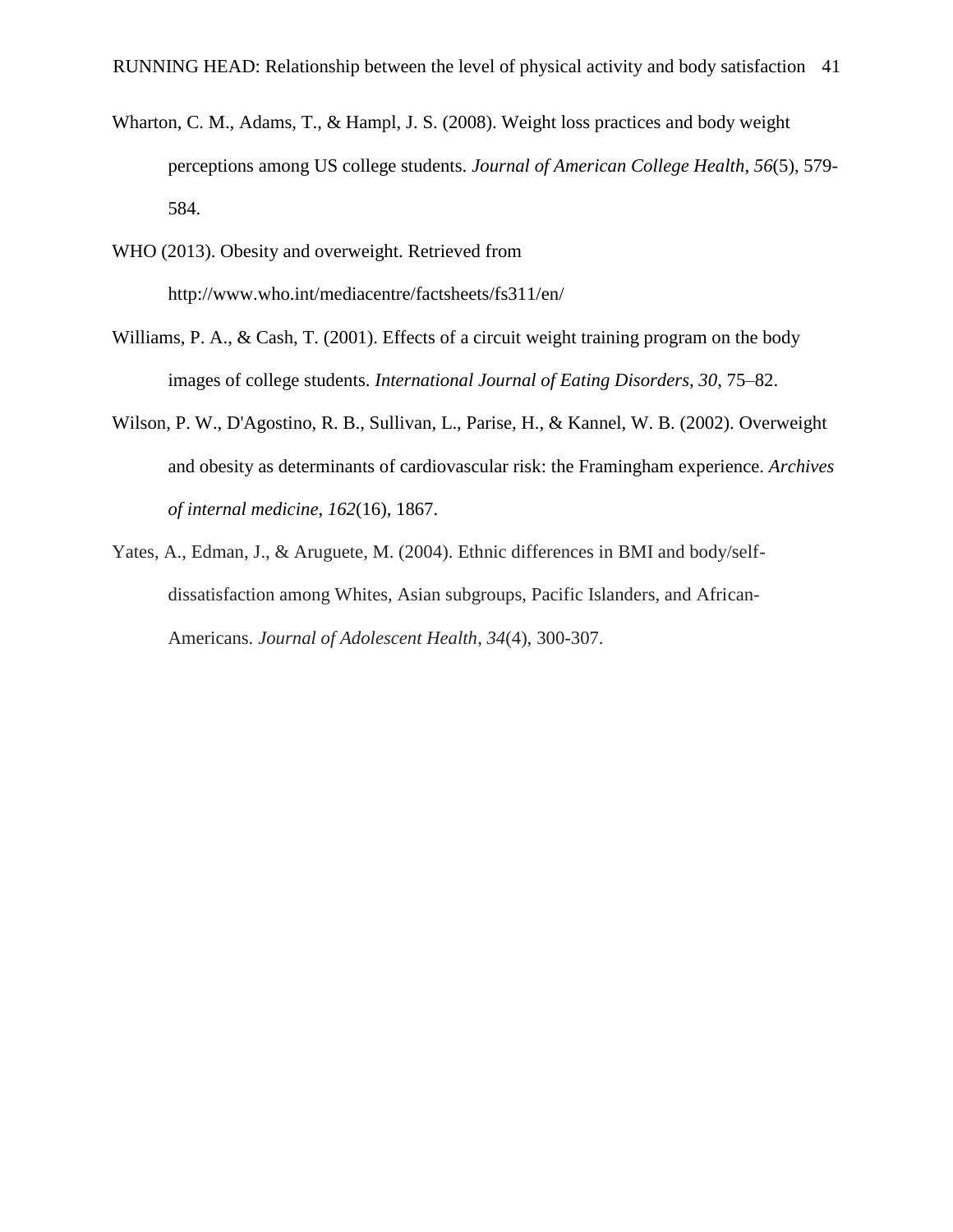- Wharton, C. M., Adams, T., & Hampl, J. S. (2008). Weight loss practices and body weight perceptions among US college students. *Journal of American College Health*, *56*(5), 579- 584.
- WHO (2013). Obesity and overweight. Retrieved from http://www.who.int/mediacentre/factsheets/fs311/en/
- Williams, P. A., & Cash, T. (2001). Effects of a circuit weight training program on the body images of college students. *International Journal of Eating Disorders, 30*, 75–82.
- Wilson, P. W., D'Agostino, R. B., Sullivan, L., Parise, H., & Kannel, W. B. (2002). Overweight and obesity as determinants of cardiovascular risk: the Framingham experience. *Archives of internal medicine*, *162*(16), 1867.
- Yates, A., Edman, J., & Aruguete, M. (2004). Ethnic differences in BMI and body/selfdissatisfaction among Whites, Asian subgroups, Pacific Islanders, and African-Americans. *Journal of Adolescent Health*, *34*(4), 300-307.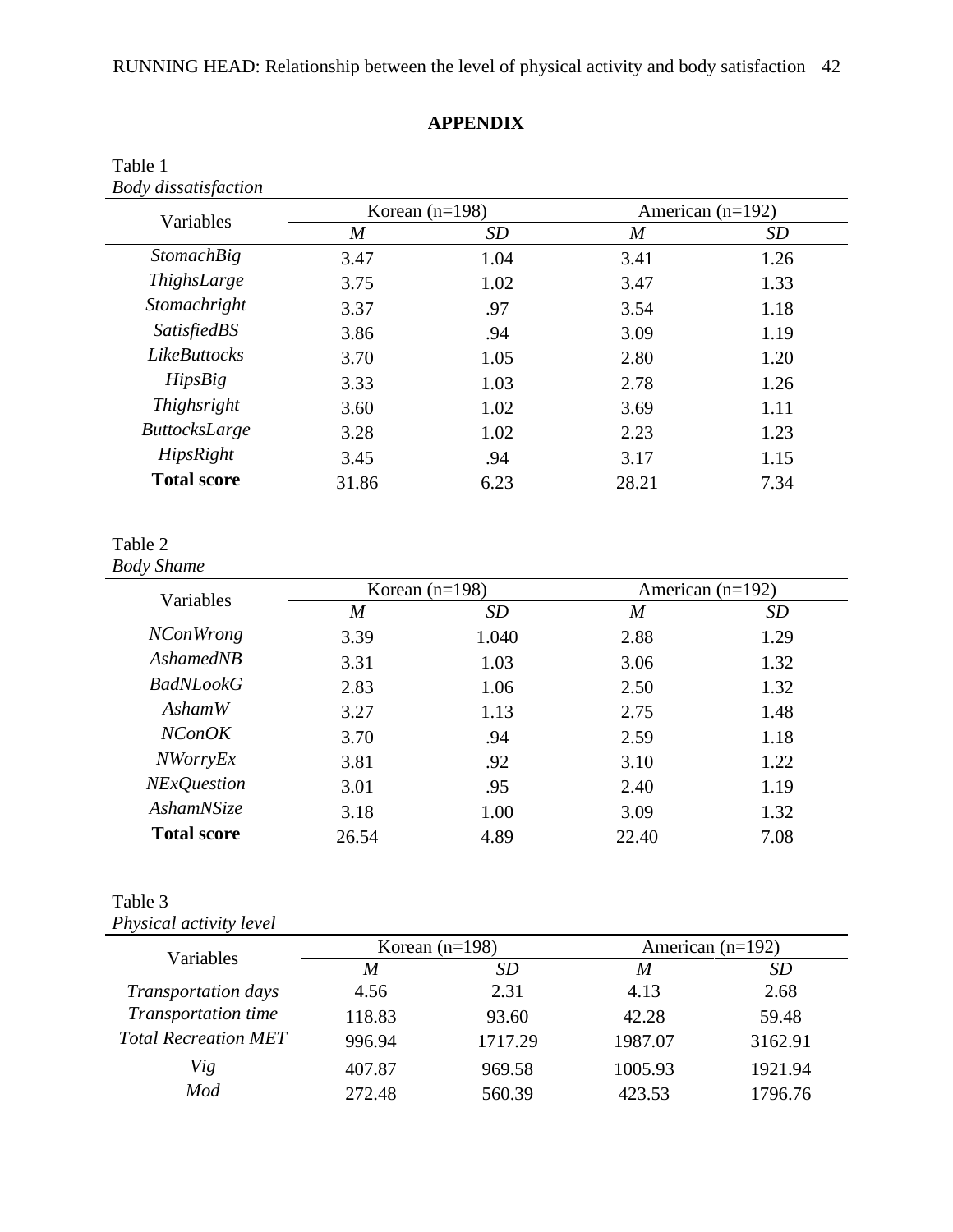# **APPENDIX**

| <b>Body dissatisfaction</b> |                  |      |                    |           |
|-----------------------------|------------------|------|--------------------|-----------|
| Variables                   | Korean $(n=198)$ |      | American $(n=192)$ |           |
|                             | $\boldsymbol{M}$ | SD   | $\boldsymbol{M}$   | <b>SD</b> |
| <b>StomachBig</b>           | 3.47             | 1.04 | 3.41               | 1.26      |
| ThighsLarge                 | 3.75             | 1.02 | 3.47               | 1.33      |
| Stomachright                | 3.37             | .97  | 3.54               | 1.18      |
| <b>SatisfiedBS</b>          | 3.86             | .94  | 3.09               | 1.19      |
| <b>LikeButtocks</b>         | 3.70             | 1.05 | 2.80               | 1.20      |
| <b>HipsBig</b>              | 3.33             | 1.03 | 2.78               | 1.26      |
| Thighsright                 | 3.60             | 1.02 | 3.69               | 1.11      |
| <b>ButtocksLarge</b>        | 3.28             | 1.02 | 2.23               | 1.23      |
| HipsRight                   | 3.45             | .94  | 3.17               | 1.15      |
| <b>Total score</b>          | 31.86            | 6.23 | 28.21              | 7.34      |

# Table 1

# Table 2

*Body Shame*

| Variables          |                | Korean $(n=198)$ | American $(n=192)$ |      |  |
|--------------------|----------------|------------------|--------------------|------|--|
|                    | $\overline{M}$ | <i>SD</i>        | $\overline{M}$     | SD   |  |
| <i>NConWrong</i>   | 3.39           | 1.040            | 2.88               | 1.29 |  |
| AshamedNB          | 3.31           | 1.03             | 3.06               | 1.32 |  |
| BadNLookG          | 2.83           | 1.06             | 2.50               | 1.32 |  |
| AshamW             | 3.27           | 1.13             | 2.75               | 1.48 |  |
| NConOK             | 3.70           | .94              | 2.59               | 1.18 |  |
| <i>NWorryEx</i>    | 3.81           | .92              | 3.10               | 1.22 |  |
| <b>NExQuestion</b> | 3.01           | .95              | 2.40               | 1.19 |  |
| <b>AshamNSize</b>  | 3.18           | 1.00             | 3.09               | 1.32 |  |
| <b>Total score</b> | 26.54          | 4.89             | 22.40              | 7.08 |  |

# Table 3

*Physical activity level*

| Variables                   |        | Korean $(n=198)$ | American $(n=192)$ |         |  |  |
|-----------------------------|--------|------------------|--------------------|---------|--|--|
|                             | M      | <i>SD</i>        | M                  | SD      |  |  |
| Transportation days         | 4.56   | 2.31             | 4.13               | 2.68    |  |  |
| Transportation time         | 118.83 | 93.60            | 42.28              | 59.48   |  |  |
| <b>Total Recreation MET</b> | 996.94 | 1717.29          | 1987.07            | 3162.91 |  |  |
| Vig                         | 407.87 | 969.58           | 1005.93            | 1921.94 |  |  |
| Mod                         | 272.48 | 560.39           | 423.53             | 1796.76 |  |  |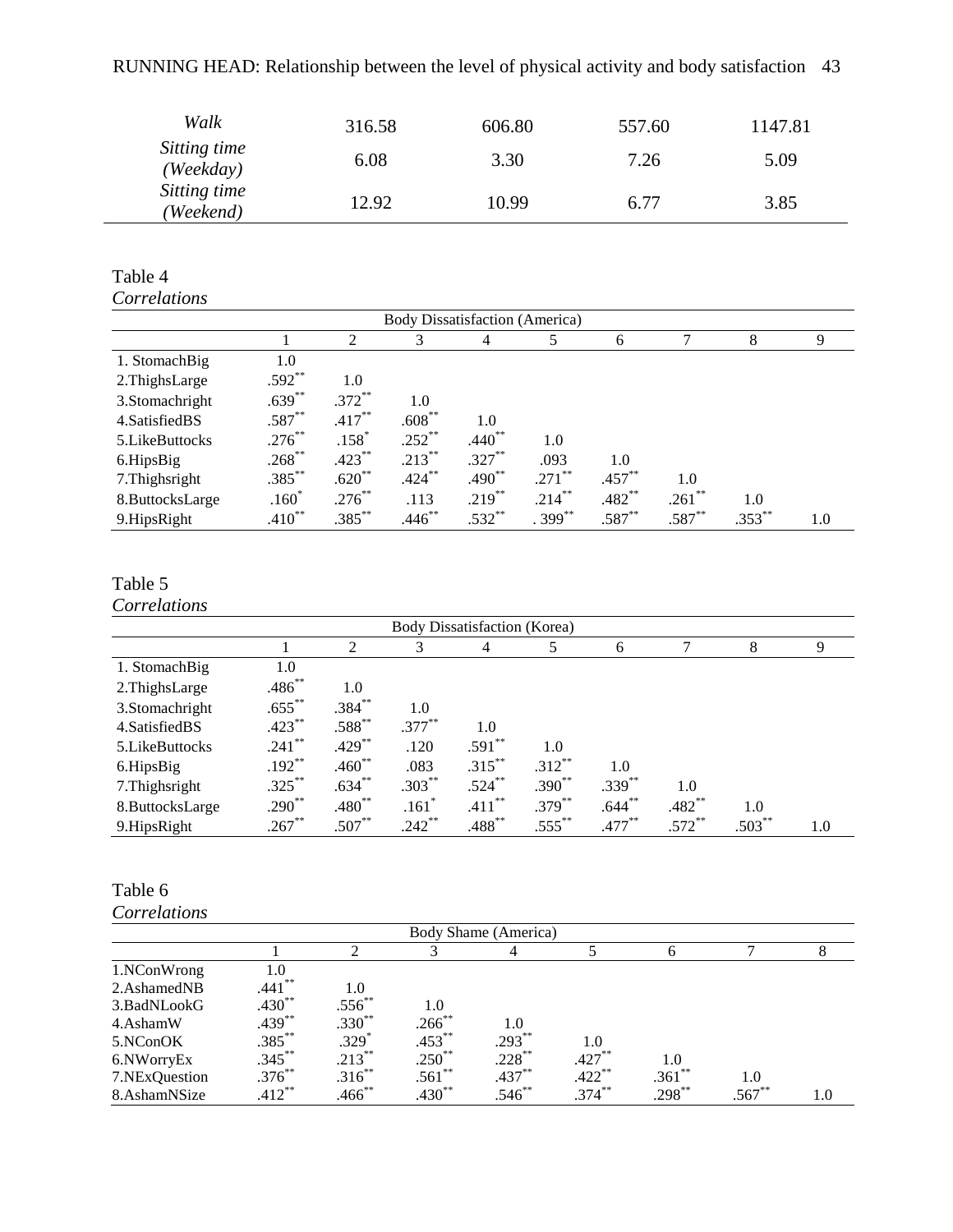# RUNNING HEAD: Relationship between the level of physical activity and body satisfaction 43

| Walk                      | 316.58 | 606.80 | 557.60 | 1147.81 |
|---------------------------|--------|--------|--------|---------|
| Sitting time<br>(Weekday) | 6.08   | 3.30   | 7.26   | 5.09    |
| Sitting time<br>(Weekend) | 12.92  | 10.99  | 6.77   | 3.85    |

## Table 4 *Correlations*

| Body Dissatisfaction (America) |             |                |             |             |           |           |           |           |     |  |
|--------------------------------|-------------|----------------|-------------|-------------|-----------|-----------|-----------|-----------|-----|--|
|                                |             | $\overline{2}$ | 3           | 4           |           | 6         |           | 8         | 9   |  |
| 1. StomachBig                  | 1.0         |                |             |             |           |           |           |           |     |  |
| 2.ThighsLarge                  | $.592**$    | 1.0            |             |             |           |           |           |           |     |  |
| 3.Stomachright                 | $.639***$   | $.372***$      | 1.0         |             |           |           |           |           |     |  |
| 4. Satisfied BS                | $.587**$    | $.417***$      | $.608^{**}$ | 1.0         |           |           |           |           |     |  |
| 5. Like Buttocks               | $.276***$   | $.158*$        | $.252***$   | $.440**$    | 1.0       |           |           |           |     |  |
| 6.HipsBig                      | $.268***$   | $.423***$      | $.213***$   | $.327***$   | .093      | 1.0       |           |           |     |  |
| 7. Thighsright                 | $.385***$   | $.620**$       | $.424***$   | $.490^{**}$ | $.271$ ** | $.457***$ | 1.0       |           |     |  |
| 8.ButtocksLarge                | $.160*$     | $.276^{**}$    | .113        | $.219***$   | $.214***$ | $.482**$  | $.261$ ** | 1.0       |     |  |
| 9.HipsRight                    | $.410^{**}$ | $.385***$      | $.446$ **   | $.532***$   | $.399***$ | $.587**$  | $.587**$  | $.353***$ | 1.0 |  |

# Table 5

*Correlations*

| Body Dissatisfaction (Korea) |             |             |           |             |           |           |           |          |     |
|------------------------------|-------------|-------------|-----------|-------------|-----------|-----------|-----------|----------|-----|
|                              |             | 2           | 3         | 4           | 5         | 6         |           | 8        | 9   |
| 1. StomachBig                | 1.0         |             |           |             |           |           |           |          |     |
| 2. ThighsLarge               | $.486^{**}$ | 1.0         |           |             |           |           |           |          |     |
| 3.Stomachright               | $.655***$   | $.384***$   | 1.0       |             |           |           |           |          |     |
| 4. Satisfied BS              | $.423***$   | $.588^{**}$ | $.377***$ | 1.0         |           |           |           |          |     |
| 5. Like Buttocks             | $.241***$   | $.429***$   | .120      | $.591**$    | 1.0       |           |           |          |     |
| 6.HipsBig                    | $.192***$   | $.460**$    | .083      | $.315***$   | $.312**$  | 1.0       |           |          |     |
| 7. Thighsright               | $.325***$   | $.634***$   | $.303***$ | $.524***$   | $.390**$  | $.339***$ | 1.0       |          |     |
| 8.ButtocksLarge              | $.290**$    | $.480**$    | $.161*$   | $.411***$   | $.379***$ | $.644***$ | $.482**$  | 1.0      |     |
| 9.HipsRight                  | $.267***$   | $.507**$    | $.242***$ | $.488^{**}$ | $.555***$ | $.477***$ | $.572$ ** | $.503**$ | 1.0 |

# Table 6

| Body Shame (America) |             |             |             |           |                      |           |          |     |  |
|----------------------|-------------|-------------|-------------|-----------|----------------------|-----------|----------|-----|--|
|                      |             |             |             |           |                      | h         |          |     |  |
| 1.NConWrong          | 1.0         |             |             |           |                      |           |          |     |  |
| 2.AshamedNB          | $.441***$   | 1.0         |             |           |                      |           |          |     |  |
| 3. BadNLookG         | $.430**$    | $.556^{**}$ | 1.0         |           |                      |           |          |     |  |
| 4.AshamW             | $.439***$   | $.330**$    | $.266^{**}$ | 1.0       |                      |           |          |     |  |
| 5.NConOK             | $.385***$   | $.329*$     | $.453***$   | $.293***$ | 1.0                  |           |          |     |  |
| 6.NWorryEx           | $.345***$   | $.213***$   | $.250^{**}$ | $.228***$ | $.427***$            | 1.0       |          |     |  |
| 7.NExQuestion        | $.376^{**}$ | $.316^{**}$ | $.561$ **   | $.437***$ | $.422$ <sup>**</sup> | $.361$ ** | 1.0      |     |  |
| 8.AshamNSize         | $.412***$   | $.466$ **   | $.430**$    | $.546**$  | $.374***$            | $.298***$ | $.567**$ | 1.0 |  |